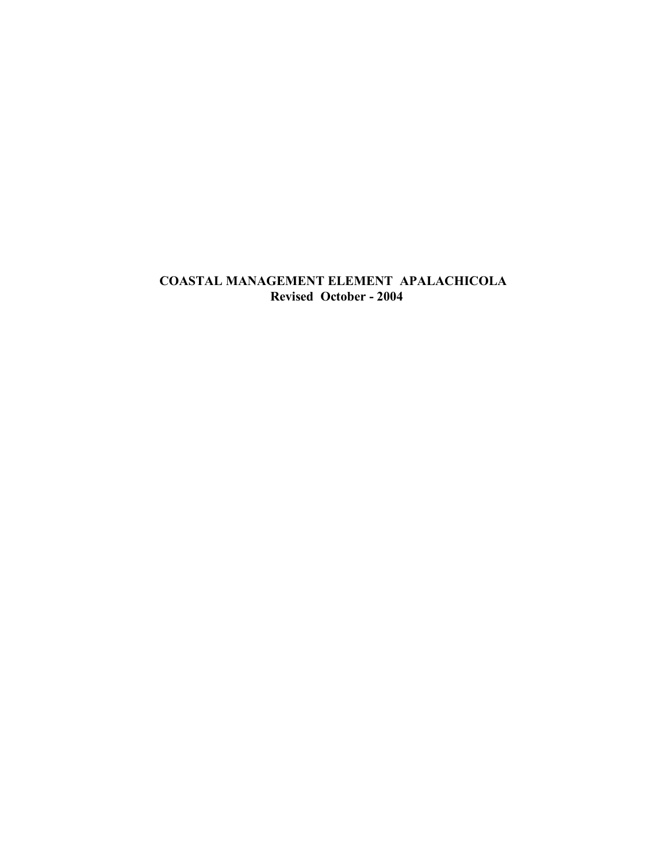# **COASTAL MANAGEMENT ELEMENT APALACHICOLA Revised October - 2004**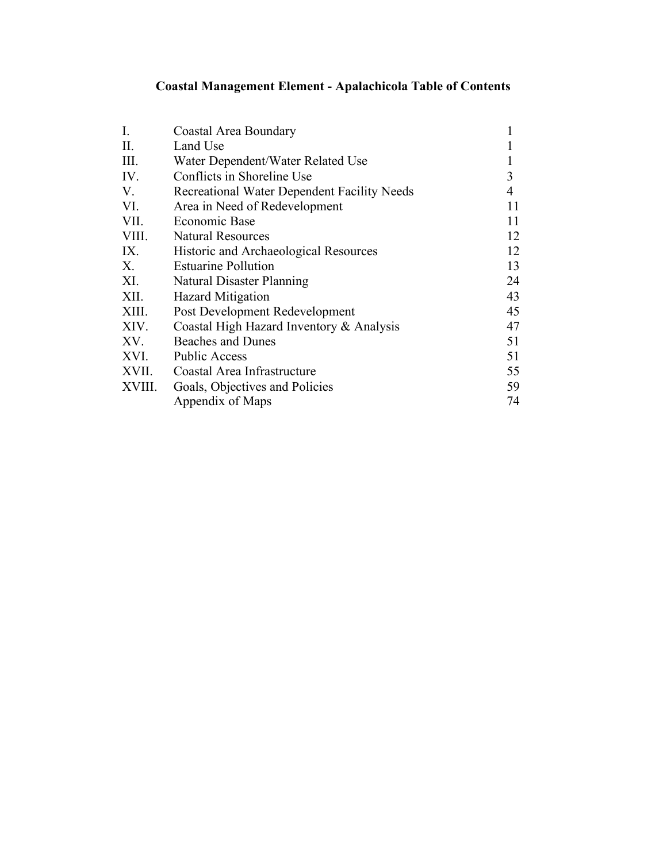# **Coastal Management Element - Apalachicola Table of Contents**

| Coastal Area Boundary                       |    |
|---------------------------------------------|----|
| Land Use                                    |    |
| Water Dependent/Water Related Use           |    |
| Conflicts in Shoreline Use                  | 3  |
| Recreational Water Dependent Facility Needs | 4  |
| Area in Need of Redevelopment               | 11 |
| Economic Base                               | 11 |
| <b>Natural Resources</b>                    | 12 |
| Historic and Archaeological Resources       | 12 |
| <b>Estuarine Pollution</b>                  | 13 |
| Natural Disaster Planning                   | 24 |
| <b>Hazard Mitigation</b>                    | 43 |
| Post Development Redevelopment              | 45 |
| Coastal High Hazard Inventory & Analysis    | 47 |
| <b>Beaches and Dunes</b>                    | 51 |
| <b>Public Access</b>                        | 51 |
| Coastal Area Infrastructure                 | 55 |
| Goals, Objectives and Policies              | 59 |
| Appendix of Maps                            | 74 |
|                                             |    |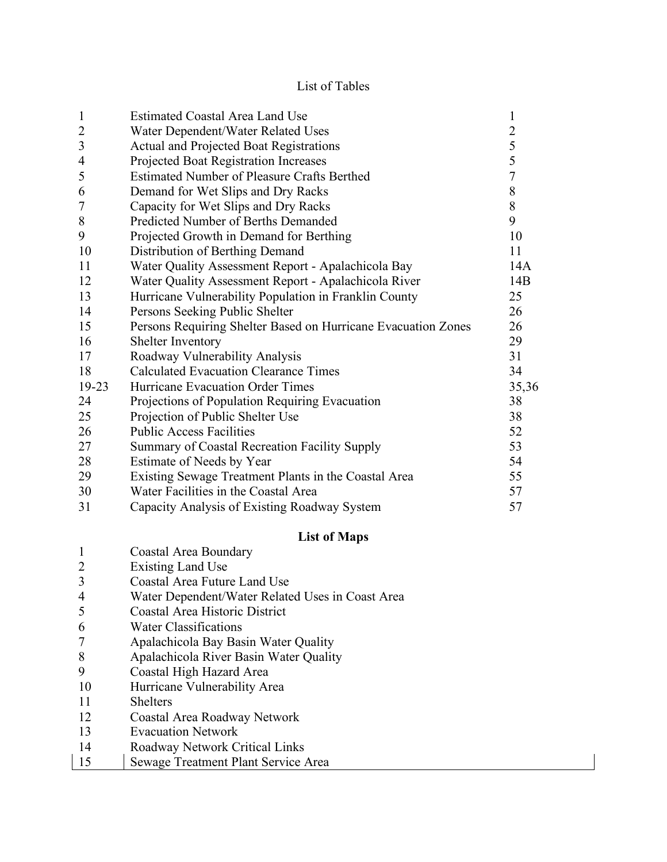# List of Tables

| $\mathbf{1}$   | <b>Estimated Coastal Area Land Use</b>                        | $\mathbf{1}$   |
|----------------|---------------------------------------------------------------|----------------|
| $\overline{2}$ | Water Dependent/Water Related Uses                            | $\overline{c}$ |
| 3              | <b>Actual and Projected Boat Registrations</b>                | 5              |
| $\overline{4}$ | Projected Boat Registration Increases                         | 5              |
| 5              | <b>Estimated Number of Pleasure Crafts Berthed</b>            | $\overline{7}$ |
| 6              | Demand for Wet Slips and Dry Racks                            | 8              |
| $\overline{7}$ | Capacity for Wet Slips and Dry Racks                          | 8              |
| 8              | Predicted Number of Berths Demanded                           | 9              |
| 9              | Projected Growth in Demand for Berthing                       | 10             |
| 10             | Distribution of Berthing Demand                               | 11             |
| 11             | Water Quality Assessment Report - Apalachicola Bay            | 14A            |
| 12             | Water Quality Assessment Report - Apalachicola River          | 14B            |
| 13             | Hurricane Vulnerability Population in Franklin County         | 25             |
| 14             | Persons Seeking Public Shelter                                | 26             |
| 15             | Persons Requiring Shelter Based on Hurricane Evacuation Zones | 26             |
| 16             | Shelter Inventory                                             | 29             |
| 17             | Roadway Vulnerability Analysis                                | 31             |
| 18             | <b>Calculated Evacuation Clearance Times</b>                  | 34             |
| 19-23          | Hurricane Evacuation Order Times                              | 35,36          |
| 24             | Projections of Population Requiring Evacuation                | 38             |
| 25             | Projection of Public Shelter Use                              | 38             |
| 26             | <b>Public Access Facilities</b>                               | 52             |
| 27             | Summary of Coastal Recreation Facility Supply                 | 53             |
| 28             | Estimate of Needs by Year                                     | 54             |
| 29             | Existing Sewage Treatment Plants in the Coastal Area          | 55             |
| 30             | Water Facilities in the Coastal Area                          | 57             |
| 31             | Capacity Analysis of Existing Roadway System                  | 57             |

# **List of Maps**

|    | Coastal Area Boundary                            |
|----|--------------------------------------------------|
| 2  | Existing Land Use                                |
|    | Coastal Area Future Land Use                     |
|    | Water Dependent/Water Related Uses in Coast Area |
| 5  | <b>Coastal Area Historic District</b>            |
| 6  | <b>Water Classifications</b>                     |
|    | Apalachicola Bay Basin Water Quality             |
| 8  | Apalachicola River Basin Water Quality           |
| 9  | Coastal High Hazard Area                         |
| 10 | Hurricane Vulnerability Area                     |
| 11 | <b>Shelters</b>                                  |
| 12 | Coastal Area Roadway Network                     |
| 13 | <b>Evacuation Network</b>                        |
| 14 | Roadway Network Critical Links                   |

15 | Sewage Treatment Plant Service Area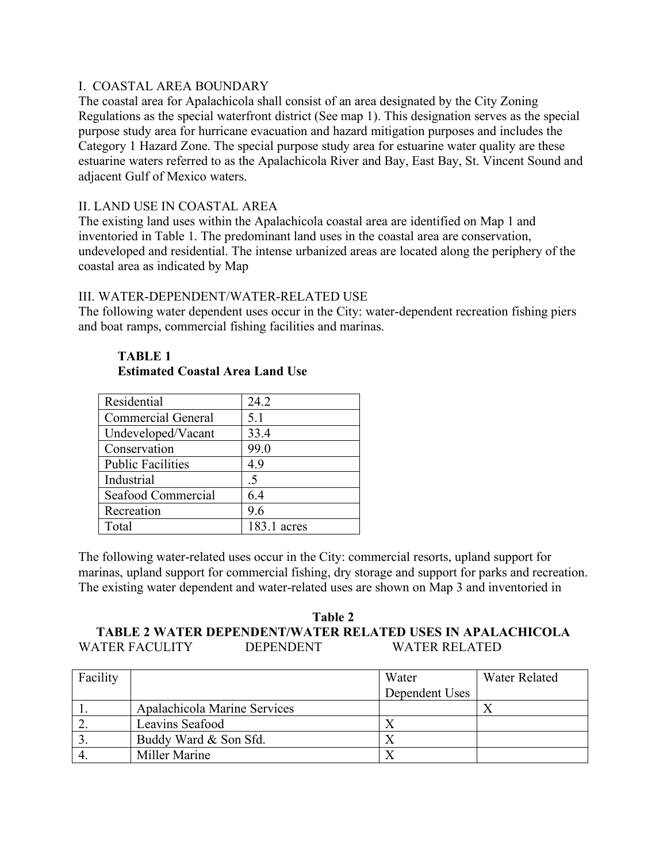## I. COASTAL AREA BOUNDARY

The coastal area for Apalachicola shall consist of an area designated by the City Zoning Regulations as the special waterfront district (See map 1). This designation serves as the special purpose study area for hurricane evacuation and hazard mitigation purposes and includes the Category 1 Hazard Zone. The special purpose study area for estuarine water quality are these estuarine waters referred to as the Apalachicola River and Bay, East Bay, St. Vincent Sound and adjacent Gulf of Mexico waters.

## II. LAND USE IN COASTAL AREA

The existing land uses within the Apalachicola coastal area are identified on Map 1 and inventoried in Table 1. The predominant land uses in the coastal area are conservation, undeveloped and residential. The intense urbanized areas are located along the periphery of the coastal area as indicated by Map

## III. WATER-DEPENDENT/WATER-RELATED USE

The following water dependent uses occur in the City: water-dependent recreation fishing piers and boat ramps, commercial fishing facilities and marinas.

| Residential               | 24.2        |
|---------------------------|-------------|
| <b>Commercial General</b> | 5.1         |
| Undeveloped/Vacant        | 33.4        |
| Conservation              | 99.0        |
| <b>Public Facilities</b>  | 4.9         |
| Industrial                | .5          |
| Seafood Commercial        | 6.4         |
| Recreation                | 9.6         |
| Total                     | 183.1 acres |

#### **TABLE 1 Estimated Coastal Area Land Use**

The following water-related uses occur in the City: commercial resorts, upland support for marinas, upland support for commercial fishing, dry storage and support for parks and recreation. The existing water dependent and water-related uses are shown on Map 3 and inventoried in

## **Table 2 TABLE 2 WATER DEPENDENT/WATER RELATED USES IN APALACHICOLA** WATER FACULITY DEPENDENT WATER RELATED

| Facility |                              | Water          | Water Related |
|----------|------------------------------|----------------|---------------|
|          |                              | Dependent Uses |               |
|          | Apalachicola Marine Services |                |               |
|          | Leavins Seafood              |                |               |
|          | Buddy Ward & Son Sfd.        |                |               |
|          | Miller Marine                |                |               |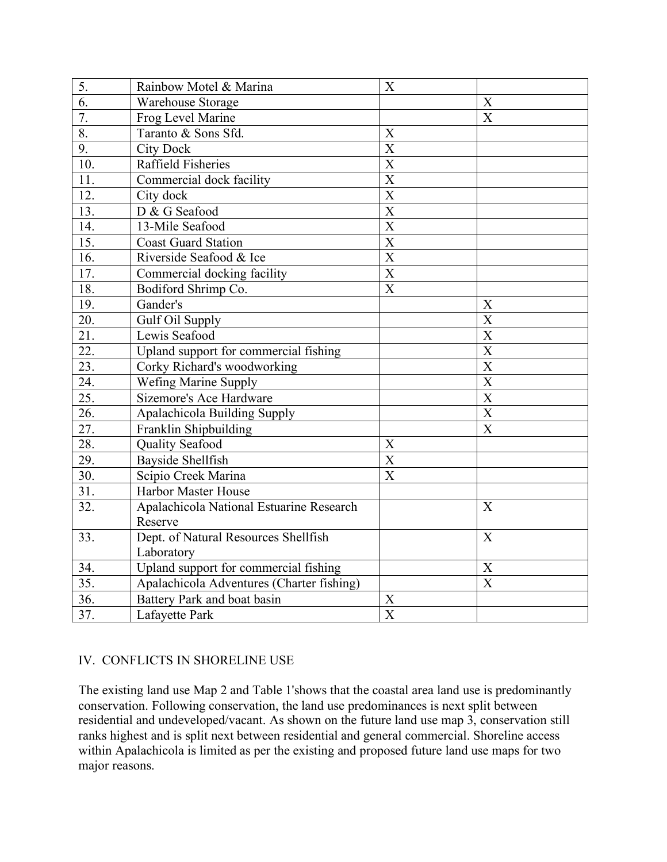| 5.                | Rainbow Motel & Marina                    | X                     |                       |
|-------------------|-------------------------------------------|-----------------------|-----------------------|
| 6.                | Warehouse Storage                         |                       | X                     |
| 7.                | Frog Level Marine                         |                       | $\boldsymbol{X}$      |
| 8.                | Taranto & Sons Sfd.                       | X                     |                       |
| $\overline{9}$ .  | <b>City Dock</b>                          | $\overline{X}$        |                       |
| 10.               | <b>Raffield Fisheries</b>                 | $\overline{X}$        |                       |
| 11.               | Commercial dock facility                  | $\overline{\text{X}}$ |                       |
| 12.               | City dock                                 | $\overline{X}$        |                       |
| 13.               | D & G Seafood                             | $\overline{\text{X}}$ |                       |
| 14.               | 13-Mile Seafood                           | $\overline{\text{X}}$ |                       |
| 15.               | <b>Coast Guard Station</b>                | $\overline{\text{X}}$ |                       |
| 16.               | Riverside Seafood & Ice                   | $\overline{X}$        |                       |
| 17.               | Commercial docking facility               | $\overline{\text{X}}$ |                       |
| $\overline{18}$ . | Bodiford Shrimp Co.                       | $\overline{\text{X}}$ |                       |
| 19.               | Gander's                                  |                       | X                     |
| 20.               | Gulf Oil Supply                           |                       | $\overline{X}$        |
| 21.               | Lewis Seafood                             |                       | $\overline{X}$        |
| 22.               | Upland support for commercial fishing     |                       | $\overline{X}$        |
| 23.               | Corky Richard's woodworking               |                       | $\overline{X}$        |
| 24.               | Wefing Marine Supply                      |                       | $\overline{X}$        |
| $\overline{25}$ . | Sizemore's Ace Hardware                   |                       | $\overline{\text{X}}$ |
| 26.               | Apalachicola Building Supply              |                       | $\overline{\text{X}}$ |
| 27.               | Franklin Shipbuilding                     |                       | X                     |
| 28.               | <b>Quality Seafood</b>                    | X                     |                       |
| 29.               | <b>Bayside Shellfish</b>                  | $\overline{\text{X}}$ |                       |
| 30.               | Scipio Creek Marina                       | $\overline{\text{X}}$ |                       |
| 31.               | Harbor Master House                       |                       |                       |
| 32.               | Apalachicola National Estuarine Research  |                       | X                     |
|                   | Reserve                                   |                       |                       |
| 33.               | Dept. of Natural Resources Shellfish      |                       | $\boldsymbol{X}$      |
|                   | Laboratory                                |                       |                       |
| 34.               | Upland support for commercial fishing     |                       | $\boldsymbol{X}$      |
| 35.               | Apalachicola Adventures (Charter fishing) |                       | X                     |
| 36.               | Battery Park and boat basin               | X                     |                       |
| 37.               | Lafayette Park                            | $\overline{\text{X}}$ |                       |

# IV. CONFLICTS IN SHORELINE USE

The existing land use Map 2 and Table 1'shows that the coastal area land use is predominantly conservation. Following conservation, the land use predominances is next split between residential and undeveloped/vacant. As shown on the future land use map 3, conservation still ranks highest and is split next between residential and general commercial. Shoreline access within Apalachicola is limited as per the existing and proposed future land use maps for two major reasons.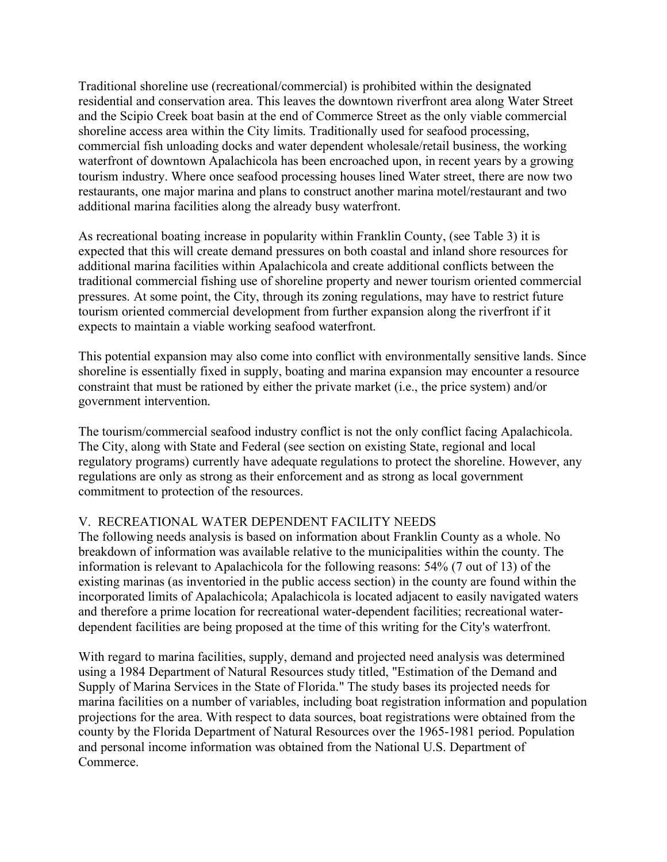Traditional shoreline use (recreational/commercial) is prohibited within the designated residential and conservation area. This leaves the downtown riverfront area along Water Street and the Scipio Creek boat basin at the end of Commerce Street as the only viable commercial shoreline access area within the City limits. Traditionally used for seafood processing, commercial fish unloading docks and water dependent wholesale/retail business, the working waterfront of downtown Apalachicola has been encroached upon, in recent years by a growing tourism industry. Where once seafood processing houses lined Water street, there are now two restaurants, one major marina and plans to construct another marina motel/restaurant and two additional marina facilities along the already busy waterfront.

As recreational boating increase in popularity within Franklin County, (see Table 3) it is expected that this will create demand pressures on both coastal and inland shore resources for additional marina facilities within Apalachicola and create additional conflicts between the traditional commercial fishing use of shoreline property and newer tourism oriented commercial pressures. At some point, the City, through its zoning regulations, may have to restrict future tourism oriented commercial development from further expansion along the riverfront if it expects to maintain a viable working seafood waterfront.

This potential expansion may also come into conflict with environmentally sensitive lands. Since shoreline is essentially fixed in supply, boating and marina expansion may encounter a resource constraint that must be rationed by either the private market (i.e., the price system) and/or government intervention.

The tourism/commercial seafood industry conflict is not the only conflict facing Apalachicola. The City, along with State and Federal (see section on existing State, regional and local regulatory programs) currently have adequate regulations to protect the shoreline. However, any regulations are only as strong as their enforcement and as strong as local government commitment to protection of the resources.

# V. RECREATIONAL WATER DEPENDENT FACILITY NEEDS

The following needs analysis is based on information about Franklin County as a whole. No breakdown of information was available relative to the municipalities within the county. The information is relevant to Apalachicola for the following reasons: 54% (7 out of 13) of the existing marinas (as inventoried in the public access section) in the county are found within the incorporated limits of Apalachicola; Apalachicola is located adjacent to easily navigated waters and therefore a prime location for recreational water-dependent facilities; recreational waterdependent facilities are being proposed at the time of this writing for the City's waterfront.

With regard to marina facilities, supply, demand and projected need analysis was determined using a 1984 Department of Natural Resources study titled, "Estimation of the Demand and Supply of Marina Services in the State of Florida." The study bases its projected needs for marina facilities on a number of variables, including boat registration information and population projections for the area. With respect to data sources, boat registrations were obtained from the county by the Florida Department of Natural Resources over the 1965-1981 period. Population and personal income information was obtained from the National U.S. Department of Commerce.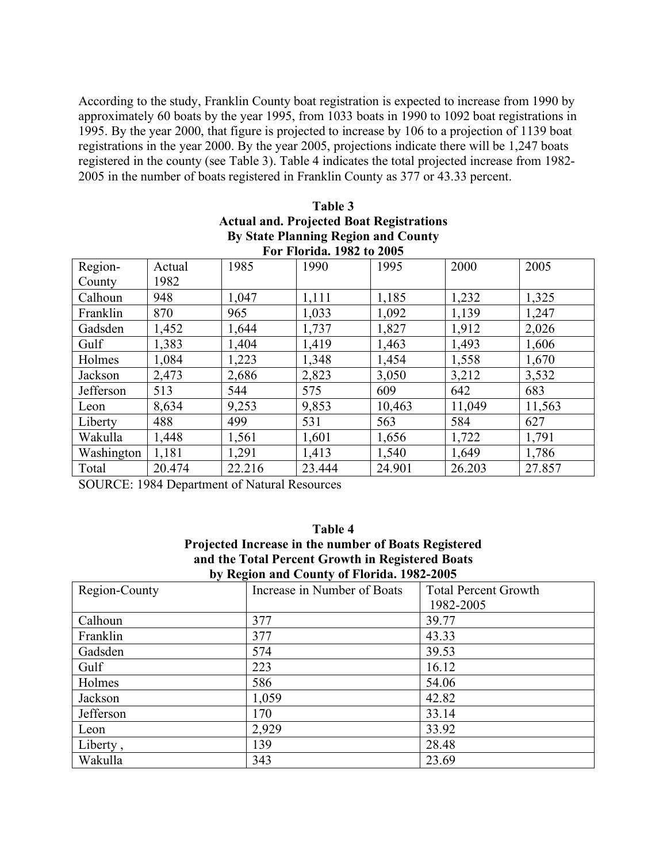According to the study, Franklin County boat registration is expected to increase from 1990 by approximately 60 boats by the year 1995, from 1033 boats in 1990 to 1092 boat registrations in 1995. By the year 2000, that figure is projected to increase by 106 to a projection of 1139 boat registrations in the year 2000. By the year 2005, projections indicate there will be 1,247 boats registered in the county (see Table 3). Table 4 indicates the total projected increase from 1982- 2005 in the number of boats registered in Franklin County as 377 or 43.33 percent.

| By State Planning Region and County |        |        |        |        |        |        |
|-------------------------------------|--------|--------|--------|--------|--------|--------|
| For Florida. 1982 to 2005           |        |        |        |        |        |        |
| Region-                             | Actual | 1985   | 1990   | 1995   | 2000   | 2005   |
| County                              | 1982   |        |        |        |        |        |
| Calhoun                             | 948    | 1,047  | 1,111  | 1,185  | 1,232  | 1,325  |
| Franklin                            | 870    | 965    | 1,033  | 1,092  | 1,139  | 1,247  |
| Gadsden                             | 1,452  | 1,644  | 1,737  | 1,827  | 1,912  | 2,026  |
| Gulf                                | 1,383  | 1,404  | 1,419  | 1,463  | 1,493  | 1,606  |
| Holmes                              | 1,084  | 1,223  | 1,348  | 1,454  | 1,558  | 1,670  |
| Jackson                             | 2,473  | 2,686  | 2,823  | 3,050  | 3,212  | 3,532  |
| Jefferson                           | 513    | 544    | 575    | 609    | 642    | 683    |
| Leon                                | 8,634  | 9,253  | 9,853  | 10,463 | 11,049 | 11,563 |
| Liberty                             | 488    | 499    | 531    | 563    | 584    | 627    |
| Wakulla                             | 1,448  | 1,561  | 1,601  | 1,656  | 1,722  | 1,791  |
| Washington                          | 1,181  | 1,291  | 1,413  | 1,540  | 1,649  | 1,786  |
| Total                               | 20.474 | 22.216 | 23.444 | 24.901 | 26.203 | 27.857 |

# **Table 3 Actual and. Projected Boat Registrations By State Planning Region and County**

SOURCE: 1984 Department of Natural Resources

## **Table 4 Projected Increase in the number of Boats Registered and the Total Percent Growth in Registered Boats by Region and County of Florida. 1982-2005**

| Region-County | Increase in Number of Boats | <b>Total Percent Growth</b> |
|---------------|-----------------------------|-----------------------------|
|               |                             | 1982-2005                   |
| Calhoun       | 377                         | 39.77                       |
| Franklin      | 377                         | 43.33                       |
| Gadsden       | 574                         | 39.53                       |
| Gulf          | 223                         | 16.12                       |
| Holmes        | 586                         | 54.06                       |
| Jackson       | 1,059                       | 42.82                       |
| Jefferson     | 170                         | 33.14                       |
| Leon          | 2,929                       | 33.92                       |
| Liberty,      | 139                         | 28.48                       |
| Wakulla       | 343                         | 23.69                       |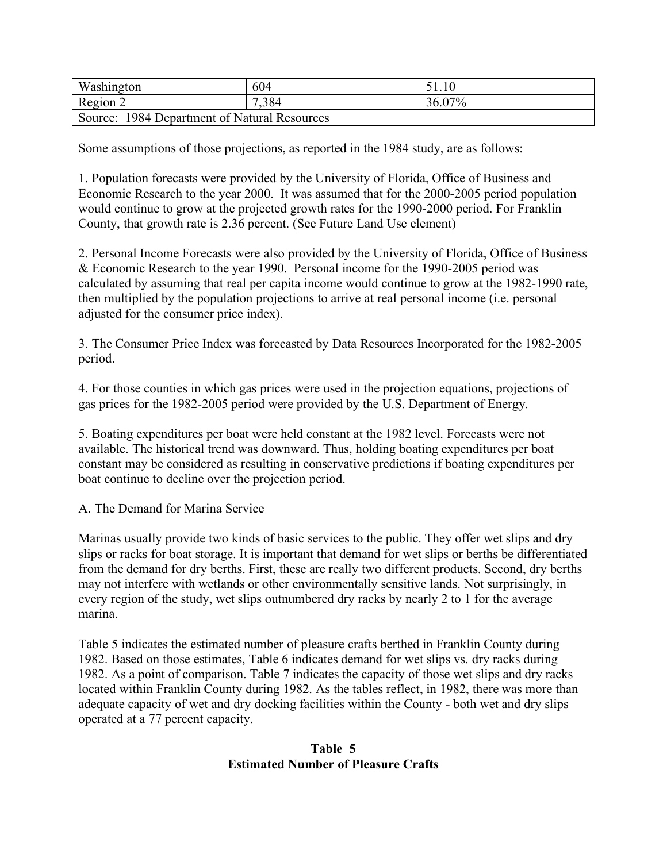| Washington                                   | 604   |        |  |
|----------------------------------------------|-------|--------|--|
| Region 2                                     | 7,384 | 36.07% |  |
| Source: 1984 Department of Natural Resources |       |        |  |

Some assumptions of those projections, as reported in the 1984 study, are as follows:

1. Population forecasts were provided by the University of Florida, Office of Business and Economic Research to the year 2000. It was assumed that for the 2000-2005 period population would continue to grow at the projected growth rates for the 1990-2000 period. For Franklin County, that growth rate is 2.36 percent. (See Future Land Use element)

2. Personal Income Forecasts were also provided by the University of Florida, Office of Business & Economic Research to the year 1990. Personal income for the 1990-2005 period was calculated by assuming that real per capita income would continue to grow at the 1982-1990 rate, then multiplied by the population projections to arrive at real personal income (i.e. personal adjusted for the consumer price index).

3. The Consumer Price Index was forecasted by Data Resources Incorporated for the 1982-2005 period.

4. For those counties in which gas prices were used in the projection equations, projections of gas prices for the 1982-2005 period were provided by the U.S. Department of Energy.

5. Boating expenditures per boat were held constant at the 1982 level. Forecasts were not available. The historical trend was downward. Thus, holding boating expenditures per boat constant may be considered as resulting in conservative predictions if boating expenditures per boat continue to decline over the projection period.

A. The Demand for Marina Service

Marinas usually provide two kinds of basic services to the public. They offer wet slips and dry slips or racks for boat storage. It is important that demand for wet slips or berths be differentiated from the demand for dry berths. First, these are really two different products. Second, dry berths may not interfere with wetlands or other environmentally sensitive lands. Not surprisingly, in every region of the study, wet slips outnumbered dry racks by nearly 2 to 1 for the average marina.

Table 5 indicates the estimated number of pleasure crafts berthed in Franklin County during 1982. Based on those estimates, Table 6 indicates demand for wet slips vs. dry racks during 1982. As a point of comparison. Table 7 indicates the capacity of those wet slips and dry racks located within Franklin County during 1982. As the tables reflect, in 1982, there was more than adequate capacity of wet and dry docking facilities within the County - both wet and dry slips operated at a 77 percent capacity.

### **Table 5 Estimated Number of Pleasure Crafts**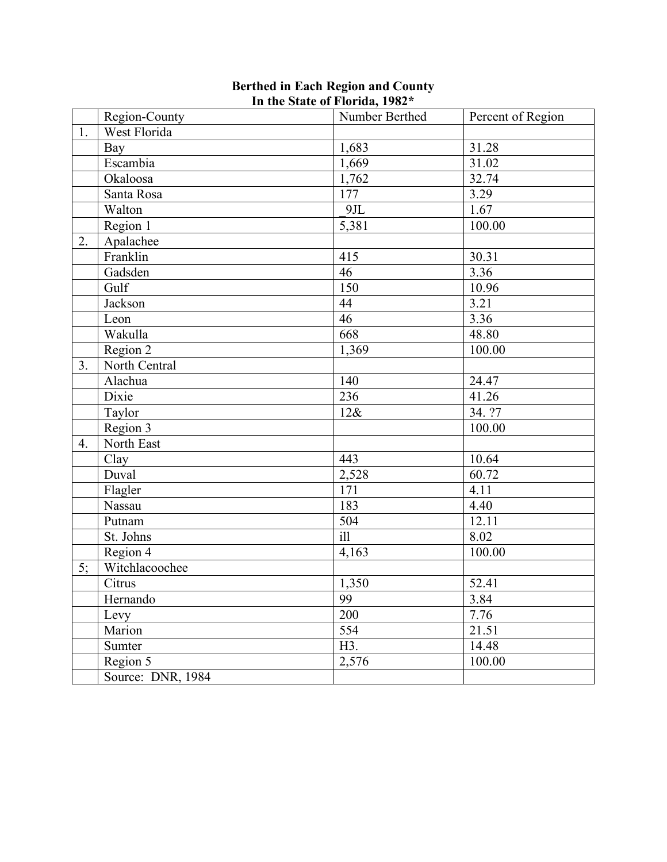|                | Region-County     | Number Berthed   | Percent of Region |
|----------------|-------------------|------------------|-------------------|
| 1.             | West Florida      |                  |                   |
|                | Bay               | 1,683            | 31.28             |
|                | Escambia          | 1,669            | 31.02             |
|                | Okaloosa          | 1,762            | 32.74             |
|                | Santa Rosa        | 177              | 3.29              |
|                | Walton            | 9JL              | 1.67              |
|                | Region 1          | 5,381            | 100.00            |
| 2.             | Apalachee         |                  |                   |
|                | Franklin          | 415              | 30.31             |
|                | Gadsden           | 46               | 3.36              |
|                | Gulf              | 150              | 10.96             |
|                | Jackson           | 44               | 3.21              |
|                | Leon              | $\overline{46}$  | 3.36              |
|                | Wakulla           | 668              | 48.80             |
|                | Region 2          | 1,369            | 100.00            |
| 3 <sub>1</sub> | North Central     |                  |                   |
|                | Alachua           | 140              | 24.47             |
|                | Dixie             | 236              | 41.26             |
|                | Taylor            | 12&              | 34. ?7            |
|                | Region 3          |                  | 100.00            |
| 4.             | North East        |                  |                   |
|                | Clay              | 443              | 10.64             |
|                | Duval             | 2,528            | 60.72             |
|                | Flagler           | 171              | 4.11              |
|                | Nassau            | 183              | 4.40              |
|                | Putnam            | 504              | 12.11             |
|                | St. Johns         | $\overline{ill}$ | 8.02              |
|                | Region 4          | 4,163            | 100.00            |
| 5;             | Witchlacoochee    |                  |                   |
|                | Citrus            | 1,350            | 52.41             |
|                | Hernando          | 99               | 3.84              |
|                | Levy              | 200              | 7.76              |
|                | Marion            | 554              | 21.51             |
|                | Sumter            | H3.              | 14.48             |
|                | Region 5          | 2,576            | 100.00            |
|                | Source: DNR, 1984 |                  |                   |

#### **Berthed in Each Region and County In the State of Florida, 1982\***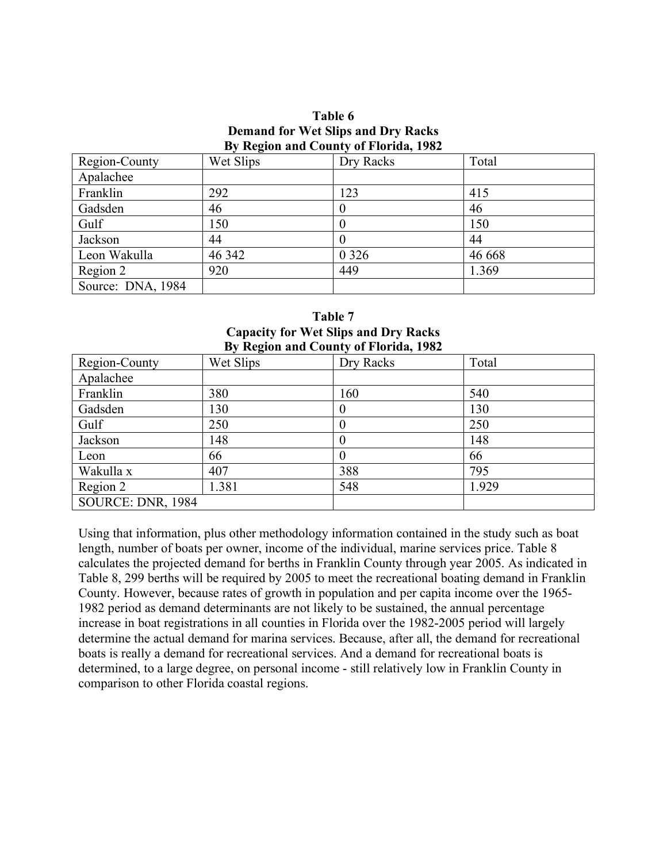#### **Table 6 Demand for Wet Slips and Dry Racks By Region and County of Florida, 1982**

|                   | $\overline{\phantom{a}}$ |           |        |
|-------------------|--------------------------|-----------|--------|
| Region-County     | Wet Slips                | Dry Racks | Total  |
| Apalachee         |                          |           |        |
| Franklin          | 292                      | 123       | 415    |
| Gadsden           | 46                       | $\theta$  | 46     |
| Gulf              | 150                      |           | 150    |
| Jackson           | 44                       |           | 44     |
| Leon Wakulla      | 46 342                   | 0 3 2 6   | 46 668 |
| Region 2          | 920                      | 449       | 1.369  |
| Source: DNA, 1984 |                          |           |        |

**Table 7 Capacity for Wet Slips and Dry Racks By Region and County of Florida, 1982**

| Dy Region and County of Florida, 1962 |           |           |       |  |
|---------------------------------------|-----------|-----------|-------|--|
| Region-County                         | Wet Slips | Dry Racks | Total |  |
| Apalachee                             |           |           |       |  |
| Franklin                              | 380       | 160       | 540   |  |
| Gadsden                               | 130       |           | 130   |  |
| Gulf                                  | 250       |           | 250   |  |
| Jackson                               | 148       |           | 148   |  |
| Leon                                  | 66        |           | 66    |  |
| Wakulla x                             | 407       | 388       | 795   |  |
| Region 2                              | 1.381     | 548       | 1.929 |  |
| SOURCE: DNR, 1984                     |           |           |       |  |

Using that information, plus other methodology information contained in the study such as boat length, number of boats per owner, income of the individual, marine services price. Table 8 calculates the projected demand for berths in Franklin County through year 2005. As indicated in Table 8, 299 berths will be required by 2005 to meet the recreational boating demand in Franklin County. However, because rates of growth in population and per capita income over the 1965- 1982 period as demand determinants are not likely to be sustained, the annual percentage increase in boat registrations in all counties in Florida over the 1982-2005 period will largely determine the actual demand for marina services. Because, after all, the demand for recreational boats is really a demand for recreational services. And a demand for recreational boats is determined, to a large degree, on personal income - still relatively low in Franklin County in comparison to other Florida coastal regions.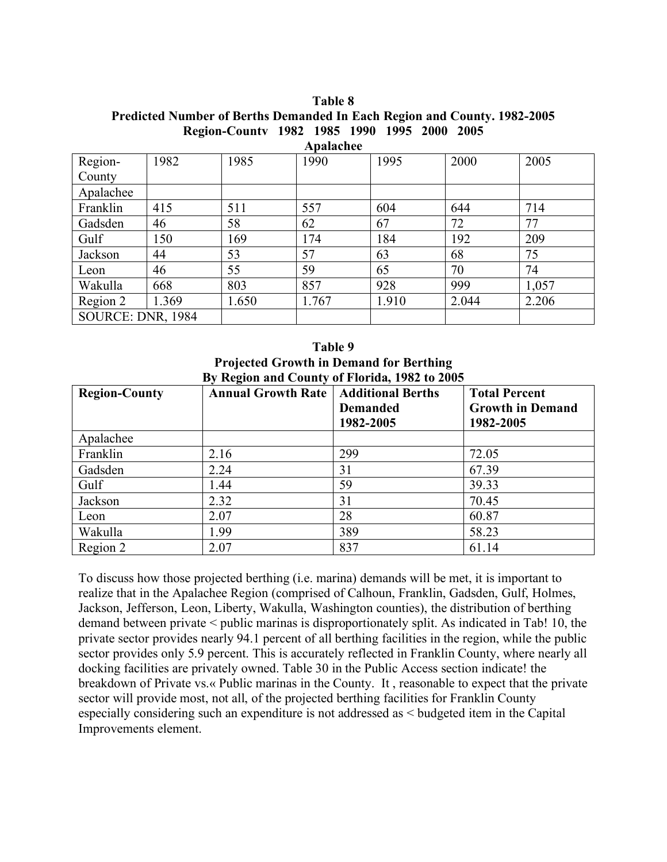| Table 8                                                                         |  |  |  |  |  |  |  |
|---------------------------------------------------------------------------------|--|--|--|--|--|--|--|
| <b>Predicted Number of Berths Demanded In Each Region and County. 1982-2005</b> |  |  |  |  |  |  |  |
| Region-County 1982 1985 1990 1995 2000 2005                                     |  |  |  |  |  |  |  |

| Apalachee         |       |       |       |       |       |       |  |  |
|-------------------|-------|-------|-------|-------|-------|-------|--|--|
| Region-           | 1982  | 1985  | 1990  | 1995  | 2000  | 2005  |  |  |
| County            |       |       |       |       |       |       |  |  |
| Apalachee         |       |       |       |       |       |       |  |  |
| Franklin          | 415   | 511   | 557   | 604   | 644   | 714   |  |  |
| Gadsden           | 46    | 58    | 62    | 67    | 72    | 77    |  |  |
| Gulf              | 150   | 169   | 174   | 184   | 192   | 209   |  |  |
| Jackson           | 44    | 53    | 57    | 63    | 68    | 75    |  |  |
| Leon              | 46    | 55    | 59    | 65    | 70    | 74    |  |  |
| Wakulla           | 668   | 803   | 857   | 928   | 999   | 1,057 |  |  |
| Region 2          | 1.369 | 1.650 | 1.767 | 1.910 | 2.044 | 2.206 |  |  |
| SOURCE: DNR, 1984 |       |       |       |       |       |       |  |  |

| Table 9                                        |  |  |  |  |  |  |
|------------------------------------------------|--|--|--|--|--|--|
| <b>Projected Growth in Demand for Berthing</b> |  |  |  |  |  |  |
| By Region and County of Florida, 1982 to 2005  |  |  |  |  |  |  |

| <b>Region-County</b> | <b>Annual Growth Rate</b> | <b>Additional Berths</b> | <b>Total Percent</b>    |
|----------------------|---------------------------|--------------------------|-------------------------|
|                      |                           | <b>Demanded</b>          | <b>Growth in Demand</b> |
|                      |                           | 1982-2005                | 1982-2005               |
| Apalachee            |                           |                          |                         |
| Franklin             | 2.16                      | 299                      | 72.05                   |
| Gadsden              | 2.24                      | 31                       | 67.39                   |
| Gulf                 | 1.44                      | 59                       | 39.33                   |
| Jackson              | 2.32                      | 31                       | 70.45                   |
| Leon                 | 2.07                      | 28                       | 60.87                   |
| Wakulla              | 1.99                      | 389                      | 58.23                   |
| Region 2             | 2.07                      | 837                      | 61.14                   |

To discuss how those projected berthing (i.e. marina) demands will be met, it is important to realize that in the Apalachee Region (comprised of Calhoun, Franklin, Gadsden, Gulf, Holmes, Jackson, Jefferson, Leon, Liberty, Wakulla, Washington counties), the distribution of berthing demand between private < public marinas is disproportionately split. As indicated in Tab! 10, the private sector provides nearly 94.1 percent of all berthing facilities in the region, while the public sector provides only 5.9 percent. This is accurately reflected in Franklin County, where nearly all docking facilities are privately owned. Table 30 in the Public Access section indicate! the breakdown of Private vs.« Public marinas in the County. It , reasonable to expect that the private sector will provide most, not all, of the projected berthing facilities for Franklin County especially considering such an expenditure is not addressed as < budgeted item in the Capital Improvements element.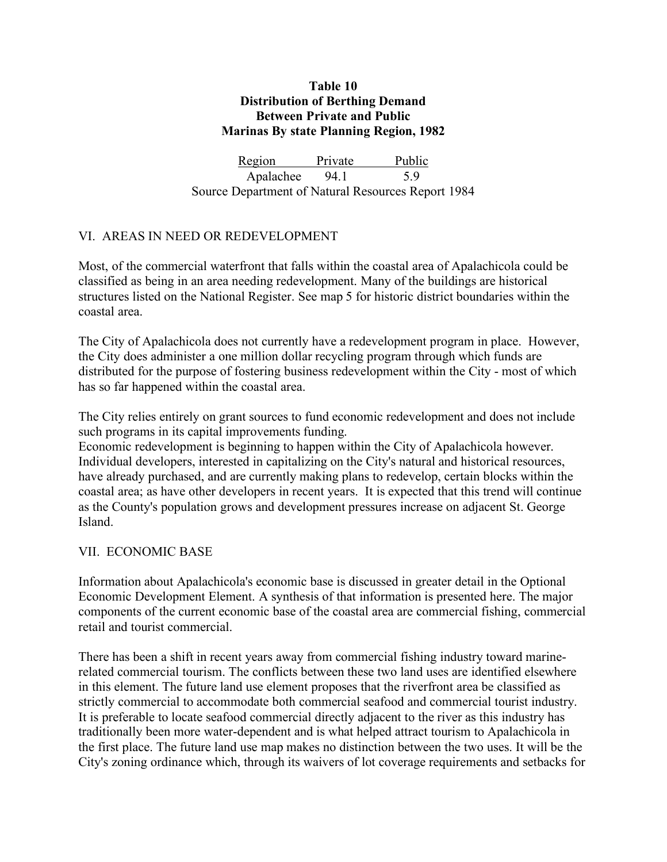## **Table 10 Distribution of Berthing Demand Between Private and Public Marinas By state Planning Region, 1982**

Region Private Public Apalachee 94.1 5.9 Source Department of Natural Resources Report 1984

# VI. AREAS IN NEED OR REDEVELOPMENT

Most, of the commercial waterfront that falls within the coastal area of Apalachicola could be classified as being in an area needing redevelopment. Many of the buildings are historical structures listed on the National Register. See map 5 for historic district boundaries within the coastal area.

The City of Apalachicola does not currently have a redevelopment program in place. However, the City does administer a one million dollar recycling program through which funds are distributed for the purpose of fostering business redevelopment within the City - most of which has so far happened within the coastal area.

The City relies entirely on grant sources to fund economic redevelopment and does not include such programs in its capital improvements funding.

Economic redevelopment is beginning to happen within the City of Apalachicola however. Individual developers, interested in capitalizing on the City's natural and historical resources, have already purchased, and are currently making plans to redevelop, certain blocks within the coastal area; as have other developers in recent years. It is expected that this trend will continue as the County's population grows and development pressures increase on adjacent St. George Island.

# VII. ECONOMIC BASE

Information about Apalachicola's economic base is discussed in greater detail in the Optional Economic Development Element. A synthesis of that information is presented here. The major components of the current economic base of the coastal area are commercial fishing, commercial retail and tourist commercial.

There has been a shift in recent years away from commercial fishing industry toward marinerelated commercial tourism. The conflicts between these two land uses are identified elsewhere in this element. The future land use element proposes that the riverfront area be classified as strictly commercial to accommodate both commercial seafood and commercial tourist industry. It is preferable to locate seafood commercial directly adjacent to the river as this industry has traditionally been more water-dependent and is what helped attract tourism to Apalachicola in the first place. The future land use map makes no distinction between the two uses. It will be the City's zoning ordinance which, through its waivers of lot coverage requirements and setbacks for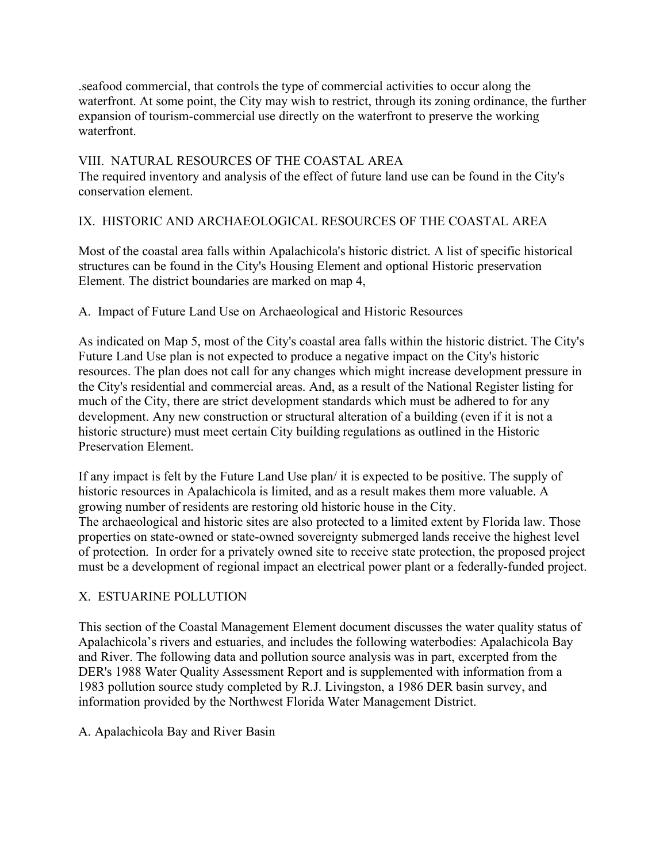.seafood commercial, that controls the type of commercial activities to occur along the waterfront. At some point, the City may wish to restrict, through its zoning ordinance, the further expansion of tourism-commercial use directly on the waterfront to preserve the working waterfront.

VIII. NATURAL RESOURCES OF THE COASTAL AREA The required inventory and analysis of the effect of future land use can be found in the City's conservation element.

# IX. HISTORIC AND ARCHAEOLOGICAL RESOURCES OF THE COASTAL AREA

Most of the coastal area falls within Apalachicola's historic district. A list of specific historical structures can be found in the City's Housing Element and optional Historic preservation Element. The district boundaries are marked on map 4,

# A. Impact of Future Land Use on Archaeological and Historic Resources

As indicated on Map 5, most of the City's coastal area falls within the historic district. The City's Future Land Use plan is not expected to produce a negative impact on the City's historic resources. The plan does not call for any changes which might increase development pressure in the City's residential and commercial areas. And, as a result of the National Register listing for much of the City, there are strict development standards which must be adhered to for any development. Any new construction or structural alteration of a building (even if it is not a historic structure) must meet certain City building regulations as outlined in the Historic Preservation Element.

If any impact is felt by the Future Land Use plan/ it is expected to be positive. The supply of historic resources in Apalachicola is limited, and as a result makes them more valuable. A growing number of residents are restoring old historic house in the City. The archaeological and historic sites are also protected to a limited extent by Florida law. Those properties on state-owned or state-owned sovereignty submerged lands receive the highest level of protection. In order for a privately owned site to receive state protection, the proposed project must be a development of regional impact an electrical power plant or a federally-funded project.

# X. ESTUARINE POLLUTION

This section of the Coastal Management Element document discusses the water quality status of Apalachicola's rivers and estuaries, and includes the following waterbodies: Apalachicola Bay and River. The following data and pollution source analysis was in part, excerpted from the DER's 1988 Water Quality Assessment Report and is supplemented with information from a 1983 pollution source study completed by R.J. Livingston, a 1986 DER basin survey, and information provided by the Northwest Florida Water Management District.

# A. Apalachicola Bay and River Basin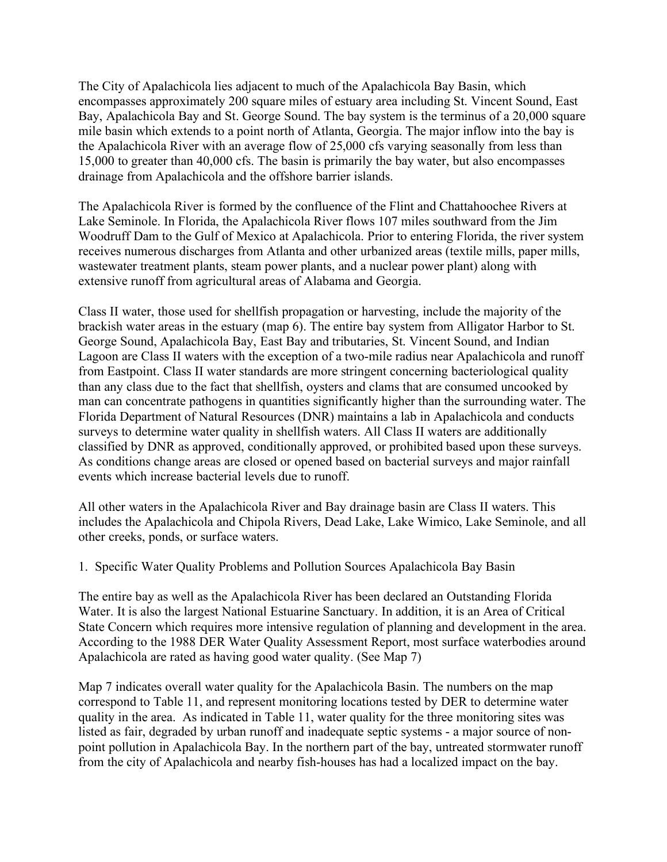The City of Apalachicola lies adjacent to much of the Apalachicola Bay Basin, which encompasses approximately 200 square miles of estuary area including St. Vincent Sound, East Bay, Apalachicola Bay and St. George Sound. The bay system is the terminus of a 20,000 square mile basin which extends to a point north of Atlanta, Georgia. The major inflow into the bay is the Apalachicola River with an average flow of 25,000 cfs varying seasonally from less than 15,000 to greater than 40,000 cfs. The basin is primarily the bay water, but also encompasses drainage from Apalachicola and the offshore barrier islands.

The Apalachicola River is formed by the confluence of the Flint and Chattahoochee Rivers at Lake Seminole. In Florida, the Apalachicola River flows 107 miles southward from the Jim Woodruff Dam to the Gulf of Mexico at Apalachicola. Prior to entering Florida, the river system receives numerous discharges from Atlanta and other urbanized areas (textile mills, paper mills, wastewater treatment plants, steam power plants, and a nuclear power plant) along with extensive runoff from agricultural areas of Alabama and Georgia.

Class II water, those used for shellfish propagation or harvesting, include the majority of the brackish water areas in the estuary (map 6). The entire bay system from Alligator Harbor to St. George Sound, Apalachicola Bay, East Bay and tributaries, St. Vincent Sound, and Indian Lagoon are Class II waters with the exception of a two-mile radius near Apalachicola and runoff from Eastpoint. Class II water standards are more stringent concerning bacteriological quality than any class due to the fact that shellfish, oysters and clams that are consumed uncooked by man can concentrate pathogens in quantities significantly higher than the surrounding water. The Florida Department of Natural Resources (DNR) maintains a lab in Apalachicola and conducts surveys to determine water quality in shellfish waters. All Class II waters are additionally classified by DNR as approved, conditionally approved, or prohibited based upon these surveys. As conditions change areas are closed or opened based on bacterial surveys and major rainfall events which increase bacterial levels due to runoff.

All other waters in the Apalachicola River and Bay drainage basin are Class II waters. This includes the Apalachicola and Chipola Rivers, Dead Lake, Lake Wimico, Lake Seminole, and all other creeks, ponds, or surface waters.

1. Specific Water Quality Problems and Pollution Sources Apalachicola Bay Basin

The entire bay as well as the Apalachicola River has been declared an Outstanding Florida Water. It is also the largest National Estuarine Sanctuary. In addition, it is an Area of Critical State Concern which requires more intensive regulation of planning and development in the area. According to the 1988 DER Water Quality Assessment Report, most surface waterbodies around Apalachicola are rated as having good water quality. (See Map 7)

Map 7 indicates overall water quality for the Apalachicola Basin. The numbers on the map correspond to Table 11, and represent monitoring locations tested by DER to determine water quality in the area. As indicated in Table 11, water quality for the three monitoring sites was listed as fair, degraded by urban runoff and inadequate septic systems - a major source of nonpoint pollution in Apalachicola Bay. In the northern part of the bay, untreated stormwater runoff from the city of Apalachicola and nearby fish-houses has had a localized impact on the bay.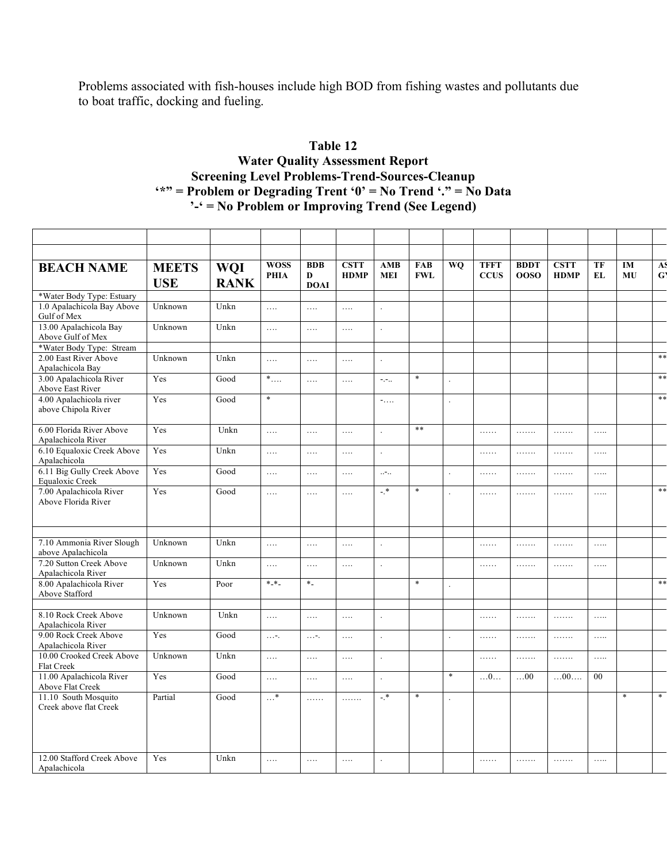Problems associated with fish-houses include high BOD from fishing wastes and pollutants due to boat traffic, docking and fueling.

# **Table 12 Water Quality Assessment Report Screening Level Problems-Trend-Sources-Cleanup '\*" = Problem or Degrading Trent '0' = No Trend '." = No Data '-' = No Problem or Improving Trend (See Legend)**

| <b>WOSS</b><br><b>BDB</b><br><b>CSTT</b><br>AMB<br><b>FAB</b><br><b>WO</b><br><b>TFFT</b><br><b>BDDT</b><br><b>CSTT</b><br>TF<br>IM<br>A.<br><b>BEACH NAME</b><br><b>MEETS</b><br><b>WQI</b><br>$\mathbf{G}$<br><b>HDMP</b><br>MU<br><b>PHIA</b><br><b>MEI</b><br><b>FWL</b><br><b>CCUS</b><br><b>00SO</b><br><b>HDMP</b><br>EL<br>D<br><b>USE</b><br><b>RANK</b><br><b>DOAI</b><br>*Water Body Type: Estuary |
|---------------------------------------------------------------------------------------------------------------------------------------------------------------------------------------------------------------------------------------------------------------------------------------------------------------------------------------------------------------------------------------------------------------|
|                                                                                                                                                                                                                                                                                                                                                                                                               |
|                                                                                                                                                                                                                                                                                                                                                                                                               |
|                                                                                                                                                                                                                                                                                                                                                                                                               |
| 1.0 Apalachicola Bay Above<br>Unknown<br>Unkn<br>$\ldots$<br>$\ldots$<br>$\ldots$<br>$\ddot{\phantom{a}}$<br>Gulf of Mex                                                                                                                                                                                                                                                                                      |
| 13.00 Apalachicola Bay<br>Unknown<br>Unkn<br>$\ldots$<br>$\ldots$<br>$\ldots$<br>$\ddot{\phantom{a}}$<br>Above Gulf of Mex                                                                                                                                                                                                                                                                                    |
| *Water Body Type: Stream                                                                                                                                                                                                                                                                                                                                                                                      |
| **<br>2.00 East River Above<br>Unknown<br>Unkn<br>$\ldots$<br>$\ldots$<br>$\ldots$<br>$\cdot$<br>Apalachicola Bay                                                                                                                                                                                                                                                                                             |
| **<br>3.00 Apalachicola River<br>Yes<br>$\ast$ . $\ldots$<br>$\ast$<br>Good<br>$\mathbb{H},\mathbb{H}$ .<br>.<br>$\ldots$<br>Above East River                                                                                                                                                                                                                                                                 |
| $\ast$<br>$***$<br>4.00 Apalachicola river<br>Yes<br>Good<br>$-$<br>$\ddot{\phantom{a}}$<br>above Chipola River                                                                                                                                                                                                                                                                                               |
| 6.00 Florida River Above<br>Yes<br>$***$<br>Unkn<br>$\ldots$<br>$\ldots$<br>$\ldots$<br>.<br>.<br>.<br>.<br>$\ddot{\phantom{a}}$<br>Apalachicola River                                                                                                                                                                                                                                                        |
| 6.10 Equaloxic Creek Above<br>Yes<br>Unkn<br>$\ldots$<br>$\ldots$<br>$\ldots$<br>.<br>$\cdot$<br>.<br>.<br>$\ldots$<br>Apalachicola                                                                                                                                                                                                                                                                           |
| 6.11 Big Gully Creek Above<br>Yes<br>Good<br>$\mathbb{Z}^{2n+1}$<br>$\ldots$<br>$\ldots$<br>$\ldots$<br>.<br>.<br>.<br>$\ldots$<br>$\mathcal{L}$<br>Equaloxic Creek                                                                                                                                                                                                                                           |
| $**$<br>7.00 Apalachicola River<br>Yes<br>$-$ *<br>$\ast$<br>Good<br>$\ldots$<br>$\ldots$<br>$\ldots$<br>$\ldots \ldots$<br>.<br>.<br>.<br>Above Florida River                                                                                                                                                                                                                                                |
|                                                                                                                                                                                                                                                                                                                                                                                                               |
| 7.10 Ammonia River Slough<br>Unknown<br>Unkn<br>$\ldots$<br>$\ldots$<br>$\ldots$<br>$\ldots \ldots$<br>.<br>.<br>$\ldots$<br>$\Box$<br>above Apalachicola                                                                                                                                                                                                                                                     |
| 7.20 Sutton Creek Above<br>Unknown<br>Unkn<br>$\ldots$<br>$\ldots$<br>$\ldots$<br>.<br>.<br>.<br>$\ldots$<br>$\ddot{\phantom{0}}$<br>Apalachicola River                                                                                                                                                                                                                                                       |
| $**$<br>8.00 Apalachicola River<br>Yes<br>$*$ $*$<br>$*$<br>$*$<br>Poor<br>Above Stafford                                                                                                                                                                                                                                                                                                                     |
|                                                                                                                                                                                                                                                                                                                                                                                                               |
| 8.10 Rock Creek Above<br>Unknown<br>Unkn<br>$\ldots$<br>$\ldots$<br>$\ldots$<br>$\ldots \ldots$<br>.<br>$\ddot{\phantom{a}}$<br>.<br>$\ldots$<br>Apalachicola River                                                                                                                                                                                                                                           |
| 9.00 Rock Creek Above<br>Yes<br>Good<br>$\ldots$ - .<br>$\ldots$ - .<br>$\ldots$<br>.<br>.<br>.<br>$\ldots$<br>$\ddot{\phantom{a}}$<br>$\ddot{\phantom{a}}$<br>Apalachicola River                                                                                                                                                                                                                             |
| 10.00 Crooked Creek Above<br>Unknown<br>Unkn<br>$\ldots$<br>$\ldots$<br>.<br>.<br>.<br>.<br>.<br>Flat Creek                                                                                                                                                                                                                                                                                                   |
| 11.00 Apalachicola River<br>Yes<br>Good<br>$\ast$<br>$\dots 0\dots$<br>$\dots$ 00<br>00<br>00<br>$\ldots$<br>$\ldots$<br>$\ldots$<br>$\Box$<br>Above Flat Creek                                                                                                                                                                                                                                               |
| $\ast$<br>11.10 South Mosquito<br>Partial<br>$-$ *<br>$\ast$<br>$\ast$<br>Good<br>$\ldots$ *<br>.<br>.<br>Creek above flat Creek                                                                                                                                                                                                                                                                              |
|                                                                                                                                                                                                                                                                                                                                                                                                               |
|                                                                                                                                                                                                                                                                                                                                                                                                               |
| 12.00 Stafford Creek Above<br>Yes<br>Unkn<br>$\ldots$<br>$\ldots$<br>$\ldots$<br>.<br>.<br>.<br>$\cdot$<br>.<br>Apalachicola                                                                                                                                                                                                                                                                                  |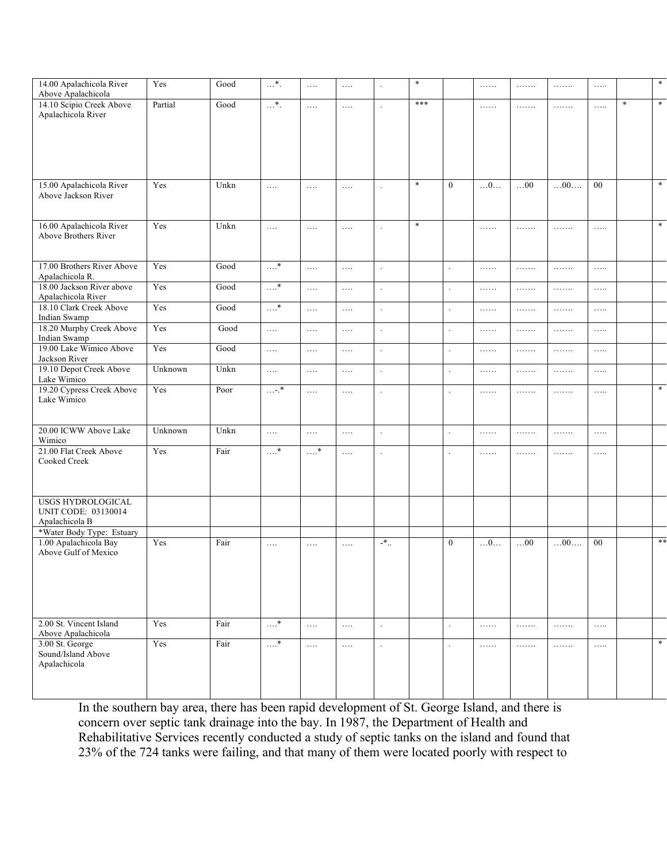| 14.00 Apalachicola River<br>Above Apalachicola        | Yes     | Good | $\overline{\cdots}$   | $\ldots$     | $\dots$   |                            | $\ast$ |                  | $\ldots \ldots$ | .          | .               | .        |        | $\ast$ |
|-------------------------------------------------------|---------|------|-----------------------|--------------|-----------|----------------------------|--------|------------------|-----------------|------------|-----------------|----------|--------|--------|
| 14.10 Scipio Creek Above<br>Apalachicola River        | Partial | Good | $\ldots^*$            | .            | $\ldots$  |                            | $***$  |                  | $\ldots \ldots$ | 1.1.1.1.1  | .               | $\ldots$ | $\ast$ | $*$    |
|                                                       |         |      |                       |              |           |                            |        |                  |                 |            |                 |          |        |        |
|                                                       |         |      |                       |              |           |                            |        |                  |                 |            |                 |          |        |        |
| 15.00 Apalachicola River<br>Above Jackson River       | Yes     | Unkn | $\ldots$              | $\ldots$     | $\dots$   |                            | $\ast$ | $\mathbf{0}$     | $\dots 0 \dots$ | $\dots$ 00 | $\dots00\dots$  | $00\,$   |        | $*$    |
| 16.00 Apalachicola River<br>Above Brothers River      | Yes     | Unkn | $\ldots$              | $\ldots$     | $\dots$   | $\ddot{\phantom{a}}$       | $\ast$ |                  | .               | 1.1.1.1.1  | .               | .        |        | $*$    |
| 17.00 Brothers River Above<br>Apalachicola R.         | Yes     | Good | $\ldots$ *            | $\ldots$     | $\ldots$  | $\ddot{\phantom{a}}$       |        | $\Box$           | $\ldots \ldots$ | 1.1.1.1.1  | .               | $\ldots$ |        |        |
| 18.00 Jackson River above<br>Apalachicola River       | Yes     | Good | $\ldots$ <sup>*</sup> | $\ldots$     | $\ldots$  | $\cdot$                    |        | $\mathbb{Z}^2$   | .               | .          | .               | .        |        |        |
| 18.10 Clark Creek Above<br>Indian Swamp               | Yes     | Good | $\ldots$ *            | .            | $\dots$ . | $\ddot{\phantom{a}}$       |        | $\star$          | $\ldots \ldots$ | .          | .               | $\ldots$ |        |        |
| 18.20 Murphy Creek Above<br>Indian Swamp              | Yes     | Good | $\ldots$              | .            | $\dots$ . |                            |        | $\Box$           | .               | 1.1.1.1.1  | .               | $\ldots$ |        |        |
| 19.00 Lake Wimico Above<br>Jackson River              | Yes     | Good | $\ldots$              | $\ldots$     | $\ldots$  | $\ddot{\phantom{a}}$       |        | $\Box$           | .               | 1.1.1.1.1  | .               | $\ldots$ |        |        |
| 19.10 Depot Creek Above<br>Lake Wimico                | Unknown | Unkn | $\ldots$              | $\ldots$     | $\ldots$  | $\ddot{\phantom{a}}$       |        | $\Box$           | .               | 1.1.1.1.1  | .               | $\ldots$ |        |        |
| 19.20 Cypress Creek Above<br>Lake Wimico              | Yes     | Poor | $\dots$ - $\cdot^*$   | $\ldots$     | $\ldots$  | $\Box$                     |        | $\Box$           | .               | .          | .               | $\ldots$ |        | $*$    |
| 20.00 ICWW Above Lake<br>Wimico                       | Unknown | Unkn | $\ldots$              | $\ldots$     | $\ldots$  | $\mathbb{Z}^2$             |        | $\mathcal{L}$    | .               | .          | .               | $\ldots$ |        |        |
| 21.00 Flat Creek Above<br>Cooked Creek                | Yes     | Fair | $\ldots$ <sup>*</sup> | $\ldots$ $*$ | $\dots$ . | $\ddot{\phantom{a}}$       |        | $\Box$           | .               | 1.1.1.1.1  | .               | $\ldots$ |        |        |
| USGS HYDROLOGICAL                                     |         |      |                       |              |           |                            |        |                  |                 |            |                 |          |        |        |
| <b>UNIT CODE: 03130014</b><br>Apalachicola B          |         |      |                       |              |           |                            |        |                  |                 |            |                 |          |        |        |
| *Water Body Type: Estuary<br>1.00 Apalachicola Bay    | Yes     | Fair |                       |              |           | $\mathord{\text{--}}^\ast$ |        | $\boldsymbol{0}$ |                 | $\dots$ 00 | $\dots 00\dots$ | 00       |        | $***$  |
| Above Gulf of Mexico                                  |         |      | $\ldots$              | $\ldots$     | $\cdots$  |                            |        |                  | $\dots 0\dots$  |            |                 |          |        |        |
|                                                       |         |      |                       |              |           |                            |        |                  |                 |            |                 |          |        |        |
| 2.00 St. Vincent Island<br>Above Apalachicola         | Yes     | Fair | $\ldots^*$            | $\ldots$     | $\ldots$  | $\ddot{\phantom{a}}$       |        | $\mathbb{Z}^2$   | .               | 1.1.1.1.1  | .               | $\ldots$ |        |        |
| 3.00 St. George<br>Sound/Island Above<br>Apalachicola | Yes     | Fair | $\ldots$ <sup>*</sup> | .            | $\dots$ . | $\sim$                     |        | $\Box$           | .               | 1.1.1.1.1  | .               | .        |        | $*$    |
|                                                       |         |      |                       |              |           |                            |        |                  |                 |            |                 |          |        |        |

In the southern bay area, there has been rapid development of St. George Island, and there is concern over septic tank drainage into the bay. In 1987, the Department of Health and Rehabilitative Services recently conducted a study of septic tanks on the island and found that 23% of the 724 tanks were failing, and that many of them were located poorly with respect to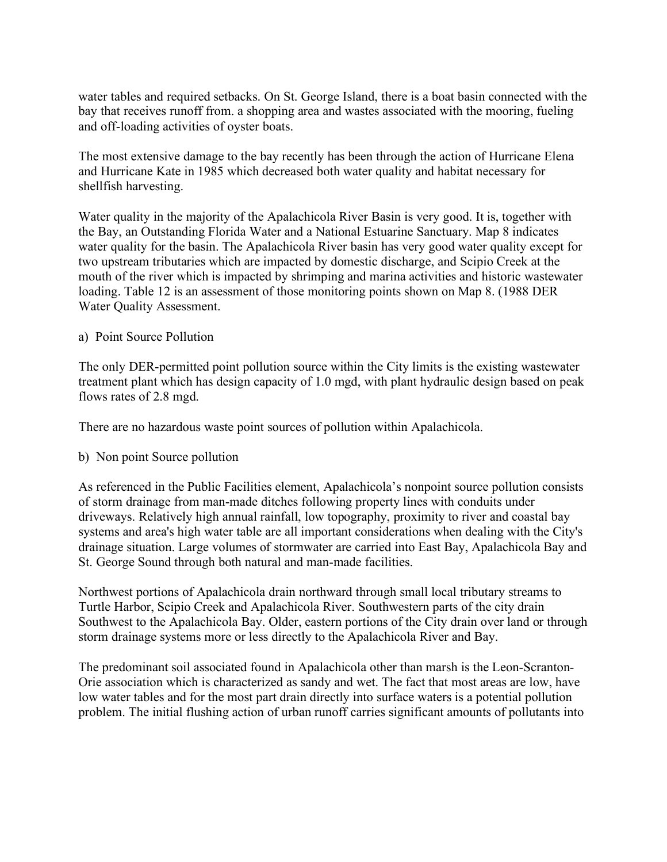water tables and required setbacks. On St. George Island, there is a boat basin connected with the bay that receives runoff from. a shopping area and wastes associated with the mooring, fueling and off-loading activities of oyster boats.

The most extensive damage to the bay recently has been through the action of Hurricane Elena and Hurricane Kate in 1985 which decreased both water quality and habitat necessary for shellfish harvesting.

Water quality in the majority of the Apalachicola River Basin is very good. It is, together with the Bay, an Outstanding Florida Water and a National Estuarine Sanctuary. Map 8 indicates water quality for the basin. The Apalachicola River basin has very good water quality except for two upstream tributaries which are impacted by domestic discharge, and Scipio Creek at the mouth of the river which is impacted by shrimping and marina activities and historic wastewater loading. Table 12 is an assessment of those monitoring points shown on Map 8. (1988 DER Water Quality Assessment.

#### a) Point Source Pollution

The only DER-permitted point pollution source within the City limits is the existing wastewater treatment plant which has design capacity of 1.0 mgd, with plant hydraulic design based on peak flows rates of 2.8 mgd.

There are no hazardous waste point sources of pollution within Apalachicola.

#### b) Non point Source pollution

As referenced in the Public Facilities element, Apalachicola's nonpoint source pollution consists of storm drainage from man-made ditches following property lines with conduits under driveways. Relatively high annual rainfall, low topography, proximity to river and coastal bay systems and area's high water table are all important considerations when dealing with the City's drainage situation. Large volumes of stormwater are carried into East Bay, Apalachicola Bay and St. George Sound through both natural and man-made facilities.

Northwest portions of Apalachicola drain northward through small local tributary streams to Turtle Harbor, Scipio Creek and Apalachicola River. Southwestern parts of the city drain Southwest to the Apalachicola Bay. Older, eastern portions of the City drain over land or through storm drainage systems more or less directly to the Apalachicola River and Bay.

The predominant soil associated found in Apalachicola other than marsh is the Leon-Scranton-Orie association which is characterized as sandy and wet. The fact that most areas are low, have low water tables and for the most part drain directly into surface waters is a potential pollution problem. The initial flushing action of urban runoff carries significant amounts of pollutants into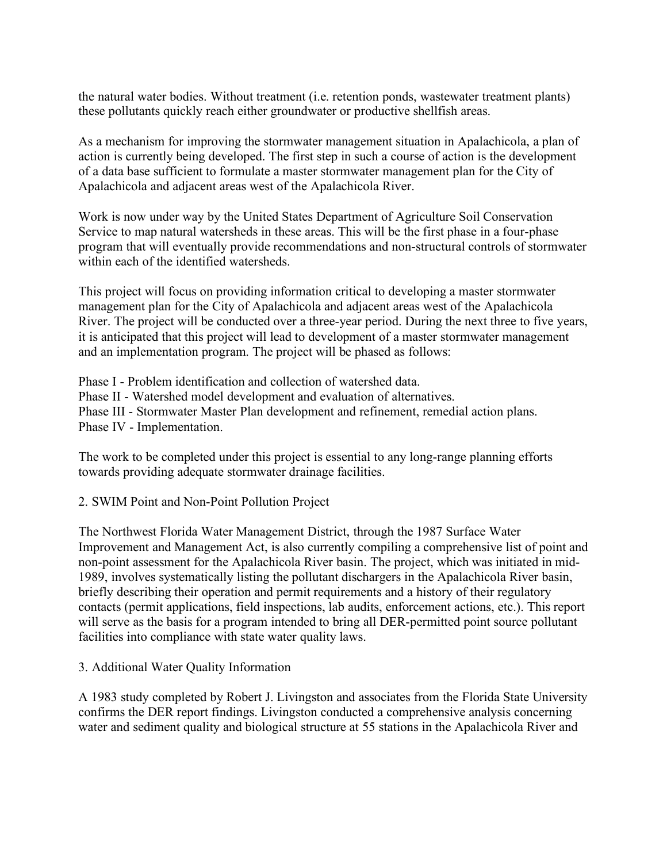the natural water bodies. Without treatment (i.e. retention ponds, wastewater treatment plants) these pollutants quickly reach either groundwater or productive shellfish areas.

As a mechanism for improving the stormwater management situation in Apalachicola, a plan of action is currently being developed. The first step in such a course of action is the development of a data base sufficient to formulate a master stormwater management plan for the City of Apalachicola and adjacent areas west of the Apalachicola River.

Work is now under way by the United States Department of Agriculture Soil Conservation Service to map natural watersheds in these areas. This will be the first phase in a four-phase program that will eventually provide recommendations and non-structural controls of stormwater within each of the identified watersheds.

This project will focus on providing information critical to developing a master stormwater management plan for the City of Apalachicola and adjacent areas west of the Apalachicola River. The project will be conducted over a three-year period. During the next three to five years, it is anticipated that this project will lead to development of a master stormwater management and an implementation program. The project will be phased as follows:

Phase I - Problem identification and collection of watershed data. Phase II - Watershed model development and evaluation of alternatives. Phase III - Stormwater Master Plan development and refinement, remedial action plans. Phase IV - Implementation.

The work to be completed under this project is essential to any long-range planning efforts towards providing adequate stormwater drainage facilities.

2. SWIM Point and Non-Point Pollution Project

The Northwest Florida Water Management District, through the 1987 Surface Water Improvement and Management Act, is also currently compiling a comprehensive list of point and non-point assessment for the Apalachicola River basin. The project, which was initiated in mid-1989, involves systematically listing the pollutant dischargers in the Apalachicola River basin, briefly describing their operation and permit requirements and a history of their regulatory contacts (permit applications, field inspections, lab audits, enforcement actions, etc.). This report will serve as the basis for a program intended to bring all DER-permitted point source pollutant facilities into compliance with state water quality laws.

3. Additional Water Quality Information

A 1983 study completed by Robert J. Livingston and associates from the Florida State University confirms the DER report findings. Livingston conducted a comprehensive analysis concerning water and sediment quality and biological structure at 55 stations in the Apalachicola River and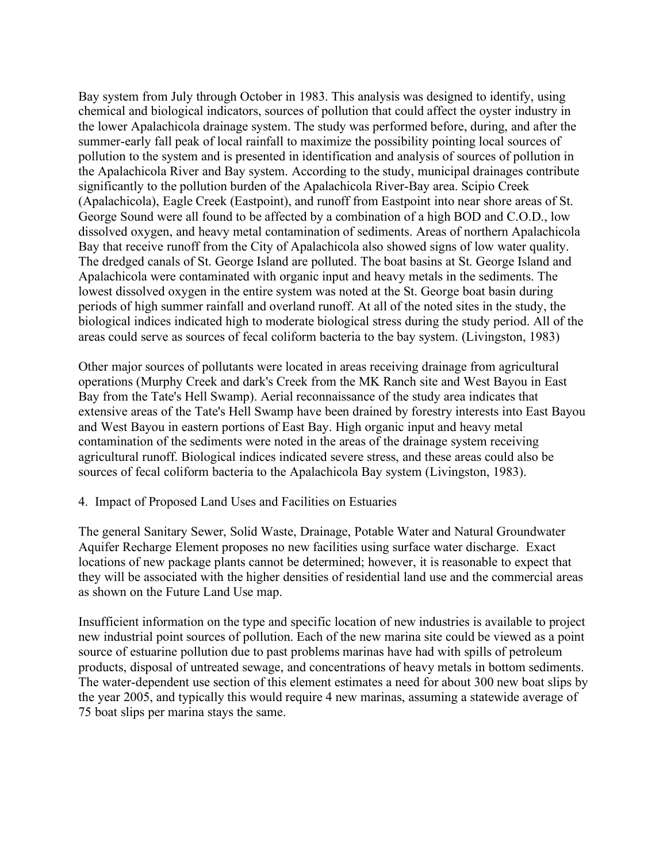Bay system from July through October in 1983. This analysis was designed to identify, using chemical and biological indicators, sources of pollution that could affect the oyster industry in the lower Apalachicola drainage system. The study was performed before, during, and after the summer-early fall peak of local rainfall to maximize the possibility pointing local sources of pollution to the system and is presented in identification and analysis of sources of pollution in the Apalachicola River and Bay system. According to the study, municipal drainages contribute significantly to the pollution burden of the Apalachicola River-Bay area. Scipio Creek (Apalachicola), Eagle Creek (Eastpoint), and runoff from Eastpoint into near shore areas of St. George Sound were all found to be affected by a combination of a high BOD and C.O.D., low dissolved oxygen, and heavy metal contamination of sediments. Areas of northern Apalachicola Bay that receive runoff from the City of Apalachicola also showed signs of low water quality. The dredged canals of St. George Island are polluted. The boat basins at St. George Island and Apalachicola were contaminated with organic input and heavy metals in the sediments. The lowest dissolved oxygen in the entire system was noted at the St. George boat basin during periods of high summer rainfall and overland runoff. At all of the noted sites in the study, the biological indices indicated high to moderate biological stress during the study period. All of the areas could serve as sources of fecal coliform bacteria to the bay system. (Livingston, 1983)

Other major sources of pollutants were located in areas receiving drainage from agricultural operations (Murphy Creek and dark's Creek from the MK Ranch site and West Bayou in East Bay from the Tate's Hell Swamp). Aerial reconnaissance of the study area indicates that extensive areas of the Tate's Hell Swamp have been drained by forestry interests into East Bayou and West Bayou in eastern portions of East Bay. High organic input and heavy metal contamination of the sediments were noted in the areas of the drainage system receiving agricultural runoff. Biological indices indicated severe stress, and these areas could also be sources of fecal coliform bacteria to the Apalachicola Bay system (Livingston, 1983).

4. Impact of Proposed Land Uses and Facilities on Estuaries

The general Sanitary Sewer, Solid Waste, Drainage, Potable Water and Natural Groundwater Aquifer Recharge Element proposes no new facilities using surface water discharge. Exact locations of new package plants cannot be determined; however, it is reasonable to expect that they will be associated with the higher densities of residential land use and the commercial areas as shown on the Future Land Use map.

Insufficient information on the type and specific location of new industries is available to project new industrial point sources of pollution. Each of the new marina site could be viewed as a point source of estuarine pollution due to past problems marinas have had with spills of petroleum products, disposal of untreated sewage, and concentrations of heavy metals in bottom sediments. The water-dependent use section of this element estimates a need for about 300 new boat slips by the year 2005, and typically this would require 4 new marinas, assuming a statewide average of 75 boat slips per marina stays the same.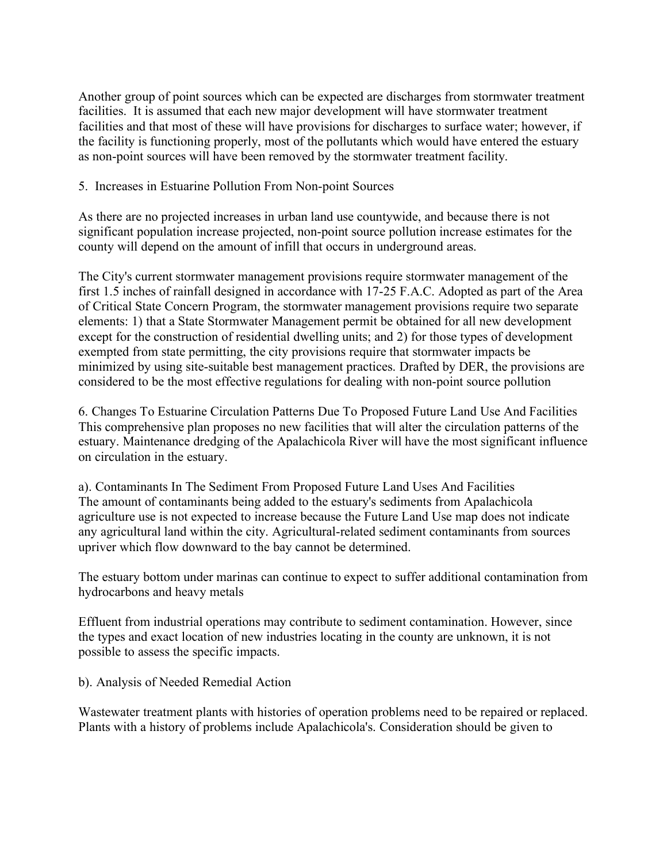Another group of point sources which can be expected are discharges from stormwater treatment facilities. It is assumed that each new major development will have stormwater treatment facilities and that most of these will have provisions for discharges to surface water; however, if the facility is functioning properly, most of the pollutants which would have entered the estuary as non-point sources will have been removed by the stormwater treatment facility.

#### 5. Increases in Estuarine Pollution From Non-point Sources

As there are no projected increases in urban land use countywide, and because there is not significant population increase projected, non-point source pollution increase estimates for the county will depend on the amount of infill that occurs in underground areas.

The City's current stormwater management provisions require stormwater management of the first 1.5 inches of rainfall designed in accordance with 17-25 F.A.C. Adopted as part of the Area of Critical State Concern Program, the stormwater management provisions require two separate elements: 1) that a State Stormwater Management permit be obtained for all new development except for the construction of residential dwelling units; and 2) for those types of development exempted from state permitting, the city provisions require that stormwater impacts be minimized by using site-suitable best management practices. Drafted by DER, the provisions are considered to be the most effective regulations for dealing with non-point source pollution

6. Changes To Estuarine Circulation Patterns Due To Proposed Future Land Use And Facilities This comprehensive plan proposes no new facilities that will alter the circulation patterns of the estuary. Maintenance dredging of the Apalachicola River will have the most significant influence on circulation in the estuary.

a). Contaminants In The Sediment From Proposed Future Land Uses And Facilities The amount of contaminants being added to the estuary's sediments from Apalachicola agriculture use is not expected to increase because the Future Land Use map does not indicate any agricultural land within the city. Agricultural-related sediment contaminants from sources upriver which flow downward to the bay cannot be determined.

The estuary bottom under marinas can continue to expect to suffer additional contamination from hydrocarbons and heavy metals

Effluent from industrial operations may contribute to sediment contamination. However, since the types and exact location of new industries locating in the county are unknown, it is not possible to assess the specific impacts.

b). Analysis of Needed Remedial Action

Wastewater treatment plants with histories of operation problems need to be repaired or replaced. Plants with a history of problems include Apalachicola's. Consideration should be given to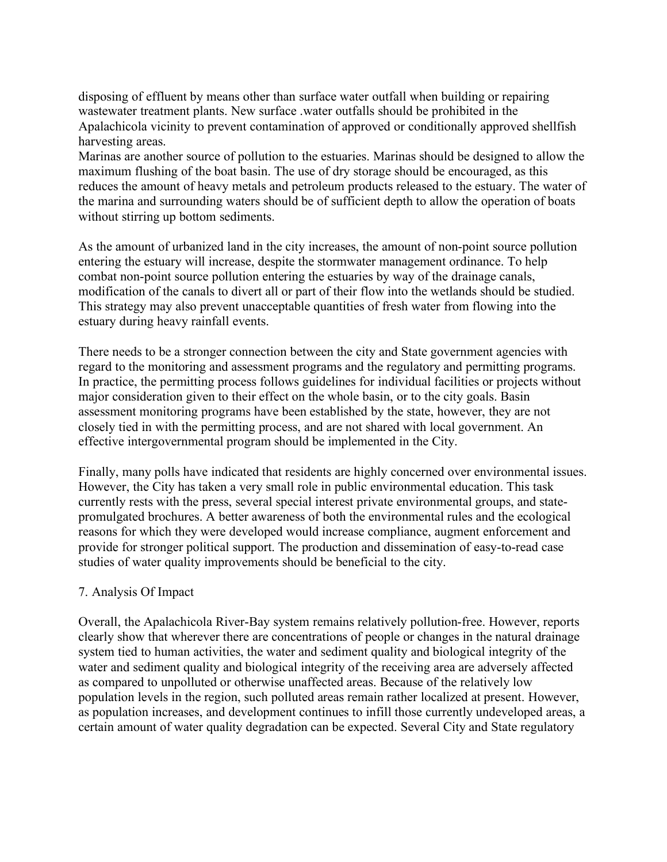disposing of effluent by means other than surface water outfall when building or repairing wastewater treatment plants. New surface .water outfalls should be prohibited in the Apalachicola vicinity to prevent contamination of approved or conditionally approved shellfish harvesting areas.

Marinas are another source of pollution to the estuaries. Marinas should be designed to allow the maximum flushing of the boat basin. The use of dry storage should be encouraged, as this reduces the amount of heavy metals and petroleum products released to the estuary. The water of the marina and surrounding waters should be of sufficient depth to allow the operation of boats without stirring up bottom sediments.

As the amount of urbanized land in the city increases, the amount of non-point source pollution entering the estuary will increase, despite the stormwater management ordinance. To help combat non-point source pollution entering the estuaries by way of the drainage canals, modification of the canals to divert all or part of their flow into the wetlands should be studied. This strategy may also prevent unacceptable quantities of fresh water from flowing into the estuary during heavy rainfall events.

There needs to be a stronger connection between the city and State government agencies with regard to the monitoring and assessment programs and the regulatory and permitting programs. In practice, the permitting process follows guidelines for individual facilities or projects without major consideration given to their effect on the whole basin, or to the city goals. Basin assessment monitoring programs have been established by the state, however, they are not closely tied in with the permitting process, and are not shared with local government. An effective intergovernmental program should be implemented in the City.

Finally, many polls have indicated that residents are highly concerned over environmental issues. However, the City has taken a very small role in public environmental education. This task currently rests with the press, several special interest private environmental groups, and statepromulgated brochures. A better awareness of both the environmental rules and the ecological reasons for which they were developed would increase compliance, augment enforcement and provide for stronger political support. The production and dissemination of easy-to-read case studies of water quality improvements should be beneficial to the city.

# 7. Analysis Of Impact

Overall, the Apalachicola River-Bay system remains relatively pollution-free. However, reports clearly show that wherever there are concentrations of people or changes in the natural drainage system tied to human activities, the water and sediment quality and biological integrity of the water and sediment quality and biological integrity of the receiving area are adversely affected as compared to unpolluted or otherwise unaffected areas. Because of the relatively low population levels in the region, such polluted areas remain rather localized at present. However, as population increases, and development continues to infill those currently undeveloped areas, a certain amount of water quality degradation can be expected. Several City and State regulatory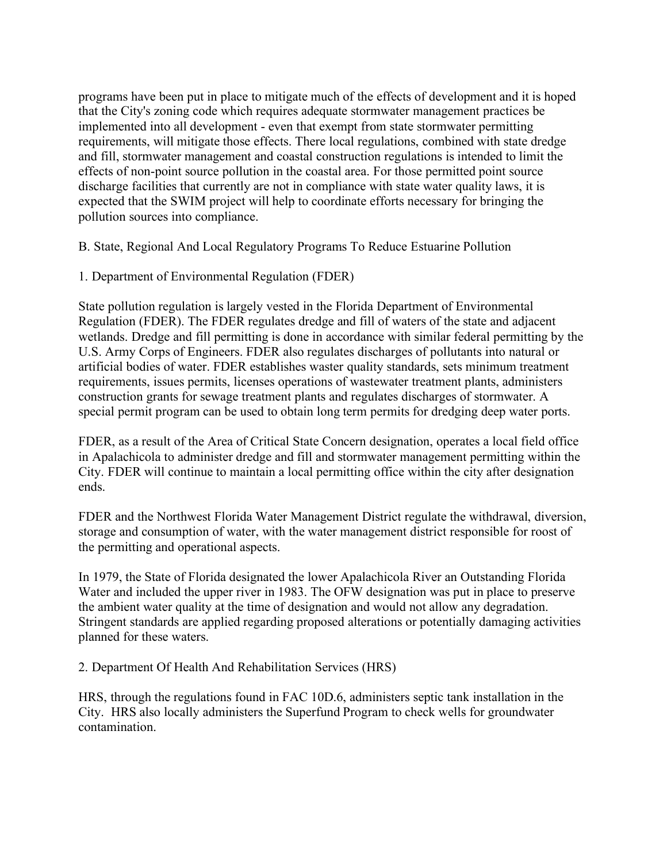programs have been put in place to mitigate much of the effects of development and it is hoped that the City's zoning code which requires adequate stormwater management practices be implemented into all development - even that exempt from state stormwater permitting requirements, will mitigate those effects. There local regulations, combined with state dredge and fill, stormwater management and coastal construction regulations is intended to limit the effects of non-point source pollution in the coastal area. For those permitted point source discharge facilities that currently are not in compliance with state water quality laws, it is expected that the SWIM project will help to coordinate efforts necessary for bringing the pollution sources into compliance.

B. State, Regional And Local Regulatory Programs To Reduce Estuarine Pollution

1. Department of Environmental Regulation (FDER)

State pollution regulation is largely vested in the Florida Department of Environmental Regulation (FDER). The FDER regulates dredge and fill of waters of the state and adjacent wetlands. Dredge and fill permitting is done in accordance with similar federal permitting by the U.S. Army Corps of Engineers. FDER also regulates discharges of pollutants into natural or artificial bodies of water. FDER establishes waster quality standards, sets minimum treatment requirements, issues permits, licenses operations of wastewater treatment plants, administers construction grants for sewage treatment plants and regulates discharges of stormwater. A special permit program can be used to obtain long term permits for dredging deep water ports.

FDER, as a result of the Area of Critical State Concern designation, operates a local field office in Apalachicola to administer dredge and fill and stormwater management permitting within the City. FDER will continue to maintain a local permitting office within the city after designation ends.

FDER and the Northwest Florida Water Management District regulate the withdrawal, diversion, storage and consumption of water, with the water management district responsible for roost of the permitting and operational aspects.

In 1979, the State of Florida designated the lower Apalachicola River an Outstanding Florida Water and included the upper river in 1983. The OFW designation was put in place to preserve the ambient water quality at the time of designation and would not allow any degradation. Stringent standards are applied regarding proposed alterations or potentially damaging activities planned for these waters.

2. Department Of Health And Rehabilitation Services (HRS)

HRS, through the regulations found in FAC 10D.6, administers septic tank installation in the City. HRS also locally administers the Superfund Program to check wells for groundwater contamination.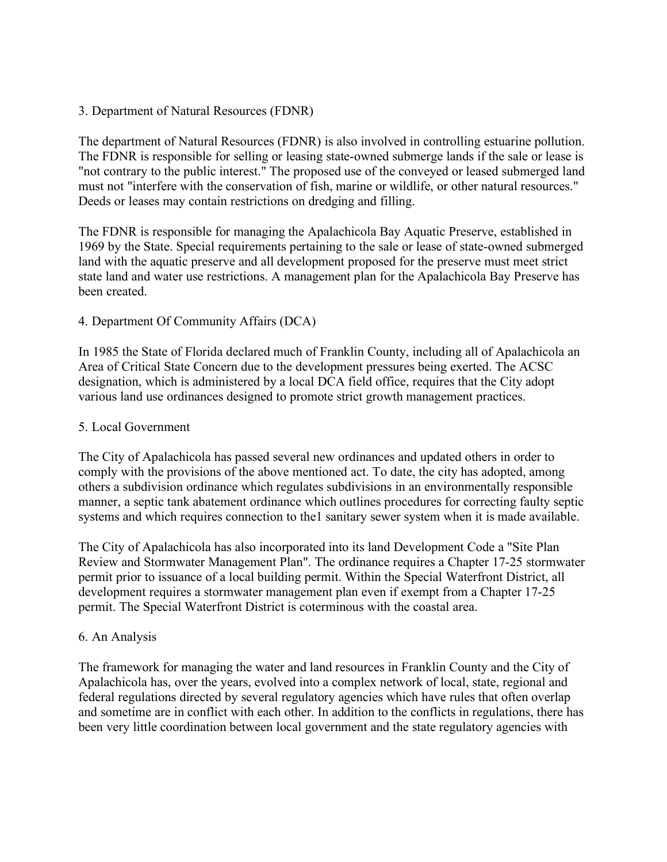## 3. Department of Natural Resources (FDNR)

The department of Natural Resources (FDNR) is also involved in controlling estuarine pollution. The FDNR is responsible for selling or leasing state-owned submerge lands if the sale or lease is "not contrary to the public interest." The proposed use of the conveyed or leased submerged land must not "interfere with the conservation of fish, marine or wildlife, or other natural resources." Deeds or leases may contain restrictions on dredging and filling.

The FDNR is responsible for managing the Apalachicola Bay Aquatic Preserve, established in 1969 by the State. Special requirements pertaining to the sale or lease of state-owned submerged land with the aquatic preserve and all development proposed for the preserve must meet strict state land and water use restrictions. A management plan for the Apalachicola Bay Preserve has been created.

## 4. Department Of Community Affairs (DCA)

In 1985 the State of Florida declared much of Franklin County, including all of Apalachicola an Area of Critical State Concern due to the development pressures being exerted. The ACSC designation, which is administered by a local DCA field office, requires that the City adopt various land use ordinances designed to promote strict growth management practices.

#### 5. Local Government

The City of Apalachicola has passed several new ordinances and updated others in order to comply with the provisions of the above mentioned act. To date, the city has adopted, among others a subdivision ordinance which regulates subdivisions in an environmentally responsible manner, a septic tank abatement ordinance which outlines procedures for correcting faulty septic systems and which requires connection to the1 sanitary sewer system when it is made available.

The City of Apalachicola has also incorporated into its land Development Code a "Site Plan Review and Stormwater Management Plan". The ordinance requires a Chapter 17-25 stormwater permit prior to issuance of a local building permit. Within the Special Waterfront District, all development requires a stormwater management plan even if exempt from a Chapter 17-25 permit. The Special Waterfront District is coterminous with the coastal area.

#### 6. An Analysis

The framework for managing the water and land resources in Franklin County and the City of Apalachicola has, over the years, evolved into a complex network of local, state, regional and federal regulations directed by several regulatory agencies which have rules that often overlap and sometime are in conflict with each other. In addition to the conflicts in regulations, there has been very little coordination between local government and the state regulatory agencies with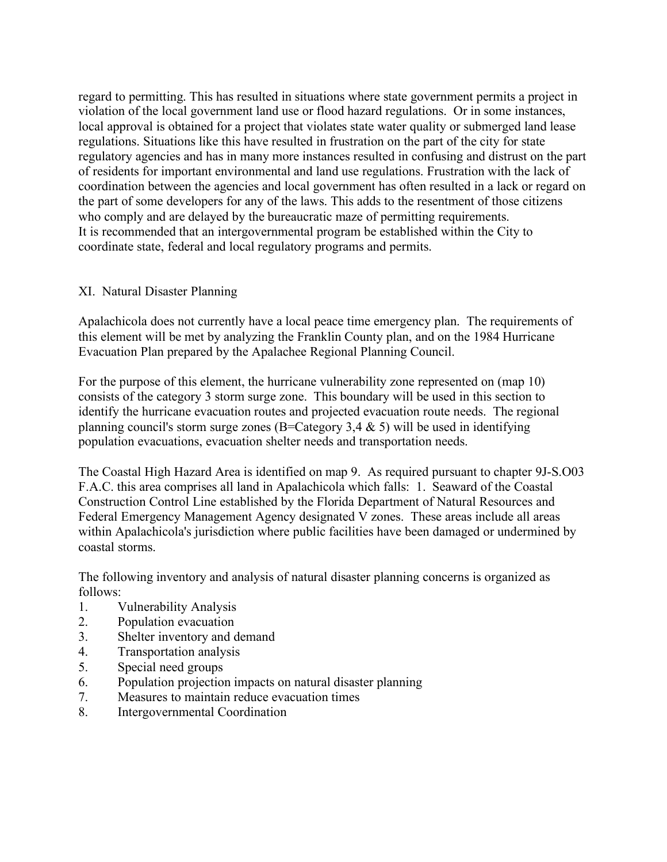regard to permitting. This has resulted in situations where state government permits a project in violation of the local government land use or flood hazard regulations. Or in some instances, local approval is obtained for a project that violates state water quality or submerged land lease regulations. Situations like this have resulted in frustration on the part of the city for state regulatory agencies and has in many more instances resulted in confusing and distrust on the part of residents for important environmental and land use regulations. Frustration with the lack of coordination between the agencies and local government has often resulted in a lack or regard on the part of some developers for any of the laws. This adds to the resentment of those citizens who comply and are delayed by the bureaucratic maze of permitting requirements. It is recommended that an intergovernmental program be established within the City to coordinate state, federal and local regulatory programs and permits.

# XI. Natural Disaster Planning

Apalachicola does not currently have a local peace time emergency plan. The requirements of this element will be met by analyzing the Franklin County plan, and on the 1984 Hurricane Evacuation Plan prepared by the Apalachee Regional Planning Council.

For the purpose of this element, the hurricane vulnerability zone represented on (map 10) consists of the category 3 storm surge zone. This boundary will be used in this section to identify the hurricane evacuation routes and projected evacuation route needs. The regional planning council's storm surge zones (B=Category 3,4  $\&$  5) will be used in identifying population evacuations, evacuation shelter needs and transportation needs.

The Coastal High Hazard Area is identified on map 9. As required pursuant to chapter 9J-S.O03 F.A.C. this area comprises all land in Apalachicola which falls: 1. Seaward of the Coastal Construction Control Line established by the Florida Department of Natural Resources and Federal Emergency Management Agency designated V zones. These areas include all areas within Apalachicola's jurisdiction where public facilities have been damaged or undermined by coastal storms.

The following inventory and analysis of natural disaster planning concerns is organized as follows:

- 1. Vulnerability Analysis
- 2. Population evacuation
- 3. Shelter inventory and demand
- 4. Transportation analysis
- 5. Special need groups
- 6. Population projection impacts on natural disaster planning
- 7. Measures to maintain reduce evacuation times
- 8. Intergovernmental Coordination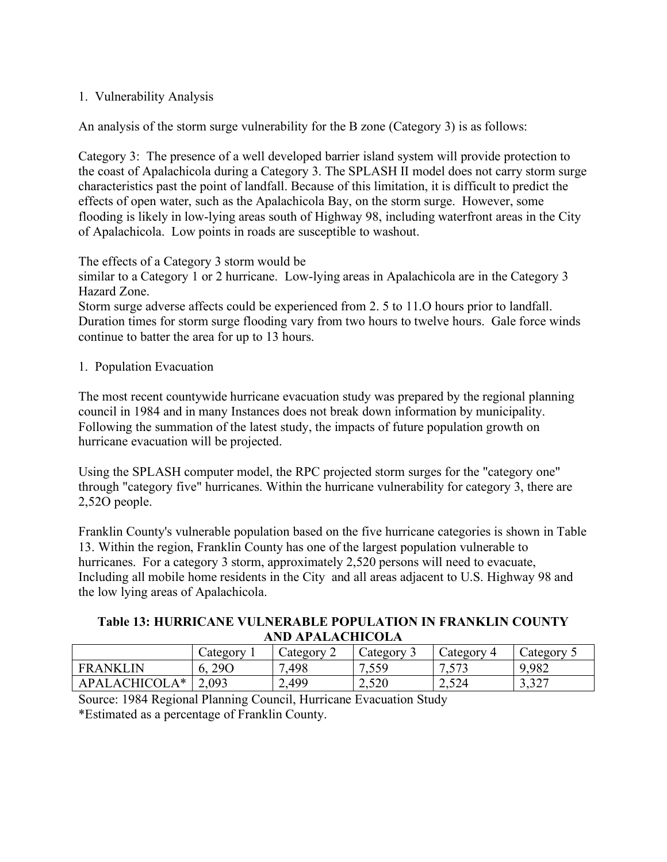# 1. Vulnerability Analysis

An analysis of the storm surge vulnerability for the B zone (Category 3) is as follows:

Category 3: The presence of a well developed barrier island system will provide protection to the coast of Apalachicola during a Category 3. The SPLASH II model does not carry storm surge characteristics past the point of landfall. Because of this limitation, it is difficult to predict the effects of open water, such as the Apalachicola Bay, on the storm surge. However, some flooding is likely in low-lying areas south of Highway 98, including waterfront areas in the City of Apalachicola. Low points in roads are susceptible to washout.

The effects of a Category 3 storm would be

similar to a Category 1 or 2 hurricane. Low-lying areas in Apalachicola are in the Category 3 Hazard Zone.

Storm surge adverse affects could be experienced from 2. 5 to 11.O hours prior to landfall. Duration times for storm surge flooding vary from two hours to twelve hours. Gale force winds continue to batter the area for up to 13 hours.

#### 1. Population Evacuation

The most recent countywide hurricane evacuation study was prepared by the regional planning council in 1984 and in many Instances does not break down information by municipality. Following the summation of the latest study, the impacts of future population growth on hurricane evacuation will be projected.

Using the SPLASH computer model, the RPC projected storm surges for the "category one" through "category five" hurricanes. Within the hurricane vulnerability for category 3, there are 2,52O people.

Franklin County's vulnerable population based on the five hurricane categories is shown in Table 13. Within the region, Franklin County has one of the largest population vulnerable to hurricanes. For a category 3 storm, approximately 2,520 persons will need to evacuate, Including all mobile home residents in the City and all areas adjacent to U.S. Highway 98 and the low lying areas of Apalachicola.

#### **Table 13: HURRICANE VULNERABLE POPULATION IN FRANKLIN COUNTY AND APALACHICOLA**

|                           | Category  | $\angle$ ategory<br>∸ | $\angle$ ategory | $\angle$ ategory | $\alpha$ at egory      |
|---------------------------|-----------|-----------------------|------------------|------------------|------------------------|
| . IN<br><b>FRANKL</b>     | 290<br>v. | ,498                  | 550<br>ر س گ     | 572<br>. J I J   | 9,982                  |
| <b>APAI</b><br>$\Delta$ ( | 2,093     | 2,499                 | 2,520            | 2,524            | 2.22<br><u>، ۲٫۰</u> ۰ |

Source: 1984 Regional Planning Council, Hurricane Evacuation Study \*Estimated as a percentage of Franklin County.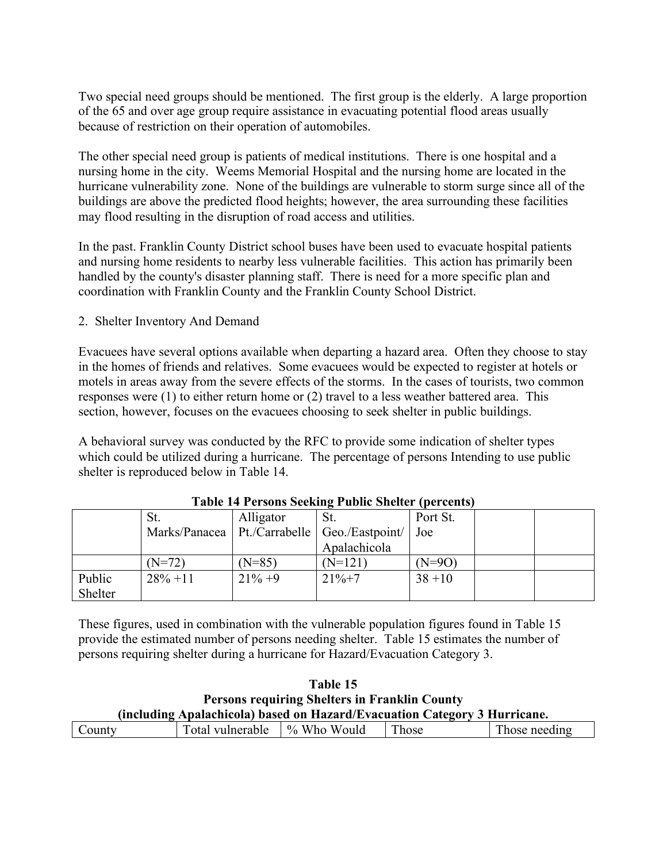Two special need groups should be mentioned. The first group is the elderly. A large proportion of the 65 and over age group require assistance in evacuating potential flood areas usually because of restriction on their operation of automobiles.

The other special need group is patients of medical institutions. There is one hospital and a nursing home in the city. Weems Memorial Hospital and the nursing home are located in the hurricane vulnerability zone. None of the buildings are vulnerable to storm surge since all of the buildings are above the predicted flood heights; however, the area surrounding these facilities may flood resulting in the disruption of road access and utilities.

In the past. Franklin County District school buses have been used to evacuate hospital patients and nursing home residents to nearby less vulnerable facilities. This action has primarily been handled by the county's disaster planning staff. There is need for a more specific plan and coordination with Franklin County and the Franklin County School District.

2. Shelter Inventory And Demand

Evacuees have several options available when departing a hazard area. Often they choose to stay in the homes of friends and relatives. Some evacuees would be expected to register at hotels or motels in areas away from the severe effects of the storms. In the cases of tourists, two common responses were (1) to either return home or (2) travel to a less weather battered area. This section, however, focuses on the evacuees choosing to seek shelter in public buildings.

A behavioral survey was conducted by the RFC to provide some indication of shelter types which could be utilized during a hurricane. The percentage of persons Intending to use public shelter is reproduced below in Table 14.

|                   | St.         | Alligator  | St.                                              | Port St.  |  |
|-------------------|-------------|------------|--------------------------------------------------|-----------|--|
|                   |             |            | Marks/Panacea   Pt./Carrabelle   Geo./Eastpoint/ | Joe       |  |
|                   |             |            | Apalachicola                                     |           |  |
|                   | (N=72)      | $(N=85)$   | $(N=121)$                                        | (N=9O)    |  |
| Public<br>Shelter | $28\% + 11$ | $21\% + 9$ | $21\% + 7$                                       | $38 + 10$ |  |

#### **Table 14 Persons Seeking Public Shelter (percents)**

These figures, used in combination with the vulnerable population figures found in Table 15 provide the estimated number of persons needing shelter. Table 15 estimates the number of persons requiring shelter during a hurricane for Hazard/Evacuation Category 3.

| <b>Table 15</b>                                                           |                  |                |       |               |  |  |  |  |
|---------------------------------------------------------------------------|------------------|----------------|-------|---------------|--|--|--|--|
| <b>Persons requiring Shelters in Franklin County</b>                      |                  |                |       |               |  |  |  |  |
| (including Apalachicola) based on Hazard/Evacuation Category 3 Hurricane. |                  |                |       |               |  |  |  |  |
| County                                                                    | Total vulnerable | $\%$ Who Would | Those | Those needing |  |  |  |  |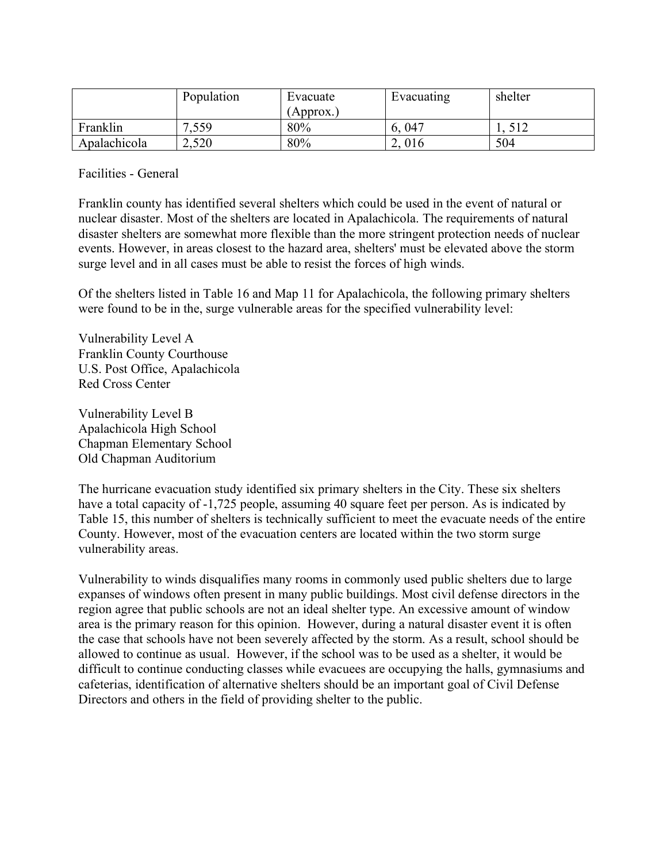|              | Population | Evacuate<br>(Approx.) | Evacuating | shelter |
|--------------|------------|-----------------------|------------|---------|
| Franklin     | 7.559      | 80%                   | 047<br>6.  | 512     |
| Apalachicola | 2,520      | 80%                   | 016<br>∼   | 504     |

Facilities - General

Franklin county has identified several shelters which could be used in the event of natural or nuclear disaster. Most of the shelters are located in Apalachicola. The requirements of natural disaster shelters are somewhat more flexible than the more stringent protection needs of nuclear events. However, in areas closest to the hazard area, shelters' must be elevated above the storm surge level and in all cases must be able to resist the forces of high winds.

Of the shelters listed in Table 16 and Map 11 for Apalachicola, the following primary shelters were found to be in the, surge vulnerable areas for the specified vulnerability level:

Vulnerability Level A Franklin County Courthouse U.S. Post Office, Apalachicola Red Cross Center

Vulnerability Level B Apalachicola High School Chapman Elementary School Old Chapman Auditorium

The hurricane evacuation study identified six primary shelters in the City. These six shelters have a total capacity of -1,725 people, assuming 40 square feet per person. As is indicated by Table 15, this number of shelters is technically sufficient to meet the evacuate needs of the entire County. However, most of the evacuation centers are located within the two storm surge vulnerability areas.

Vulnerability to winds disqualifies many rooms in commonly used public shelters due to large expanses of windows often present in many public buildings. Most civil defense directors in the region agree that public schools are not an ideal shelter type. An excessive amount of window area is the primary reason for this opinion. However, during a natural disaster event it is often the case that schools have not been severely affected by the storm. As a result, school should be allowed to continue as usual. However, if the school was to be used as a shelter, it would be difficult to continue conducting classes while evacuees are occupying the halls, gymnasiums and cafeterias, identification of alternative shelters should be an important goal of Civil Defense Directors and others in the field of providing shelter to the public.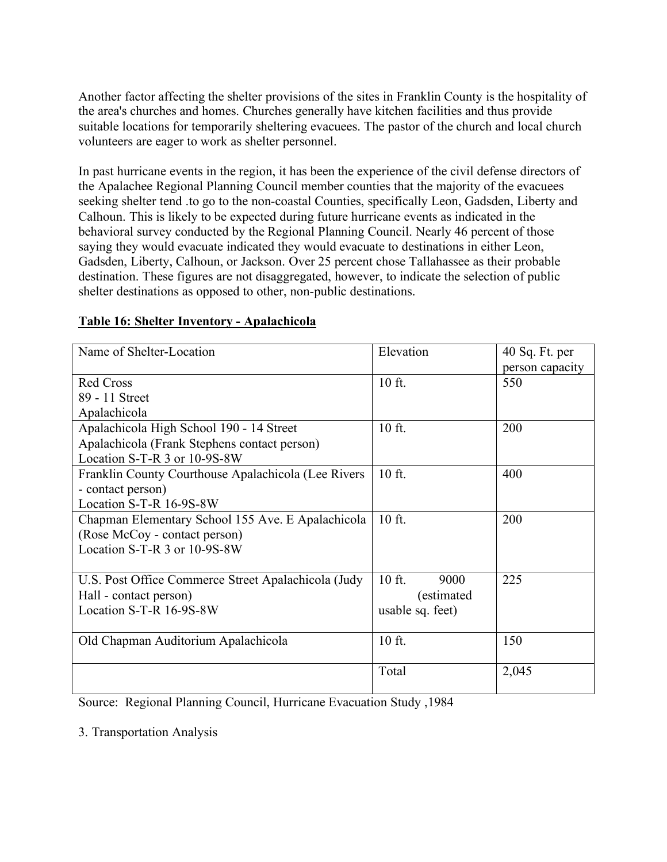Another factor affecting the shelter provisions of the sites in Franklin County is the hospitality of the area's churches and homes. Churches generally have kitchen facilities and thus provide suitable locations for temporarily sheltering evacuees. The pastor of the church and local church volunteers are eager to work as shelter personnel.

In past hurricane events in the region, it has been the experience of the civil defense directors of the Apalachee Regional Planning Council member counties that the majority of the evacuees seeking shelter tend .to go to the non-coastal Counties, specifically Leon, Gadsden, Liberty and Calhoun. This is likely to be expected during future hurricane events as indicated in the behavioral survey conducted by the Regional Planning Council. Nearly 46 percent of those saying they would evacuate indicated they would evacuate to destinations in either Leon, Gadsden, Liberty, Calhoun, or Jackson. Over 25 percent chose Tallahassee as their probable destination. These figures are not disaggregated, however, to indicate the selection of public shelter destinations as opposed to other, non-public destinations.

| Name of Shelter-Location                            | Elevation        | $40$ Sq. Ft. per<br>person capacity |
|-----------------------------------------------------|------------------|-------------------------------------|
| <b>Red Cross</b>                                    | 10 ft.           | 550                                 |
| 89 - 11 Street                                      |                  |                                     |
| Apalachicola                                        |                  |                                     |
| Apalachicola High School 190 - 14 Street            | 10 ft.           | 200                                 |
| Apalachicola (Frank Stephens contact person)        |                  |                                     |
| Location S-T-R 3 or 10-9S-8W                        |                  |                                     |
| Franklin County Courthouse Apalachicola (Lee Rivers | 10 ft.           | 400                                 |
| - contact person)                                   |                  |                                     |
| Location S-T-R 16-9S-8W                             |                  |                                     |
| Chapman Elementary School 155 Ave. E Apalachicola   | 10 ft.           | 200                                 |
| (Rose McCoy - contact person)                       |                  |                                     |
| Location S-T-R 3 or 10-9S-8W                        |                  |                                     |
|                                                     |                  |                                     |
| U.S. Post Office Commerce Street Apalachicola (Judy | $10$ ft.<br>9000 | 225                                 |
| Hall - contact person)                              | (estimated)      |                                     |
| Location S-T-R 16-9S-8W                             | usable sq. feet) |                                     |
|                                                     |                  |                                     |
| Old Chapman Auditorium Apalachicola                 | 10 ft.           | 150                                 |
|                                                     |                  |                                     |
|                                                     | Total            | 2,045                               |
|                                                     |                  |                                     |

# **Table 16: Shelter Inventory - Apalachicola**

Source: Regional Planning Council, Hurricane Evacuation Study ,1984

3. Transportation Analysis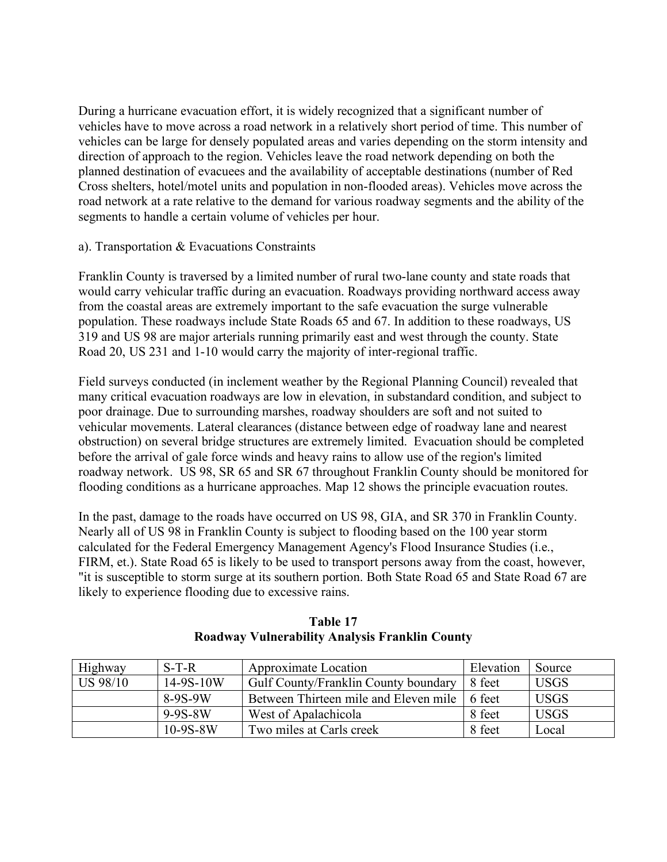During a hurricane evacuation effort, it is widely recognized that a significant number of vehicles have to move across a road network in a relatively short period of time. This number of vehicles can be large for densely populated areas and varies depending on the storm intensity and direction of approach to the region. Vehicles leave the road network depending on both the planned destination of evacuees and the availability of acceptable destinations (number of Red Cross shelters, hotel/motel units and population in non-flooded areas). Vehicles move across the road network at a rate relative to the demand for various roadway segments and the ability of the segments to handle a certain volume of vehicles per hour.

## a). Transportation & Evacuations Constraints

Franklin County is traversed by a limited number of rural two-lane county and state roads that would carry vehicular traffic during an evacuation. Roadways providing northward access away from the coastal areas are extremely important to the safe evacuation the surge vulnerable population. These roadways include State Roads 65 and 67. In addition to these roadways, US 319 and US 98 are major arterials running primarily east and west through the county. State Road 20, US 231 and 1-10 would carry the majority of inter-regional traffic.

Field surveys conducted (in inclement weather by the Regional Planning Council) revealed that many critical evacuation roadways are low in elevation, in substandard condition, and subject to poor drainage. Due to surrounding marshes, roadway shoulders are soft and not suited to vehicular movements. Lateral clearances (distance between edge of roadway lane and nearest obstruction) on several bridge structures are extremely limited. Evacuation should be completed before the arrival of gale force winds and heavy rains to allow use of the region's limited roadway network. US 98, SR 65 and SR 67 throughout Franklin County should be monitored for flooding conditions as a hurricane approaches. Map 12 shows the principle evacuation routes.

In the past, damage to the roads have occurred on US 98, GIA, and SR 370 in Franklin County. Nearly all of US 98 in Franklin County is subject to flooding based on the 100 year storm calculated for the Federal Emergency Management Agency's Flood Insurance Studies (i.e., FIRM, et.). State Road 65 is likely to be used to transport persons away from the coast, however, "it is susceptible to storm surge at its southern portion. Both State Road 65 and State Road 67 are likely to experience flooding due to excessive rains.

| Highway         | $S-T-R$       | Approximate Location                  | Elevation | Source      |
|-----------------|---------------|---------------------------------------|-----------|-------------|
| <b>US 98/10</b> | 14-9S-10W     | Gulf County/Franklin County boundary  | 8 feet    | <b>USGS</b> |
|                 | $8-9S-9W$     | Between Thirteen mile and Eleven mile | 6 feet    | <b>USGS</b> |
|                 | $9 - 9S - 8W$ | West of Apalachicola                  | 8 feet    | <b>USGS</b> |
|                 | $10-9S-8W$    | Two miles at Carls creek              | 8 feet    | Local       |

# **Table 17 Roadway Vulnerability Analysis Franklin County**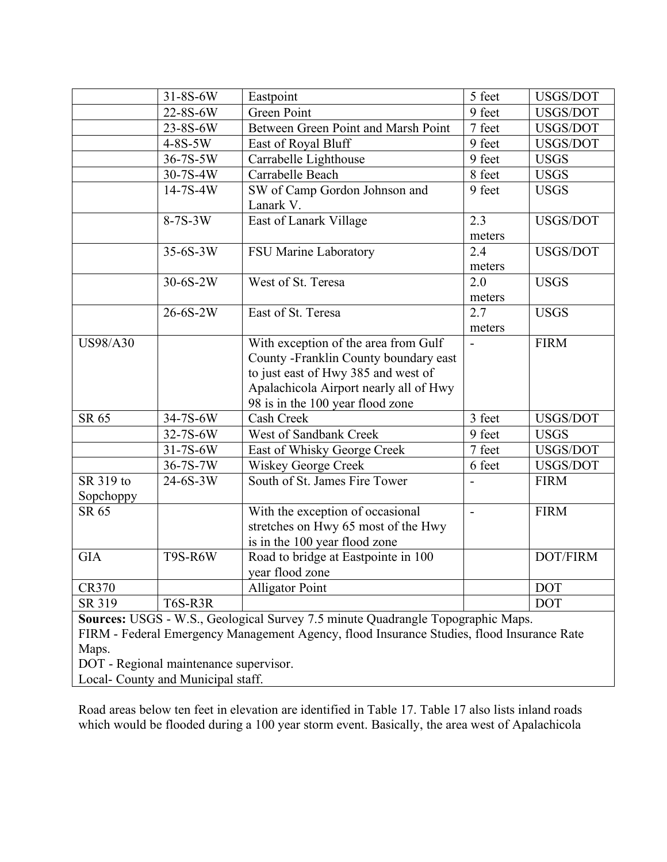|                        | 31-8S-6W                                                                     | Eastpoint                                                                                                                                                                                          | 5 feet         | USGS/DOT        |
|------------------------|------------------------------------------------------------------------------|----------------------------------------------------------------------------------------------------------------------------------------------------------------------------------------------------|----------------|-----------------|
|                        | 22-8S-6W                                                                     | <b>Green Point</b>                                                                                                                                                                                 | 9 feet         | USGS/DOT        |
|                        | 23-8S-6W                                                                     | Between Green Point and Marsh Point                                                                                                                                                                | 7 feet         | USGS/DOT        |
|                        | $4-8S-5W$                                                                    | East of Royal Bluff                                                                                                                                                                                | 9 feet         | USGS/DOT        |
|                        | 36-7S-5W                                                                     | Carrabelle Lighthouse                                                                                                                                                                              | 9 feet         | <b>USGS</b>     |
|                        | 30-7S-4W                                                                     | Carrabelle Beach                                                                                                                                                                                   | 8 feet         | <b>USGS</b>     |
|                        | $14 - 7S - 4W$                                                               | SW of Camp Gordon Johnson and<br>Lanark V.                                                                                                                                                         | 9 feet         | <b>USGS</b>     |
|                        | $8-7S-3W$                                                                    | East of Lanark Village                                                                                                                                                                             | 2.3<br>meters  | USGS/DOT        |
|                        | $35-6S-3W$                                                                   | FSU Marine Laboratory                                                                                                                                                                              | 2.4<br>meters  | USGS/DOT        |
|                        | $30 - 6S - 2W$                                                               | West of St. Teresa                                                                                                                                                                                 | 2.0<br>meters  | <b>USGS</b>     |
|                        | 26-6S-2W                                                                     | East of St. Teresa                                                                                                                                                                                 | 2.7<br>meters  | <b>USGS</b>     |
| <b>US98/A30</b>        |                                                                              | With exception of the area from Gulf<br>County -Franklin County boundary east<br>to just east of Hwy 385 and west of<br>Apalachicola Airport nearly all of Hwy<br>98 is in the 100 year flood zone | $\blacksquare$ | <b>FIRM</b>     |
| SR 65                  | 34-7S-6W                                                                     | Cash Creek                                                                                                                                                                                         | 3 feet         | USGS/DOT        |
|                        | 32-7S-6W                                                                     | West of Sandbank Creek                                                                                                                                                                             | 9 feet         | <b>USGS</b>     |
|                        | 31-7S-6W                                                                     | East of Whisky George Creek                                                                                                                                                                        | 7 feet         | USGS/DOT        |
|                        | 36-7S-7W                                                                     | <b>Wiskey George Creek</b>                                                                                                                                                                         | 6 feet         | USGS/DOT        |
| SR 319 to<br>Sopchoppy | $24 - 6S - 3W$                                                               | South of St. James Fire Tower                                                                                                                                                                      |                | <b>FIRM</b>     |
| SR 65                  |                                                                              | With the exception of occasional<br>stretches on Hwy 65 most of the Hwy<br>is in the 100 year flood zone                                                                                           | $\overline{a}$ | <b>FIRM</b>     |
| <b>GIA</b>             | T9S-R6W                                                                      | Road to bridge at Eastpointe in 100<br>year flood zone                                                                                                                                             |                | <b>DOT/FIRM</b> |
| <b>CR370</b>           |                                                                              | <b>Alligator Point</b>                                                                                                                                                                             |                | <b>DOT</b>      |
| SR 319                 | <b>T6S-R3R</b>                                                               |                                                                                                                                                                                                    |                | <b>DOT</b>      |
| Maps.                  | DOT - Regional maintenance supervisor.<br>Local- County and Municipal staff. | Sources: USGS - W.S., Geological Survey 7.5 minute Quadrangle Topographic Maps.<br>FIRM - Federal Emergency Management Agency, flood Insurance Studies, flood Insurance Rate                       |                |                 |

Road areas below ten feet in elevation are identified in Table 17. Table 17 also lists inland roads which would be flooded during a 100 year storm event. Basically, the area west of Apalachicola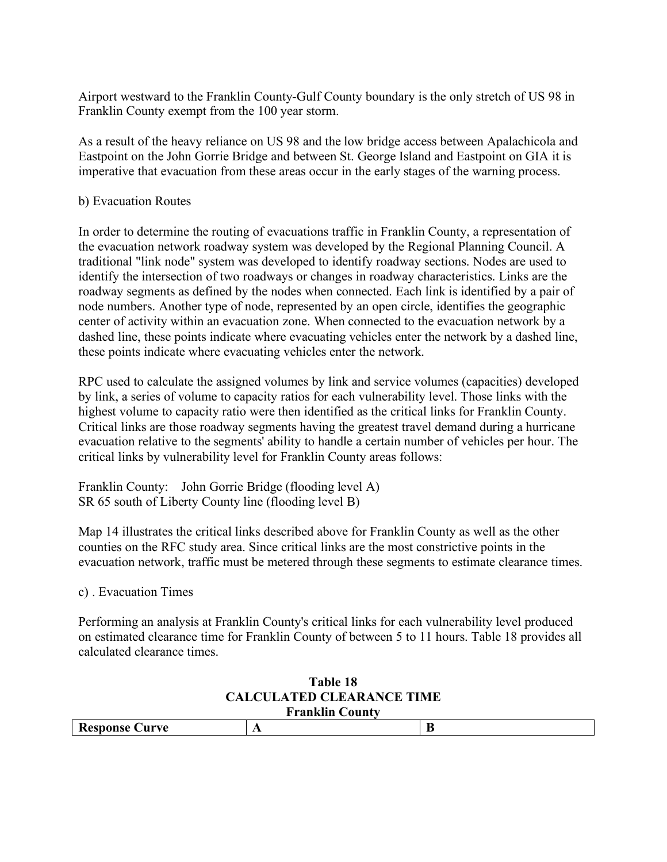Airport westward to the Franklin County-Gulf County boundary is the only stretch of US 98 in Franklin County exempt from the 100 year storm.

As a result of the heavy reliance on US 98 and the low bridge access between Apalachicola and Eastpoint on the John Gorrie Bridge and between St. George Island and Eastpoint on GIA it is imperative that evacuation from these areas occur in the early stages of the warning process.

## b) Evacuation Routes

In order to determine the routing of evacuations traffic in Franklin County, a representation of the evacuation network roadway system was developed by the Regional Planning Council. A traditional "link node" system was developed to identify roadway sections. Nodes are used to identify the intersection of two roadways or changes in roadway characteristics. Links are the roadway segments as defined by the nodes when connected. Each link is identified by a pair of node numbers. Another type of node, represented by an open circle, identifies the geographic center of activity within an evacuation zone. When connected to the evacuation network by a dashed line, these points indicate where evacuating vehicles enter the network by a dashed line, these points indicate where evacuating vehicles enter the network.

RPC used to calculate the assigned volumes by link and service volumes (capacities) developed by link, a series of volume to capacity ratios for each vulnerability level. Those links with the highest volume to capacity ratio were then identified as the critical links for Franklin County. Critical links are those roadway segments having the greatest travel demand during a hurricane evacuation relative to the segments' ability to handle a certain number of vehicles per hour. The critical links by vulnerability level for Franklin County areas follows:

Franklin County: John Gorrie Bridge (flooding level A) SR 65 south of Liberty County line (flooding level B)

Map 14 illustrates the critical links described above for Franklin County as well as the other counties on the RFC study area. Since critical links are the most constrictive points in the evacuation network, traffic must be metered through these segments to estimate clearance times.

# c) . Evacuation Times

Performing an analysis at Franklin County's critical links for each vulnerability level produced on estimated clearance time for Franklin County of between 5 to 11 hours. Table 18 provides all calculated clearance times.

#### **Table 18 CALCULATED CLEARANCE TIME Franklin County**

| $\ldots$ |     |  |  |
|----------|-----|--|--|
|          | . . |  |  |
|          |     |  |  |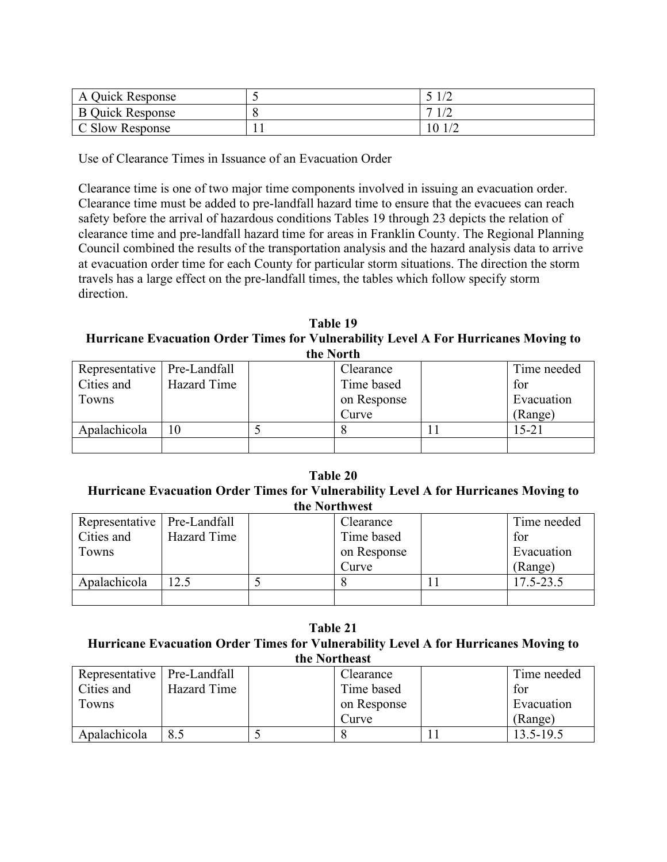| A Quick Response        |        |
|-------------------------|--------|
| <b>B</b> Quick Response | 1/2    |
| C Slow Response         | 10 1/2 |

Use of Clearance Times in Issuance of an Evacuation Order

Clearance time is one of two major time components involved in issuing an evacuation order. Clearance time must be added to pre-landfall hazard time to ensure that the evacuees can reach safety before the arrival of hazardous conditions Tables 19 through 23 depicts the relation of clearance time and pre-landfall hazard time for areas in Franklin County. The Regional Planning Council combined the results of the transportation analysis and the hazard analysis data to arrive at evacuation order time for each County for particular storm situations. The direction the storm travels has a large effect on the pre-landfall times, the tables which follow specify storm direction.

**Table 19 Hurricane Evacuation Order Times for Vulnerability Level A For Hurricanes Moving to the North**

| unv i vi un                   |             |  |             |  |             |
|-------------------------------|-------------|--|-------------|--|-------------|
| Representative   Pre-Landfall |             |  | Clearance   |  | Time needed |
| Cities and                    | Hazard Time |  | Time based  |  | for         |
| Towns                         |             |  | on Response |  | Evacuation  |
|                               |             |  | Curve       |  | (Range)     |
| Apalachicola                  |             |  |             |  | 15-21       |
|                               |             |  |             |  |             |

#### **Table 20 Hurricane Evacuation Order Times for Vulnerability Level A for Hurricanes Moving to the Northwest**

| Representative   Pre-Landfall |             | Clearance   | Time needed |
|-------------------------------|-------------|-------------|-------------|
| Cities and                    | Hazard Time | Time based  | for         |
| Towns                         |             | on Response | Evacuation  |
|                               |             | Curve       | (Range)     |
| Apalachicola                  | 12.5        |             | 17.5-23.5   |
|                               |             |             |             |

**Table 21 Hurricane Evacuation Order Times for Vulnerability Level A for Hurricanes Moving to the Northeast**

| Representative   Pre-Landfall |             | Clearance   | Time needed   |
|-------------------------------|-------------|-------------|---------------|
| Cities and                    | Hazard Time | Time based  | for           |
| Towns                         |             | on Response | Evacuation    |
|                               |             | Curve       | (Range)       |
| Apalachicola                  | 8.5         |             | $13.5 - 19.5$ |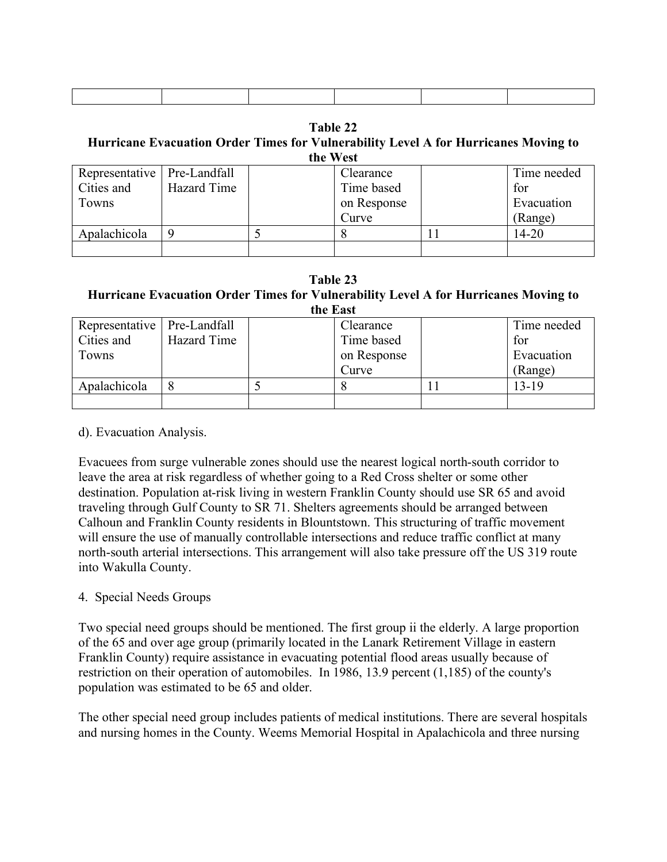**Table 22**

#### **Hurricane Evacuation Order Times for Vulnerability Level A for Hurricanes Moving to the West**

| Representative   Pre-Landfall |             | Clearance   | Time needed |
|-------------------------------|-------------|-------------|-------------|
| Cities and                    | Hazard Time | Time based  | for         |
| Towns                         |             | on Response | Evacuation  |
|                               |             | Curve       | (Range)     |
| Apalachicola                  |             |             | $14 - 20$   |
|                               |             |             |             |

#### **Table 23 Hurricane Evacuation Order Times for Vulnerability Level A for Hurricanes Moving to the East**

| ине паэс                      |             |  |             |  |             |
|-------------------------------|-------------|--|-------------|--|-------------|
| Representative   Pre-Landfall |             |  | Clearance   |  | Time needed |
| Cities and                    | Hazard Time |  | Time based  |  | for         |
| Towns                         |             |  | on Response |  | Evacuation  |
|                               |             |  | Curve       |  | (Range)     |
| Apalachicola                  |             |  |             |  | $13 - 19$   |
|                               |             |  |             |  |             |

#### d). Evacuation Analysis.

Evacuees from surge vulnerable zones should use the nearest logical north-south corridor to leave the area at risk regardless of whether going to a Red Cross shelter or some other destination. Population at-risk living in western Franklin County should use SR 65 and avoid traveling through Gulf County to SR 71. Shelters agreements should be arranged between Calhoun and Franklin County residents in Blountstown. This structuring of traffic movement will ensure the use of manually controllable intersections and reduce traffic conflict at many north-south arterial intersections. This arrangement will also take pressure off the US 319 route into Wakulla County.

# 4. Special Needs Groups

Two special need groups should be mentioned. The first group ii the elderly. A large proportion of the 65 and over age group (primarily located in the Lanark Retirement Village in eastern Franklin County) require assistance in evacuating potential flood areas usually because of restriction on their operation of automobiles. In 1986, 13.9 percent (1,185) of the county's population was estimated to be 65 and older.

The other special need group includes patients of medical institutions. There are several hospitals and nursing homes in the County. Weems Memorial Hospital in Apalachicola and three nursing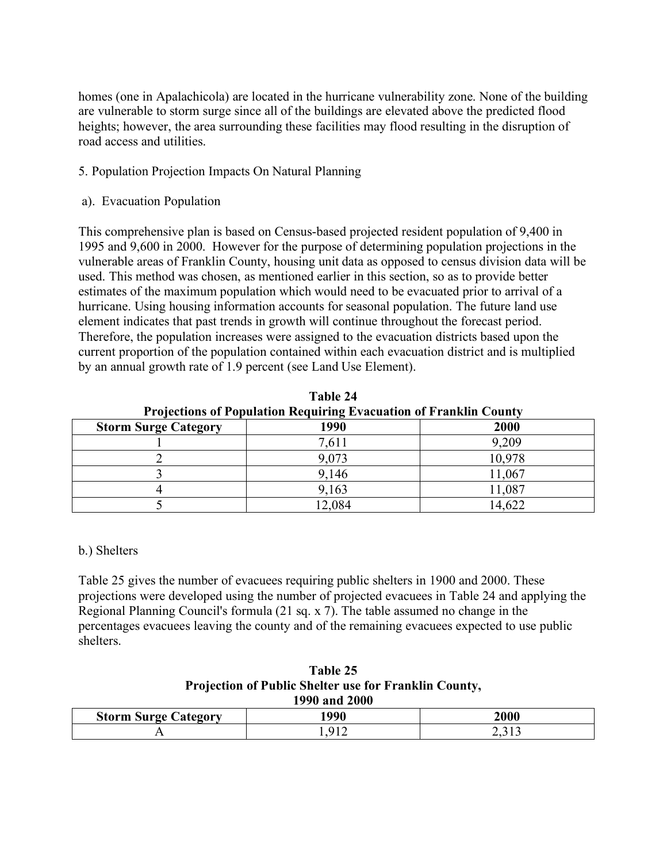homes (one in Apalachicola) are located in the hurricane vulnerability zone. None of the building are vulnerable to storm surge since all of the buildings are elevated above the predicted flood heights; however, the area surrounding these facilities may flood resulting in the disruption of road access and utilities.

# 5. Population Projection Impacts On Natural Planning

# a). Evacuation Population

This comprehensive plan is based on Census-based projected resident population of 9,400 in 1995 and 9,600 in 2000. However for the purpose of determining population projections in the vulnerable areas of Franklin County, housing unit data as opposed to census division data will be used. This method was chosen, as mentioned earlier in this section, so as to provide better estimates of the maximum population which would need to be evacuated prior to arrival of a hurricane. Using housing information accounts for seasonal population. The future land use element indicates that past trends in growth will continue throughout the forecast period. Therefore, the population increases were assigned to the evacuation districts based upon the current proportion of the population contained within each evacuation district and is multiplied by an annual growth rate of 1.9 percent (see Land Use Element).

| Table 24                                                                 |       |        |  |  |
|--------------------------------------------------------------------------|-------|--------|--|--|
| <b>Projections of Population Requiring Evacuation of Franklin County</b> |       |        |  |  |
| <b>Storm Surge Category</b>                                              | 1990  | 2000   |  |  |
|                                                                          | 7,611 | 9,209  |  |  |
|                                                                          | 9,073 | 10,978 |  |  |
|                                                                          | 9,146 | 11,067 |  |  |
|                                                                          | 9,163 | 11,087 |  |  |
|                                                                          | 2,084 | 14,622 |  |  |

# b.) Shelters

Table 25 gives the number of evacuees requiring public shelters in 1900 and 2000. These projections were developed using the number of projected evacuees in Table 24 and applying the Regional Planning Council's formula (21 sq. x 7). The table assumed no change in the percentages evacuees leaving the county and of the remaining evacuees expected to use public shelters.

#### **Table 25 Projection of Public Shelter use for Franklin County, 1990 and 2000**

| $1770$ and $2000$              |              |                   |  |  |
|--------------------------------|--------------|-------------------|--|--|
| <b>Storm Surge</b><br>Category | 1 000<br>7 U | 2000              |  |  |
|                                |              | <b>I</b> –<br>້ີ່ |  |  |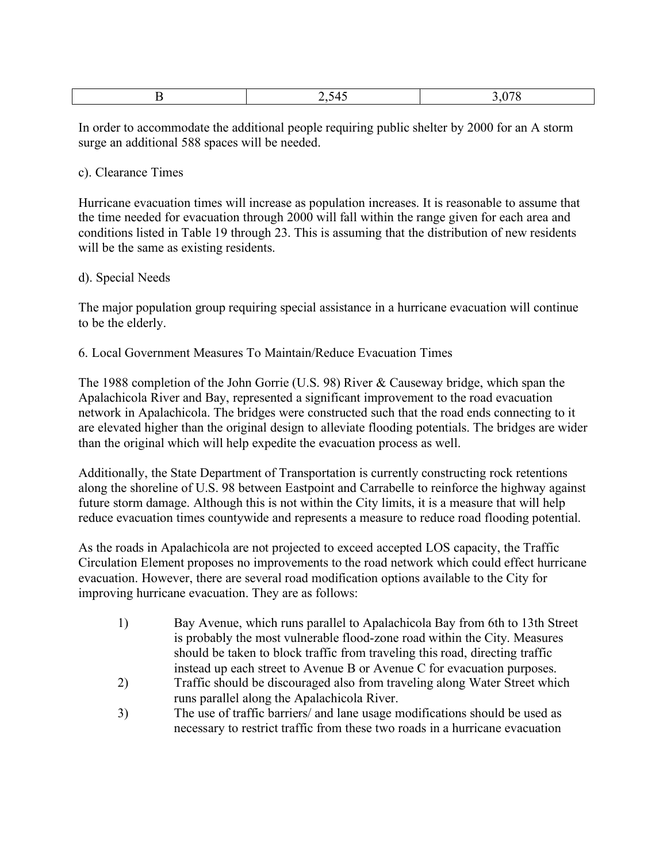In order to accommodate the additional people requiring public shelter by 2000 for an A storm surge an additional 588 spaces will be needed.

## c). Clearance Times

Hurricane evacuation times will increase as population increases. It is reasonable to assume that the time needed for evacuation through 2000 will fall within the range given for each area and conditions listed in Table 19 through 23. This is assuming that the distribution of new residents will be the same as existing residents.

## d). Special Needs

The major population group requiring special assistance in a hurricane evacuation will continue to be the elderly.

## 6. Local Government Measures To Maintain/Reduce Evacuation Times

The 1988 completion of the John Gorrie (U.S. 98) River & Causeway bridge, which span the Apalachicola River and Bay, represented a significant improvement to the road evacuation network in Apalachicola. The bridges were constructed such that the road ends connecting to it are elevated higher than the original design to alleviate flooding potentials. The bridges are wider than the original which will help expedite the evacuation process as well.

Additionally, the State Department of Transportation is currently constructing rock retentions along the shoreline of U.S. 98 between Eastpoint and Carrabelle to reinforce the highway against future storm damage. Although this is not within the City limits, it is a measure that will help reduce evacuation times countywide and represents a measure to reduce road flooding potential.

As the roads in Apalachicola are not projected to exceed accepted LOS capacity, the Traffic Circulation Element proposes no improvements to the road network which could effect hurricane evacuation. However, there are several road modification options available to the City for improving hurricane evacuation. They are as follows:

- 1) Bay Avenue, which runs parallel to Apalachicola Bay from 6th to 13th Street is probably the most vulnerable flood-zone road within the City. Measures should be taken to block traffic from traveling this road, directing traffic instead up each street to Avenue B or Avenue C for evacuation purposes.
- 2) Traffic should be discouraged also from traveling along Water Street which runs parallel along the Apalachicola River.
- 3) The use of traffic barriers/ and lane usage modifications should be used as necessary to restrict traffic from these two roads in a hurricane evacuation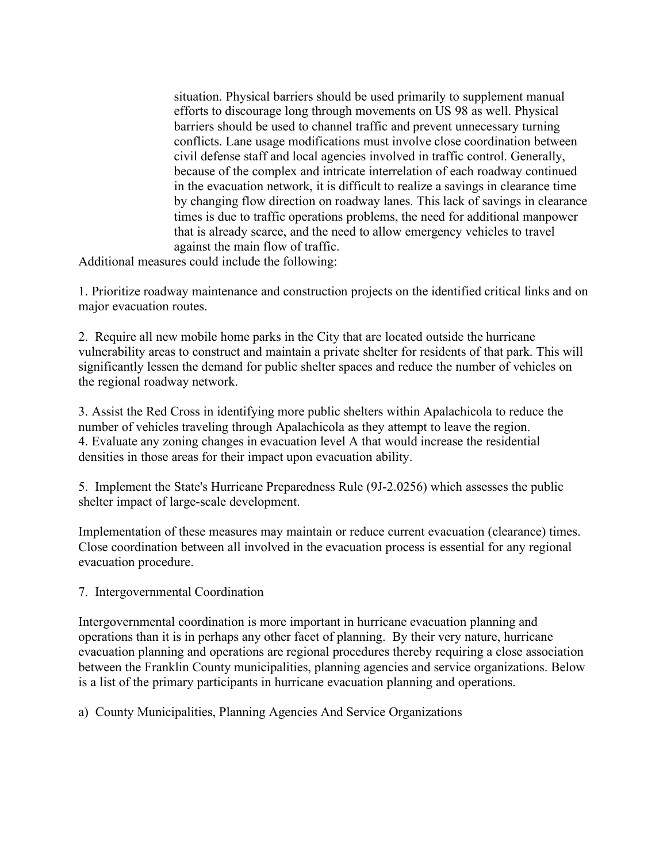situation. Physical barriers should be used primarily to supplement manual efforts to discourage long through movements on US 98 as well. Physical barriers should be used to channel traffic and prevent unnecessary turning conflicts. Lane usage modifications must involve close coordination between civil defense staff and local agencies involved in traffic control. Generally, because of the complex and intricate interrelation of each roadway continued in the evacuation network, it is difficult to realize a savings in clearance time by changing flow direction on roadway lanes. This lack of savings in clearance times is due to traffic operations problems, the need for additional manpower that is already scarce, and the need to allow emergency vehicles to travel against the main flow of traffic.

Additional measures could include the following:

1. Prioritize roadway maintenance and construction projects on the identified critical links and on major evacuation routes.

2. Require all new mobile home parks in the City that are located outside the hurricane vulnerability areas to construct and maintain a private shelter for residents of that park. This will significantly lessen the demand for public shelter spaces and reduce the number of vehicles on the regional roadway network.

3. Assist the Red Cross in identifying more public shelters within Apalachicola to reduce the number of vehicles traveling through Apalachicola as they attempt to leave the region. 4. Evaluate any zoning changes in evacuation level A that would increase the residential densities in those areas for their impact upon evacuation ability.

5. Implement the State's Hurricane Preparedness Rule (9J-2.0256) which assesses the public shelter impact of large-scale development.

Implementation of these measures may maintain or reduce current evacuation (clearance) times. Close coordination between all involved in the evacuation process is essential for any regional evacuation procedure.

7. Intergovernmental Coordination

Intergovernmental coordination is more important in hurricane evacuation planning and operations than it is in perhaps any other facet of planning. By their very nature, hurricane evacuation planning and operations are regional procedures thereby requiring a close association between the Franklin County municipalities, planning agencies and service organizations. Below is a list of the primary participants in hurricane evacuation planning and operations.

a) County Municipalities, Planning Agencies And Service Organizations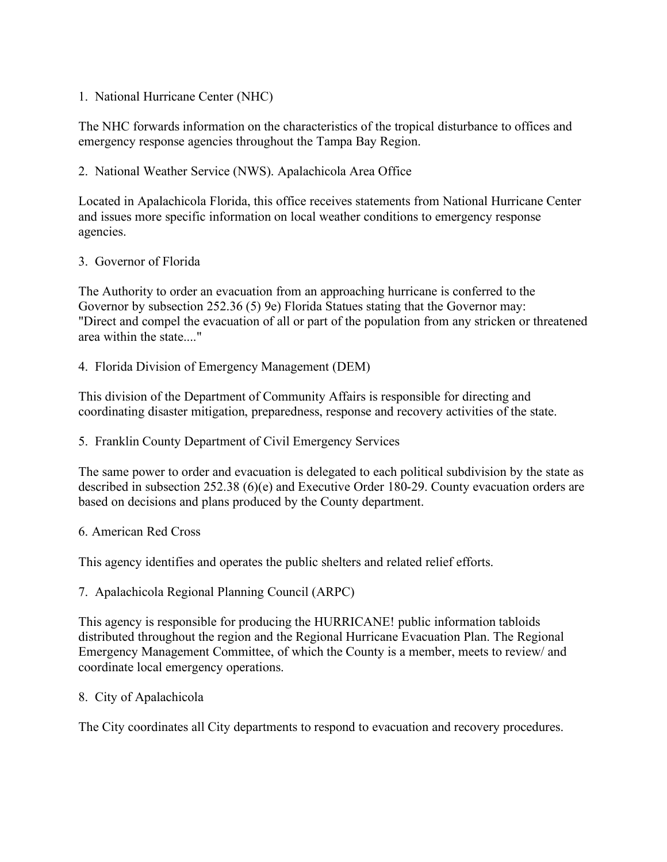1. National Hurricane Center (NHC)

The NHC forwards information on the characteristics of the tropical disturbance to offices and emergency response agencies throughout the Tampa Bay Region.

2. National Weather Service (NWS). Apalachicola Area Office

Located in Apalachicola Florida, this office receives statements from National Hurricane Center and issues more specific information on local weather conditions to emergency response agencies.

3. Governor of Florida

The Authority to order an evacuation from an approaching hurricane is conferred to the Governor by subsection 252.36 (5) 9e) Florida Statues stating that the Governor may: "Direct and compel the evacuation of all or part of the population from any stricken or threatened area within the state...."

4. Florida Division of Emergency Management (DEM)

This division of the Department of Community Affairs is responsible for directing and coordinating disaster mitigation, preparedness, response and recovery activities of the state.

5. Franklin County Department of Civil Emergency Services

The same power to order and evacuation is delegated to each political subdivision by the state as described in subsection 252.38 (6)(e) and Executive Order 180-29. County evacuation orders are based on decisions and plans produced by the County department.

6. American Red Cross

This agency identifies and operates the public shelters and related relief efforts.

7. Apalachicola Regional Planning Council (ARPC)

This agency is responsible for producing the HURRICANE! public information tabloids distributed throughout the region and the Regional Hurricane Evacuation Plan. The Regional Emergency Management Committee, of which the County is a member, meets to review/ and coordinate local emergency operations.

8. City of Apalachicola

The City coordinates all City departments to respond to evacuation and recovery procedures.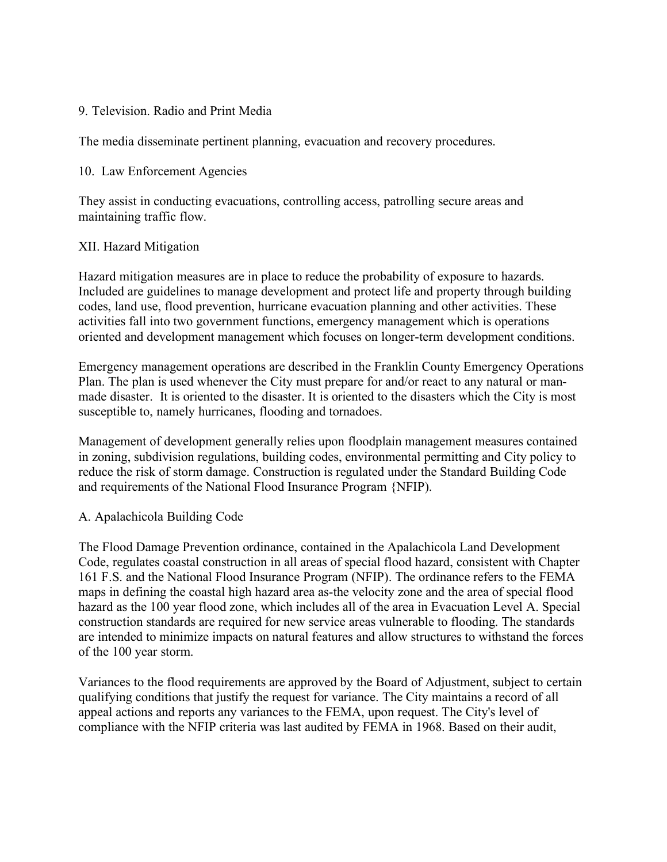## 9. Television. Radio and Print Media

The media disseminate pertinent planning, evacuation and recovery procedures.

#### 10. Law Enforcement Agencies

They assist in conducting evacuations, controlling access, patrolling secure areas and maintaining traffic flow.

## XII. Hazard Mitigation

Hazard mitigation measures are in place to reduce the probability of exposure to hazards. Included are guidelines to manage development and protect life and property through building codes, land use, flood prevention, hurricane evacuation planning and other activities. These activities fall into two government functions, emergency management which is operations oriented and development management which focuses on longer-term development conditions.

Emergency management operations are described in the Franklin County Emergency Operations Plan. The plan is used whenever the City must prepare for and/or react to any natural or manmade disaster. It is oriented to the disaster. It is oriented to the disasters which the City is most susceptible to, namely hurricanes, flooding and tornadoes.

Management of development generally relies upon floodplain management measures contained in zoning, subdivision regulations, building codes, environmental permitting and City policy to reduce the risk of storm damage. Construction is regulated under the Standard Building Code and requirements of the National Flood Insurance Program {NFIP).

#### A. Apalachicola Building Code

The Flood Damage Prevention ordinance, contained in the Apalachicola Land Development Code, regulates coastal construction in all areas of special flood hazard, consistent with Chapter 161 F.S. and the National Flood Insurance Program (NFIP). The ordinance refers to the FEMA maps in defining the coastal high hazard area as-the velocity zone and the area of special flood hazard as the 100 year flood zone, which includes all of the area in Evacuation Level A. Special construction standards are required for new service areas vulnerable to flooding. The standards are intended to minimize impacts on natural features and allow structures to withstand the forces of the 100 year storm.

Variances to the flood requirements are approved by the Board of Adjustment, subject to certain qualifying conditions that justify the request for variance. The City maintains a record of all appeal actions and reports any variances to the FEMA, upon request. The City's level of compliance with the NFIP criteria was last audited by FEMA in 1968. Based on their audit,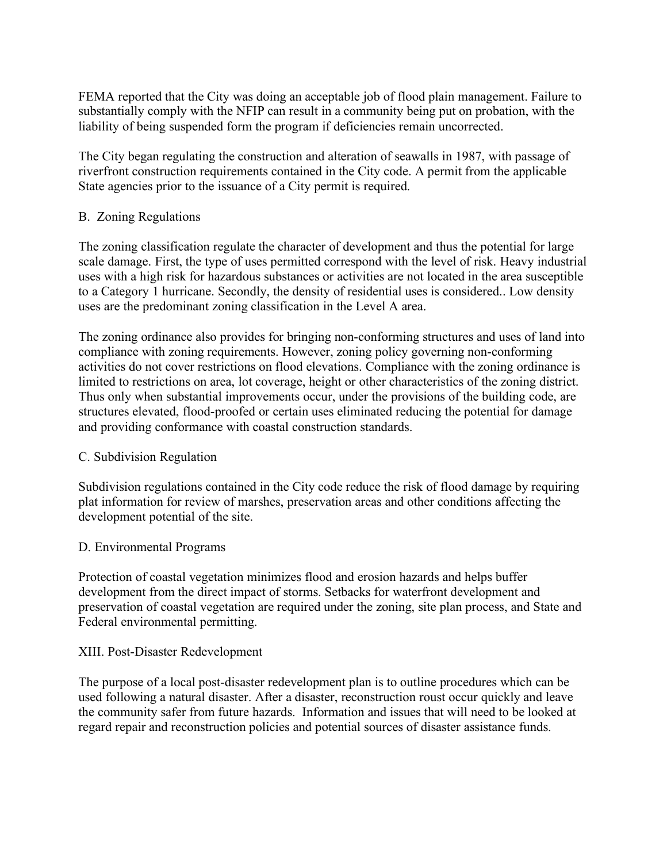FEMA reported that the City was doing an acceptable job of flood plain management. Failure to substantially comply with the NFIP can result in a community being put on probation, with the liability of being suspended form the program if deficiencies remain uncorrected.

The City began regulating the construction and alteration of seawalls in 1987, with passage of riverfront construction requirements contained in the City code. A permit from the applicable State agencies prior to the issuance of a City permit is required.

## B. Zoning Regulations

The zoning classification regulate the character of development and thus the potential for large scale damage. First, the type of uses permitted correspond with the level of risk. Heavy industrial uses with a high risk for hazardous substances or activities are not located in the area susceptible to a Category 1 hurricane. Secondly, the density of residential uses is considered.. Low density uses are the predominant zoning classification in the Level A area.

The zoning ordinance also provides for bringing non-conforming structures and uses of land into compliance with zoning requirements. However, zoning policy governing non-conforming activities do not cover restrictions on flood elevations. Compliance with the zoning ordinance is limited to restrictions on area, lot coverage, height or other characteristics of the zoning district. Thus only when substantial improvements occur, under the provisions of the building code, are structures elevated, flood-proofed or certain uses eliminated reducing the potential for damage and providing conformance with coastal construction standards.

# C. Subdivision Regulation

Subdivision regulations contained in the City code reduce the risk of flood damage by requiring plat information for review of marshes, preservation areas and other conditions affecting the development potential of the site.

# D. Environmental Programs

Protection of coastal vegetation minimizes flood and erosion hazards and helps buffer development from the direct impact of storms. Setbacks for waterfront development and preservation of coastal vegetation are required under the zoning, site plan process, and State and Federal environmental permitting.

#### XIII. Post-Disaster Redevelopment

The purpose of a local post-disaster redevelopment plan is to outline procedures which can be used following a natural disaster. After a disaster, reconstruction roust occur quickly and leave the community safer from future hazards. Information and issues that will need to be looked at regard repair and reconstruction policies and potential sources of disaster assistance funds.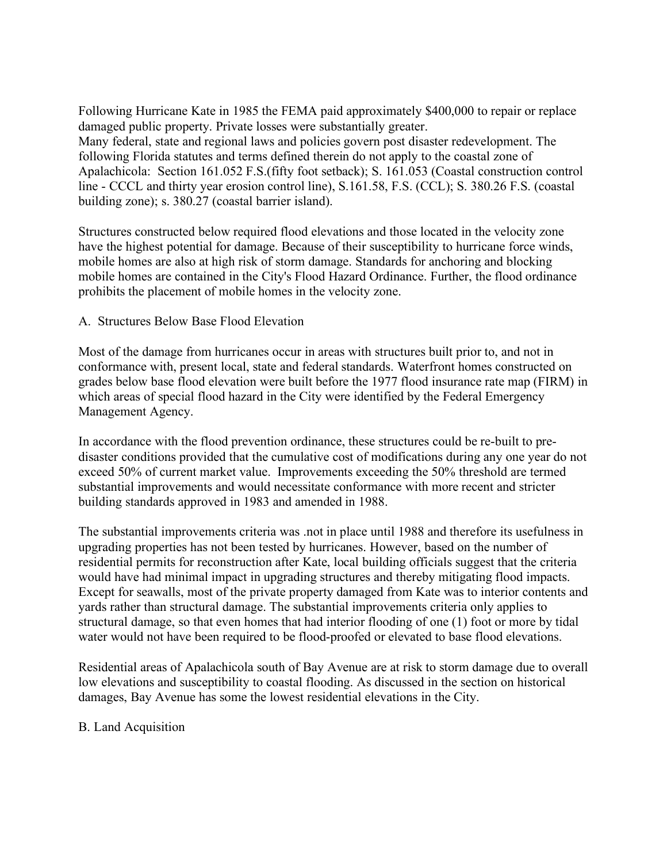Following Hurricane Kate in 1985 the FEMA paid approximately \$400,000 to repair or replace damaged public property. Private losses were substantially greater. Many federal, state and regional laws and policies govern post disaster redevelopment. The following Florida statutes and terms defined therein do not apply to the coastal zone of Apalachicola: Section 161.052 F.S.(fifty foot setback); S. 161.053 (Coastal construction control line - CCCL and thirty year erosion control line), S.161.58, F.S. (CCL); S. 380.26 F.S. (coastal building zone); s. 380.27 (coastal barrier island).

Structures constructed below required flood elevations and those located in the velocity zone have the highest potential for damage. Because of their susceptibility to hurricane force winds, mobile homes are also at high risk of storm damage. Standards for anchoring and blocking mobile homes are contained in the City's Flood Hazard Ordinance. Further, the flood ordinance prohibits the placement of mobile homes in the velocity zone.

A. Structures Below Base Flood Elevation

Most of the damage from hurricanes occur in areas with structures built prior to, and not in conformance with, present local, state and federal standards. Waterfront homes constructed on grades below base flood elevation were built before the 1977 flood insurance rate map (FIRM) in which areas of special flood hazard in the City were identified by the Federal Emergency Management Agency.

In accordance with the flood prevention ordinance, these structures could be re-built to predisaster conditions provided that the cumulative cost of modifications during any one year do not exceed 50% of current market value. Improvements exceeding the 50% threshold are termed substantial improvements and would necessitate conformance with more recent and stricter building standards approved in 1983 and amended in 1988.

The substantial improvements criteria was .not in place until 1988 and therefore its usefulness in upgrading properties has not been tested by hurricanes. However, based on the number of residential permits for reconstruction after Kate, local building officials suggest that the criteria would have had minimal impact in upgrading structures and thereby mitigating flood impacts. Except for seawalls, most of the private property damaged from Kate was to interior contents and yards rather than structural damage. The substantial improvements criteria only applies to structural damage, so that even homes that had interior flooding of one (1) foot or more by tidal water would not have been required to be flood-proofed or elevated to base flood elevations.

Residential areas of Apalachicola south of Bay Avenue are at risk to storm damage due to overall low elevations and susceptibility to coastal flooding. As discussed in the section on historical damages, Bay Avenue has some the lowest residential elevations in the City.

#### B. Land Acquisition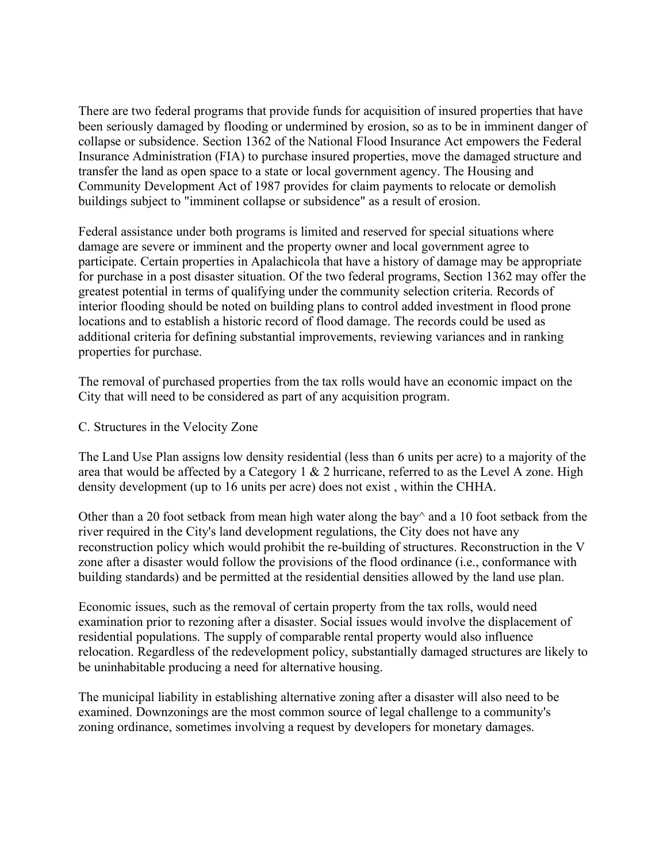There are two federal programs that provide funds for acquisition of insured properties that have been seriously damaged by flooding or undermined by erosion, so as to be in imminent danger of collapse or subsidence. Section 1362 of the National Flood Insurance Act empowers the Federal Insurance Administration (FIA) to purchase insured properties, move the damaged structure and transfer the land as open space to a state or local government agency. The Housing and Community Development Act of 1987 provides for claim payments to relocate or demolish buildings subject to "imminent collapse or subsidence" as a result of erosion.

Federal assistance under both programs is limited and reserved for special situations where damage are severe or imminent and the property owner and local government agree to participate. Certain properties in Apalachicola that have a history of damage may be appropriate for purchase in a post disaster situation. Of the two federal programs, Section 1362 may offer the greatest potential in terms of qualifying under the community selection criteria. Records of interior flooding should be noted on building plans to control added investment in flood prone locations and to establish a historic record of flood damage. The records could be used as additional criteria for defining substantial improvements, reviewing variances and in ranking properties for purchase.

The removal of purchased properties from the tax rolls would have an economic impact on the City that will need to be considered as part of any acquisition program.

#### C. Structures in the Velocity Zone

The Land Use Plan assigns low density residential (less than 6 units per acre) to a majority of the area that would be affected by a Category  $1 \& 2$  hurricane, referred to as the Level A zone. High density development (up to 16 units per acre) does not exist , within the CHHA.

Other than a 20 foot setback from mean high water along the bay  $\alpha$  and a 10 foot setback from the river required in the City's land development regulations, the City does not have any reconstruction policy which would prohibit the re-building of structures. Reconstruction in the V zone after a disaster would follow the provisions of the flood ordinance (i.e., conformance with building standards) and be permitted at the residential densities allowed by the land use plan.

Economic issues, such as the removal of certain property from the tax rolls, would need examination prior to rezoning after a disaster. Social issues would involve the displacement of residential populations. The supply of comparable rental property would also influence relocation. Regardless of the redevelopment policy, substantially damaged structures are likely to be uninhabitable producing a need for alternative housing.

The municipal liability in establishing alternative zoning after a disaster will also need to be examined. Downzonings are the most common source of legal challenge to a community's zoning ordinance, sometimes involving a request by developers for monetary damages.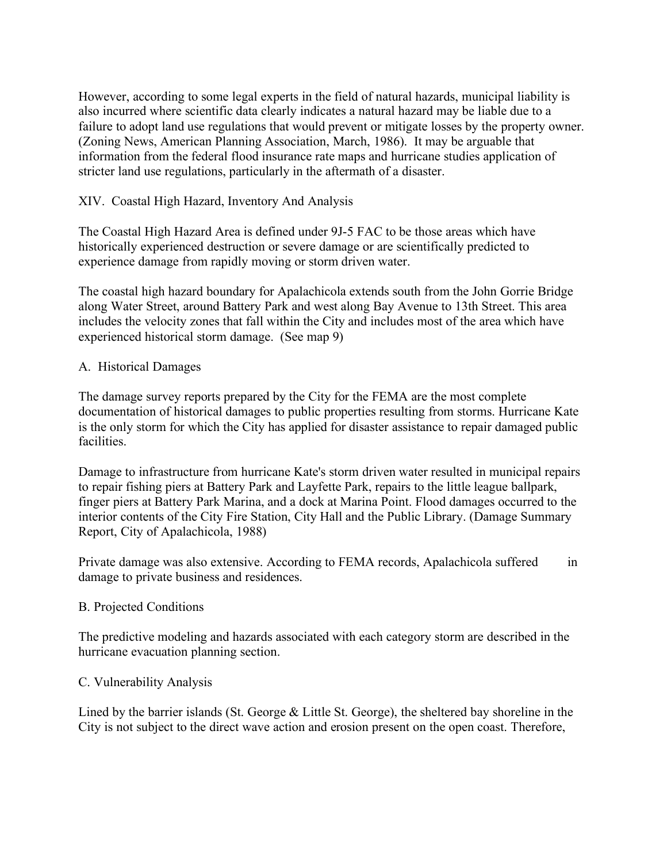However, according to some legal experts in the field of natural hazards, municipal liability is also incurred where scientific data clearly indicates a natural hazard may be liable due to a failure to adopt land use regulations that would prevent or mitigate losses by the property owner. (Zoning News, American Planning Association, March, 1986). It may be arguable that information from the federal flood insurance rate maps and hurricane studies application of stricter land use regulations, particularly in the aftermath of a disaster.

## XIV. Coastal High Hazard, Inventory And Analysis

The Coastal High Hazard Area is defined under 9J-5 FAC to be those areas which have historically experienced destruction or severe damage or are scientifically predicted to experience damage from rapidly moving or storm driven water.

The coastal high hazard boundary for Apalachicola extends south from the John Gorrie Bridge along Water Street, around Battery Park and west along Bay Avenue to 13th Street. This area includes the velocity zones that fall within the City and includes most of the area which have experienced historical storm damage. (See map 9)

#### A. Historical Damages

The damage survey reports prepared by the City for the FEMA are the most complete documentation of historical damages to public properties resulting from storms. Hurricane Kate is the only storm for which the City has applied for disaster assistance to repair damaged public facilities.

Damage to infrastructure from hurricane Kate's storm driven water resulted in municipal repairs to repair fishing piers at Battery Park and Layfette Park, repairs to the little league ballpark, finger piers at Battery Park Marina, and a dock at Marina Point. Flood damages occurred to the interior contents of the City Fire Station, City Hall and the Public Library. (Damage Summary Report, City of Apalachicola, 1988)

Private damage was also extensive. According to FEMA records, Apalachicola suffered in damage to private business and residences.

#### B. Projected Conditions

The predictive modeling and hazards associated with each category storm are described in the hurricane evacuation planning section.

# C. Vulnerability Analysis

Lined by the barrier islands (St. George & Little St. George), the sheltered bay shoreline in the City is not subject to the direct wave action and erosion present on the open coast. Therefore,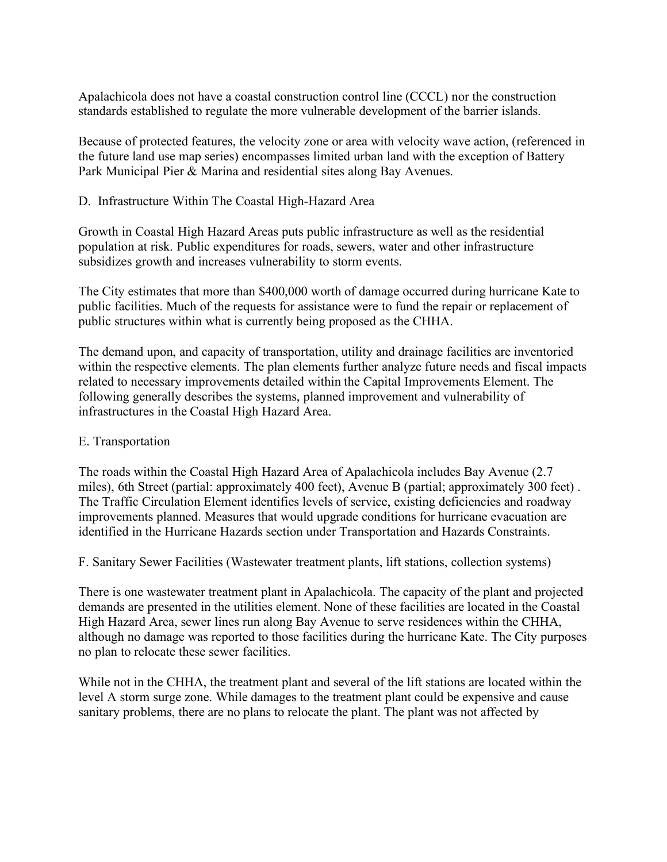Apalachicola does not have a coastal construction control line (CCCL) nor the construction standards established to regulate the more vulnerable development of the barrier islands.

Because of protected features, the velocity zone or area with velocity wave action, (referenced in the future land use map series) encompasses limited urban land with the exception of Battery Park Municipal Pier & Marina and residential sites along Bay Avenues.

## D. Infrastructure Within The Coastal High-Hazard Area

Growth in Coastal High Hazard Areas puts public infrastructure as well as the residential population at risk. Public expenditures for roads, sewers, water and other infrastructure subsidizes growth and increases vulnerability to storm events.

The City estimates that more than \$400,000 worth of damage occurred during hurricane Kate to public facilities. Much of the requests for assistance were to fund the repair or replacement of public structures within what is currently being proposed as the CHHA.

The demand upon, and capacity of transportation, utility and drainage facilities are inventoried within the respective elements. The plan elements further analyze future needs and fiscal impacts related to necessary improvements detailed within the Capital Improvements Element. The following generally describes the systems, planned improvement and vulnerability of infrastructures in the Coastal High Hazard Area.

#### E. Transportation

The roads within the Coastal High Hazard Area of Apalachicola includes Bay Avenue (2.7 miles), 6th Street (partial: approximately 400 feet), Avenue B (partial; approximately 300 feet) . The Traffic Circulation Element identifies levels of service, existing deficiencies and roadway improvements planned. Measures that would upgrade conditions for hurricane evacuation are identified in the Hurricane Hazards section under Transportation and Hazards Constraints.

F. Sanitary Sewer Facilities (Wastewater treatment plants, lift stations, collection systems)

There is one wastewater treatment plant in Apalachicola. The capacity of the plant and projected demands are presented in the utilities element. None of these facilities are located in the Coastal High Hazard Area, sewer lines run along Bay Avenue to serve residences within the CHHA, although no damage was reported to those facilities during the hurricane Kate. The City purposes no plan to relocate these sewer facilities.

While not in the CHHA, the treatment plant and several of the lift stations are located within the level A storm surge zone. While damages to the treatment plant could be expensive and cause sanitary problems, there are no plans to relocate the plant. The plant was not affected by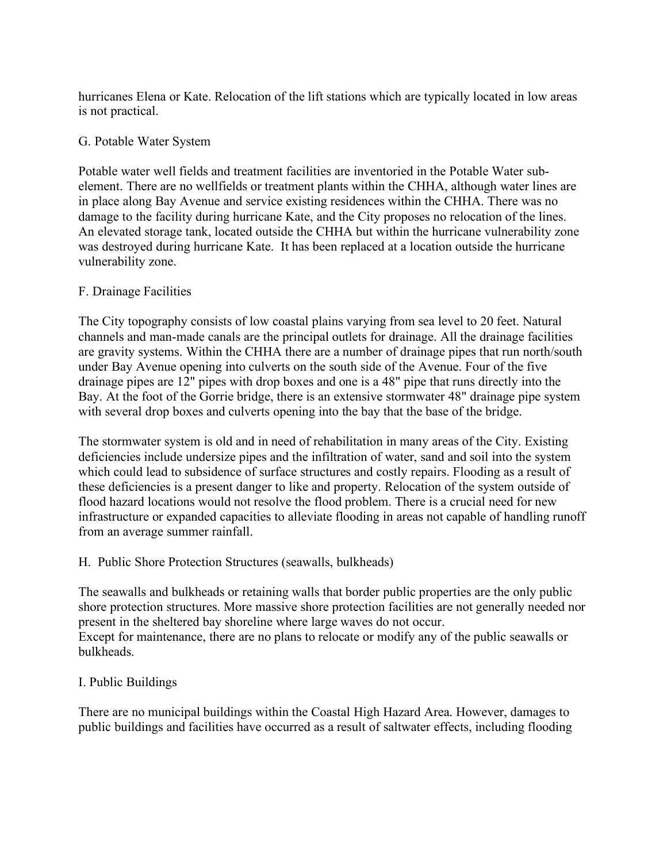hurricanes Elena or Kate. Relocation of the lift stations which are typically located in low areas is not practical.

## G. Potable Water System

Potable water well fields and treatment facilities are inventoried in the Potable Water subelement. There are no wellfields or treatment plants within the CHHA, although water lines are in place along Bay Avenue and service existing residences within the CHHA. There was no damage to the facility during hurricane Kate, and the City proposes no relocation of the lines. An elevated storage tank, located outside the CHHA but within the hurricane vulnerability zone was destroyed during hurricane Kate. It has been replaced at a location outside the hurricane vulnerability zone.

## F. Drainage Facilities

The City topography consists of low coastal plains varying from sea level to 20 feet. Natural channels and man-made canals are the principal outlets for drainage. All the drainage facilities are gravity systems. Within the CHHA there are a number of drainage pipes that run north/south under Bay Avenue opening into culverts on the south side of the Avenue. Four of the five drainage pipes are 12" pipes with drop boxes and one is a 48" pipe that runs directly into the Bay. At the foot of the Gorrie bridge, there is an extensive stormwater 48" drainage pipe system with several drop boxes and culverts opening into the bay that the base of the bridge.

The stormwater system is old and in need of rehabilitation in many areas of the City. Existing deficiencies include undersize pipes and the infiltration of water, sand and soil into the system which could lead to subsidence of surface structures and costly repairs. Flooding as a result of these deficiencies is a present danger to like and property. Relocation of the system outside of flood hazard locations would not resolve the flood problem. There is a crucial need for new infrastructure or expanded capacities to alleviate flooding in areas not capable of handling runoff from an average summer rainfall.

#### H. Public Shore Protection Structures (seawalls, bulkheads)

The seawalls and bulkheads or retaining walls that border public properties are the only public shore protection structures. More massive shore protection facilities are not generally needed nor present in the sheltered bay shoreline where large waves do not occur. Except for maintenance, there are no plans to relocate or modify any of the public seawalls or bulkheads.

# I. Public Buildings

There are no municipal buildings within the Coastal High Hazard Area. However, damages to public buildings and facilities have occurred as a result of saltwater effects, including flooding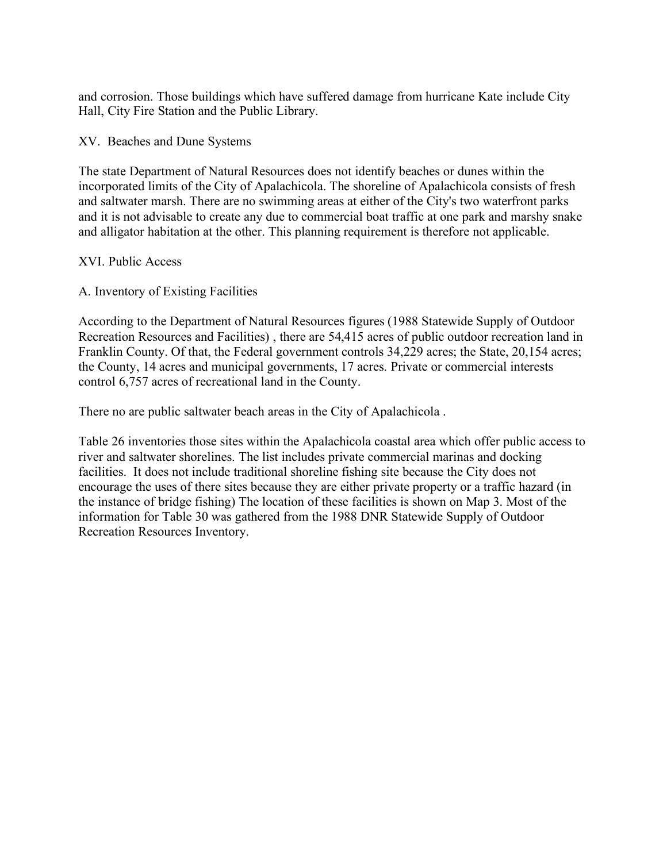and corrosion. Those buildings which have suffered damage from hurricane Kate include City Hall, City Fire Station and the Public Library.

XV. Beaches and Dune Systems

The state Department of Natural Resources does not identify beaches or dunes within the incorporated limits of the City of Apalachicola. The shoreline of Apalachicola consists of fresh and saltwater marsh. There are no swimming areas at either of the City's two waterfront parks and it is not advisable to create any due to commercial boat traffic at one park and marshy snake and alligator habitation at the other. This planning requirement is therefore not applicable.

## XVI. Public Access

# A. Inventory of Existing Facilities

According to the Department of Natural Resources figures (1988 Statewide Supply of Outdoor Recreation Resources and Facilities) , there are 54,415 acres of public outdoor recreation land in Franklin County. Of that, the Federal government controls 34,229 acres; the State, 20,154 acres; the County, 14 acres and municipal governments, 17 acres. Private or commercial interests control 6,757 acres of recreational land in the County.

There no are public saltwater beach areas in the City of Apalachicola .

Table 26 inventories those sites within the Apalachicola coastal area which offer public access to river and saltwater shorelines. The list includes private commercial marinas and docking facilities. It does not include traditional shoreline fishing site because the City does not encourage the uses of there sites because they are either private property or a traffic hazard (in the instance of bridge fishing) The location of these facilities is shown on Map 3. Most of the information for Table 30 was gathered from the 1988 DNR Statewide Supply of Outdoor Recreation Resources Inventory.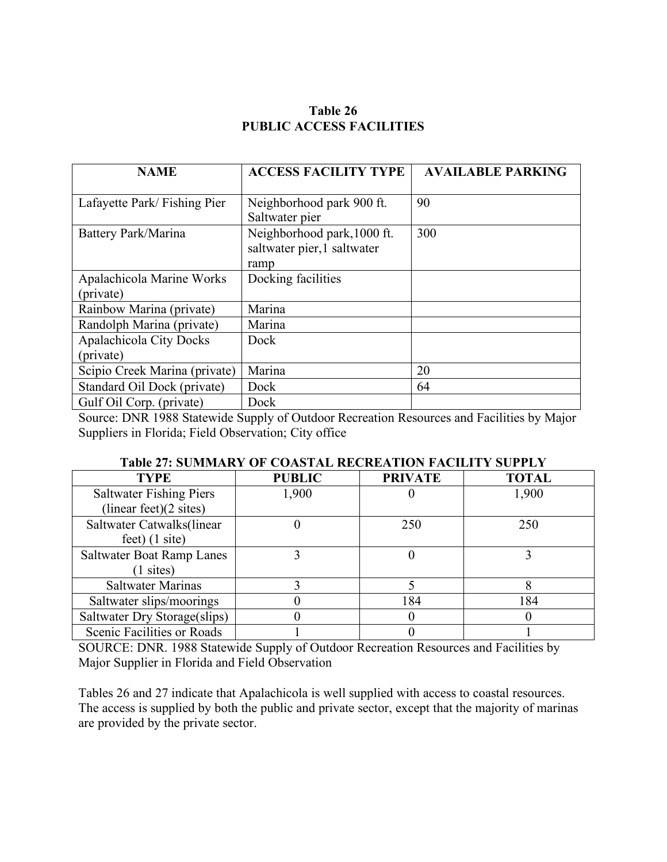# **Table 26 PUBLIC ACCESS FACILITIES**

| <b>NAME</b>                    | <b>ACCESS FACILITY TYPE</b> | <b>AVAILABLE PARKING</b> |  |  |
|--------------------------------|-----------------------------|--------------------------|--|--|
|                                |                             |                          |  |  |
| Lafayette Park/Fishing Pier    | Neighborhood park 900 ft.   | 90                       |  |  |
|                                | Saltwater pier              |                          |  |  |
| Battery Park/Marina            | Neighborhood park, 1000 ft. | 300                      |  |  |
|                                | saltwater pier, 1 saltwater |                          |  |  |
|                                | ramp                        |                          |  |  |
| Apalachicola Marine Works      | Docking facilities          |                          |  |  |
| (private)                      |                             |                          |  |  |
| Rainbow Marina (private)       | Marina                      |                          |  |  |
| Randolph Marina (private)      | Marina                      |                          |  |  |
| <b>Apalachicola City Docks</b> | Dock                        |                          |  |  |
| (private)                      |                             |                          |  |  |
| Scipio Creek Marina (private)  | Marina                      | 20                       |  |  |
| Standard Oil Dock (private)    | Dock                        | 64                       |  |  |
| Gulf Oil Corp. (private)       | Dock                        |                          |  |  |

Source: DNR 1988 Statewide Supply of Outdoor Recreation Resources and Facilities by Major Suppliers in Florida; Field Observation; City office

|      | <b>Table 27: SUMMARY OF COASTAL RECREATION FACILITY SUPPLY</b> |          |                             |
|------|----------------------------------------------------------------|----------|-----------------------------|
| $-1$ | ----- <i>-</i> --                                              | -------- | $\sim$ $\sim$ $\sim$ $\sim$ |

| <b>TYPE</b>                    | <b>PUBLIC</b> | <b>PRIVATE</b> | <b>TOTAL</b> |
|--------------------------------|---------------|----------------|--------------|
| <b>Saltwater Fishing Piers</b> | 1,900         |                | 1,900        |
| (linear feet)(2 sites)         |               |                |              |
| Saltwater Catwalks(linear      |               | 250            | 250          |
| $feet)$ (1 site)               |               |                |              |
| Saltwater Boat Ramp Lanes      |               |                |              |
| $(1 \text{ sites})$            |               |                |              |
| <b>Saltwater Marinas</b>       |               |                |              |
| Saltwater slips/moorings       |               | 184            | 184          |
| Saltwater Dry Storage (slips)  |               |                |              |
| Scenic Facilities or Roads     |               |                |              |

SOURCE: DNR. 1988 Statewide Supply of Outdoor Recreation Resources and Facilities by Major Supplier in Florida and Field Observation

Tables 26 and 27 indicate that Apalachicola is well supplied with access to coastal resources. The access is supplied by both the public and private sector, except that the majority of marinas are provided by the private sector.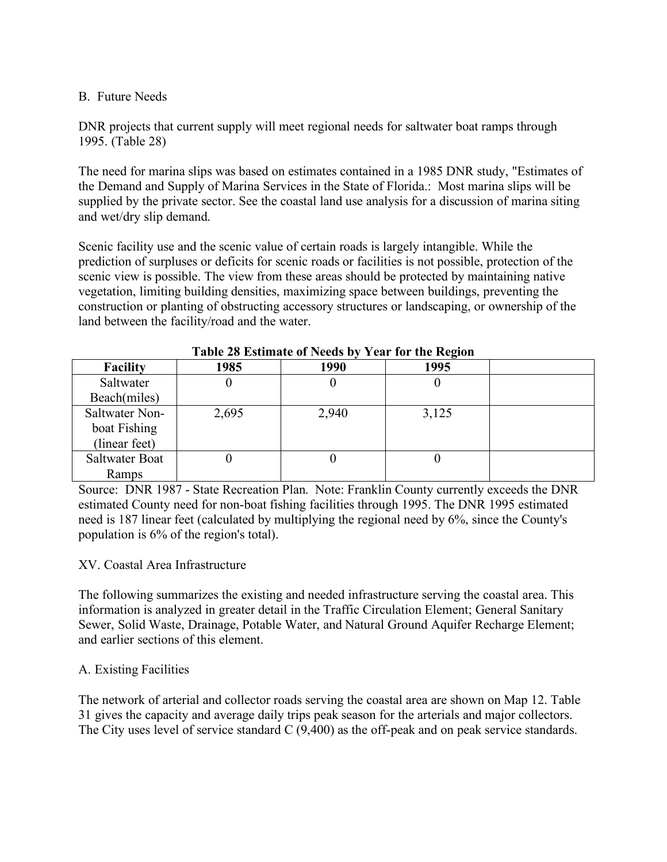## B. Future Needs

DNR projects that current supply will meet regional needs for saltwater boat ramps through 1995. (Table 28)

The need for marina slips was based on estimates contained in a 1985 DNR study, "Estimates of the Demand and Supply of Marina Services in the State of Florida.: Most marina slips will be supplied by the private sector. See the coastal land use analysis for a discussion of marina siting and wet/dry slip demand.

Scenic facility use and the scenic value of certain roads is largely intangible. While the prediction of surpluses or deficits for scenic roads or facilities is not possible, protection of the scenic view is possible. The view from these areas should be protected by maintaining native vegetation, limiting building densities, maximizing space between buildings, preventing the construction or planting of obstructing accessory structures or landscaping, or ownership of the land between the facility/road and the water.

| Table 20 Estimate of Feeds by Teal for the Kegfon |       |       |       |  |  |
|---------------------------------------------------|-------|-------|-------|--|--|
| <b>Facility</b>                                   | 1985  | 1990  | 1995  |  |  |
| Saltwater                                         |       |       |       |  |  |
| Beach(miles)                                      |       |       |       |  |  |
| Saltwater Non-                                    | 2,695 | 2,940 | 3,125 |  |  |
| boat Fishing                                      |       |       |       |  |  |
| (linear feet)                                     |       |       |       |  |  |
| Saltwater Boat                                    |       |       |       |  |  |
| Ramps                                             |       |       |       |  |  |

| Table 28 Estimate of Needs by Year for the Region |
|---------------------------------------------------|
|---------------------------------------------------|

Source: DNR 1987 - State Recreation Plan. Note: Franklin County currently exceeds the DNR estimated County need for non-boat fishing facilities through 1995. The DNR 1995 estimated need is 187 linear feet (calculated by multiplying the regional need by 6%, since the County's population is 6% of the region's total).

# XV. Coastal Area Infrastructure

The following summarizes the existing and needed infrastructure serving the coastal area. This information is analyzed in greater detail in the Traffic Circulation Element; General Sanitary Sewer, Solid Waste, Drainage, Potable Water, and Natural Ground Aquifer Recharge Element; and earlier sections of this element.

# A. Existing Facilities

The network of arterial and collector roads serving the coastal area are shown on Map 12. Table 31 gives the capacity and average daily trips peak season for the arterials and major collectors. The City uses level of service standard C (9,400) as the off-peak and on peak service standards.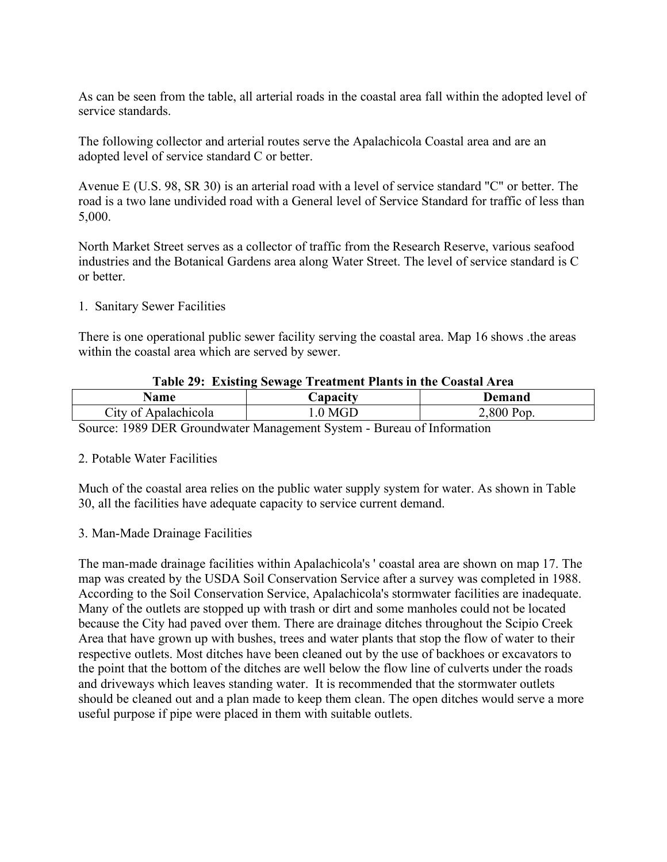As can be seen from the table, all arterial roads in the coastal area fall within the adopted level of service standards.

The following collector and arterial routes serve the Apalachicola Coastal area and are an adopted level of service standard C or better.

Avenue E (U.S. 98, SR 30) is an arterial road with a level of service standard "C" or better. The road is a two lane undivided road with a General level of Service Standard for traffic of less than 5,000.

North Market Street serves as a collector of traffic from the Research Reserve, various seafood industries and the Botanical Gardens area along Water Street. The level of service standard is C or better.

1. Sanitary Sewer Facilities

There is one operational public sewer facility serving the coastal area. Map 16 shows .the areas within the coastal area which are served by sewer.

| Table 29: Existing Sewage Treatment Plants in the Coastal Area |                  |            |  |  |
|----------------------------------------------------------------|------------------|------------|--|--|
| <b>Name</b>                                                    | Capacity         | Demand     |  |  |
| City of Apalachicola                                           | $1.0\text{ MGD}$ | 2,800 Pop. |  |  |

Source: 1989 DER Groundwater Management System - Bureau of Information

#### 2. Potable Water Facilities

Much of the coastal area relies on the public water supply system for water. As shown in Table 30, all the facilities have adequate capacity to service current demand.

# 3. Man-Made Drainage Facilities

The man-made drainage facilities within Apalachicola's ' coastal area are shown on map 17. The map was created by the USDA Soil Conservation Service after a survey was completed in 1988. According to the Soil Conservation Service, Apalachicola's stormwater facilities are inadequate. Many of the outlets are stopped up with trash or dirt and some manholes could not be located because the City had paved over them. There are drainage ditches throughout the Scipio Creek Area that have grown up with bushes, trees and water plants that stop the flow of water to their respective outlets. Most ditches have been cleaned out by the use of backhoes or excavators to the point that the bottom of the ditches are well below the flow line of culverts under the roads and driveways which leaves standing water. It is recommended that the stormwater outlets should be cleaned out and a plan made to keep them clean. The open ditches would serve a more useful purpose if pipe were placed in them with suitable outlets.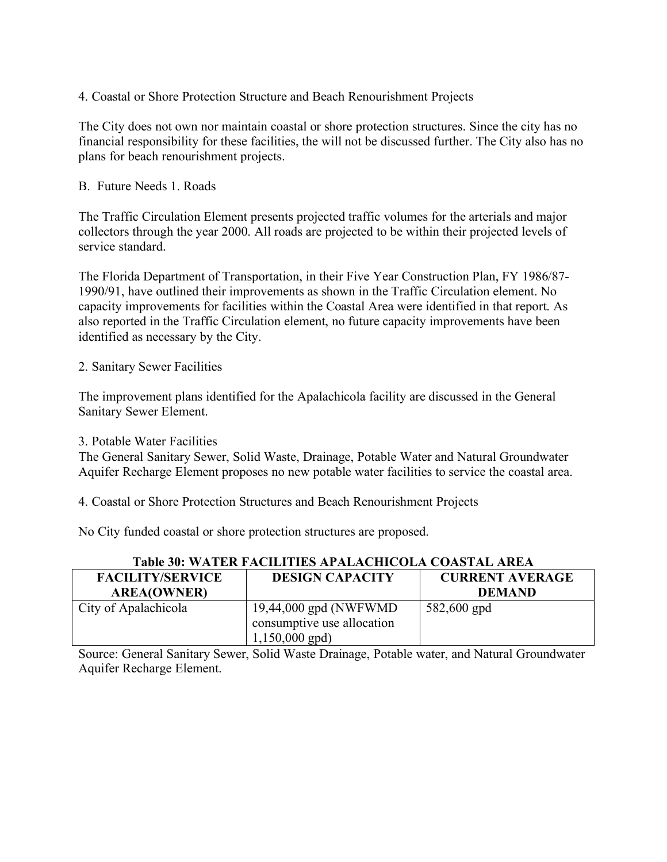## 4. Coastal or Shore Protection Structure and Beach Renourishment Projects

The City does not own nor maintain coastal or shore protection structures. Since the city has no financial responsibility for these facilities, the will not be discussed further. The City also has no plans for beach renourishment projects.

#### B. Future Needs 1. Roads

The Traffic Circulation Element presents projected traffic volumes for the arterials and major collectors through the year 2000. All roads are projected to be within their projected levels of service standard.

The Florida Department of Transportation, in their Five Year Construction Plan, FY 1986/87- 1990/91, have outlined their improvements as shown in the Traffic Circulation element. No capacity improvements for facilities within the Coastal Area were identified in that report. As also reported in the Traffic Circulation element, no future capacity improvements have been identified as necessary by the City.

## 2. Sanitary Sewer Facilities

The improvement plans identified for the Apalachicola facility are discussed in the General Sanitary Sewer Element.

#### 3. Potable Water Facilities

The General Sanitary Sewer, Solid Waste, Drainage, Potable Water and Natural Groundwater Aquifer Recharge Element proposes no new potable water facilities to service the coastal area.

4. Coastal or Shore Protection Structures and Beach Renourishment Projects

No City funded coastal or shore protection structures are proposed.

| <b>FACILITY/SERVICE</b> | <b>DESIGN CAPACITY</b>                                                   | <b>CURRENT AVERAGE</b> |  |  |  |
|-------------------------|--------------------------------------------------------------------------|------------------------|--|--|--|
| <b>AREA(OWNER)</b>      |                                                                          | <b>DEMAND</b>          |  |  |  |
| City of Apalachicola    | 19,44,000 gpd (NWFWMD)<br>consumptive use allocation<br>$1,150,000$ gpd) | 582,600 gpd            |  |  |  |

#### **Table 30: WATER FACILITIES APALACHICOLA COASTAL AREA**

Source: General Sanitary Sewer, Solid Waste Drainage, Potable water, and Natural Groundwater Aquifer Recharge Element.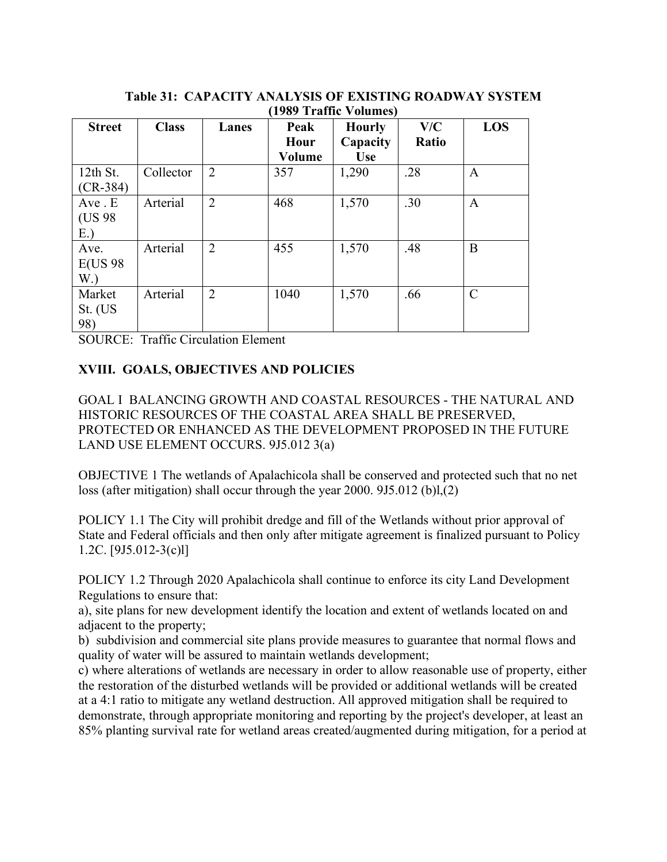| $1707$ Tranic volumes |              |                |        |               |       |               |
|-----------------------|--------------|----------------|--------|---------------|-------|---------------|
| <b>Street</b>         | <b>Class</b> | Lanes          | Peak   | <b>Hourly</b> | V/C   | <b>LOS</b>    |
|                       |              |                | Hour   | Capacity      | Ratio |               |
|                       |              |                | Volume | <b>Use</b>    |       |               |
| $12th$ St.            | Collector    | $\overline{2}$ | 357    | 1,290         | .28   | A             |
| $(CR-384)$            |              |                |        |               |       |               |
| Ave. E                | Arterial     | $\overline{2}$ | 468    | 1,570         | .30   | $\mathbf{A}$  |
| (US 98)               |              |                |        |               |       |               |
| E.                    |              |                |        |               |       |               |
| Ave.                  | Arterial     | $\overline{2}$ | 455    | 1,570         | .48   | B             |
| <b>E(US 98</b>        |              |                |        |               |       |               |
| W.                    |              |                |        |               |       |               |
| Market                | Arterial     | $\overline{2}$ | 1040   | 1,570         | .66   | $\mathcal{C}$ |
| St. (US               |              |                |        |               |       |               |
| 98)                   |              |                |        |               |       |               |

**Table 31: CAPACITY ANALYSIS OF EXISTING ROADWAY SYSTEM (1989 Traffic Volumes)**

SOURCE: Traffic Circulation Element

# **XVIII. GOALS, OBJECTIVES AND POLICIES**

GOAL I BALANCING GROWTH AND COASTAL RESOURCES - THE NATURAL AND HISTORIC RESOURCES OF THE COASTAL AREA SHALL BE PRESERVED, PROTECTED OR ENHANCED AS THE DEVELOPMENT PROPOSED IN THE FUTURE LAND USE ELEMENT OCCURS. 9J5.012 3(a)

OBJECTIVE 1 The wetlands of Apalachicola shall be conserved and protected such that no net loss (after mitigation) shall occur through the year 2000. 9J5.012 (b)l,(2)

POLICY 1.1 The City will prohibit dredge and fill of the Wetlands without prior approval of State and Federal officials and then only after mitigate agreement is finalized pursuant to Policy 1.2C. [9J5.012-3(c)l]

POLICY 1.2 Through 2020 Apalachicola shall continue to enforce its city Land Development Regulations to ensure that:

a), site plans for new development identify the location and extent of wetlands located on and adjacent to the property;

b) subdivision and commercial site plans provide measures to guarantee that normal flows and quality of water will be assured to maintain wetlands development;

c) where alterations of wetlands are necessary in order to allow reasonable use of property, either the restoration of the disturbed wetlands will be provided or additional wetlands will be created at a 4:1 ratio to mitigate any wetland destruction. All approved mitigation shall be required to demonstrate, through appropriate monitoring and reporting by the project's developer, at least an 85% planting survival rate for wetland areas created/augmented during mitigation, for a period at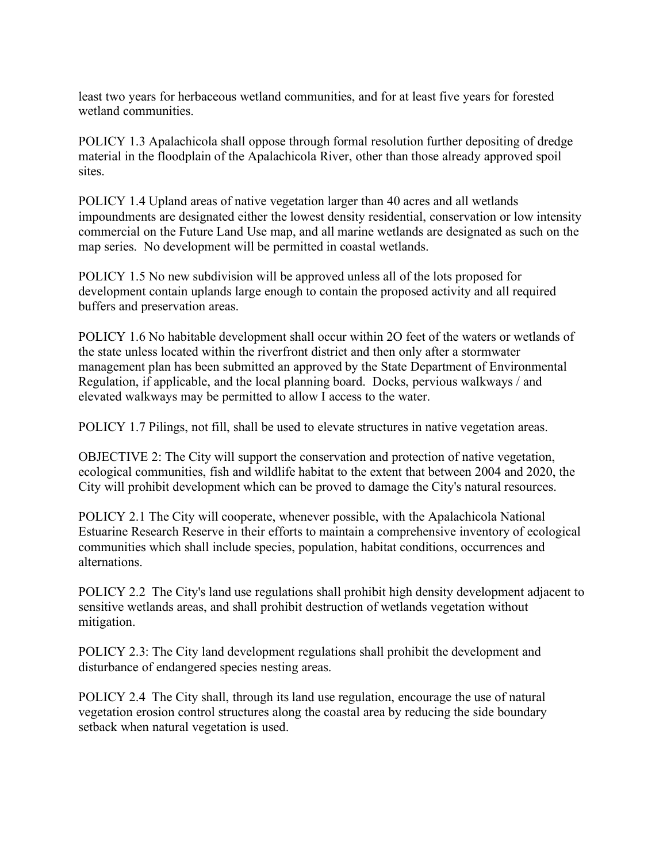least two years for herbaceous wetland communities, and for at least five years for forested wetland communities.

POLICY 1.3 Apalachicola shall oppose through formal resolution further depositing of dredge material in the floodplain of the Apalachicola River, other than those already approved spoil sites.

POLICY 1.4 Upland areas of native vegetation larger than 40 acres and all wetlands impoundments are designated either the lowest density residential, conservation or low intensity commercial on the Future Land Use map, and all marine wetlands are designated as such on the map series. No development will be permitted in coastal wetlands.

POLICY 1.5 No new subdivision will be approved unless all of the lots proposed for development contain uplands large enough to contain the proposed activity and all required buffers and preservation areas.

POLICY 1.6 No habitable development shall occur within 2O feet of the waters or wetlands of the state unless located within the riverfront district and then only after a stormwater management plan has been submitted an approved by the State Department of Environmental Regulation, if applicable, and the local planning board. Docks, pervious walkways / and elevated walkways may be permitted to allow I access to the water.

POLICY 1.7 Pilings, not fill, shall be used to elevate structures in native vegetation areas.

OBJECTIVE 2: The City will support the conservation and protection of native vegetation, ecological communities, fish and wildlife habitat to the extent that between 2004 and 2020, the City will prohibit development which can be proved to damage the City's natural resources.

POLICY 2.1 The City will cooperate, whenever possible, with the Apalachicola National Estuarine Research Reserve in their efforts to maintain a comprehensive inventory of ecological communities which shall include species, population, habitat conditions, occurrences and alternations.

POLICY 2.2 The City's land use regulations shall prohibit high density development adjacent to sensitive wetlands areas, and shall prohibit destruction of wetlands vegetation without mitigation.

POLICY 2.3: The City land development regulations shall prohibit the development and disturbance of endangered species nesting areas.

POLICY 2.4 The City shall, through its land use regulation, encourage the use of natural vegetation erosion control structures along the coastal area by reducing the side boundary setback when natural vegetation is used.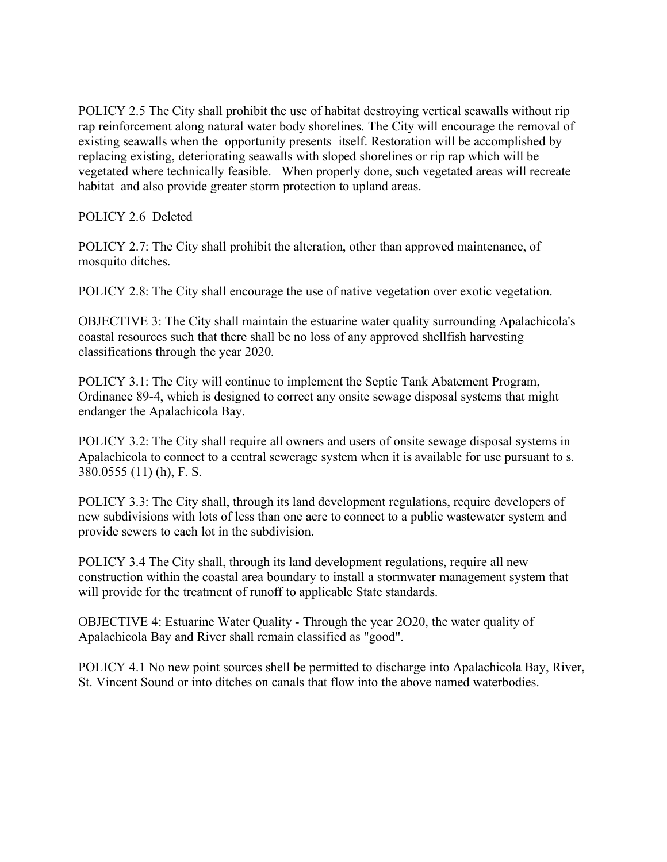POLICY 2.5 The City shall prohibit the use of habitat destroying vertical seawalls without rip rap reinforcement along natural water body shorelines. The City will encourage the removal of existing seawalls when the opportunity presents itself. Restoration will be accomplished by replacing existing, deteriorating seawalls with sloped shorelines or rip rap which will be vegetated where technically feasible. When properly done, such vegetated areas will recreate habitat and also provide greater storm protection to upland areas.

POLICY 2.6 Deleted

POLICY 2.7: The City shall prohibit the alteration, other than approved maintenance, of mosquito ditches.

POLICY 2.8: The City shall encourage the use of native vegetation over exotic vegetation.

OBJECTIVE 3: The City shall maintain the estuarine water quality surrounding Apalachicola's coastal resources such that there shall be no loss of any approved shellfish harvesting classifications through the year 2020.

POLICY 3.1: The City will continue to implement the Septic Tank Abatement Program, Ordinance 89-4, which is designed to correct any onsite sewage disposal systems that might endanger the Apalachicola Bay.

POLICY 3.2: The City shall require all owners and users of onsite sewage disposal systems in Apalachicola to connect to a central sewerage system when it is available for use pursuant to s. 380.0555 (11) (h), F. S.

POLICY 3.3: The City shall, through its land development regulations, require developers of new subdivisions with lots of less than one acre to connect to a public wastewater system and provide sewers to each lot in the subdivision.

POLICY 3.4 The City shall, through its land development regulations, require all new construction within the coastal area boundary to install a stormwater management system that will provide for the treatment of runoff to applicable State standards.

OBJECTIVE 4: Estuarine Water Quality - Through the year 2O20, the water quality of Apalachicola Bay and River shall remain classified as "good".

POLICY 4.1 No new point sources shell be permitted to discharge into Apalachicola Bay, River, St. Vincent Sound or into ditches on canals that flow into the above named waterbodies.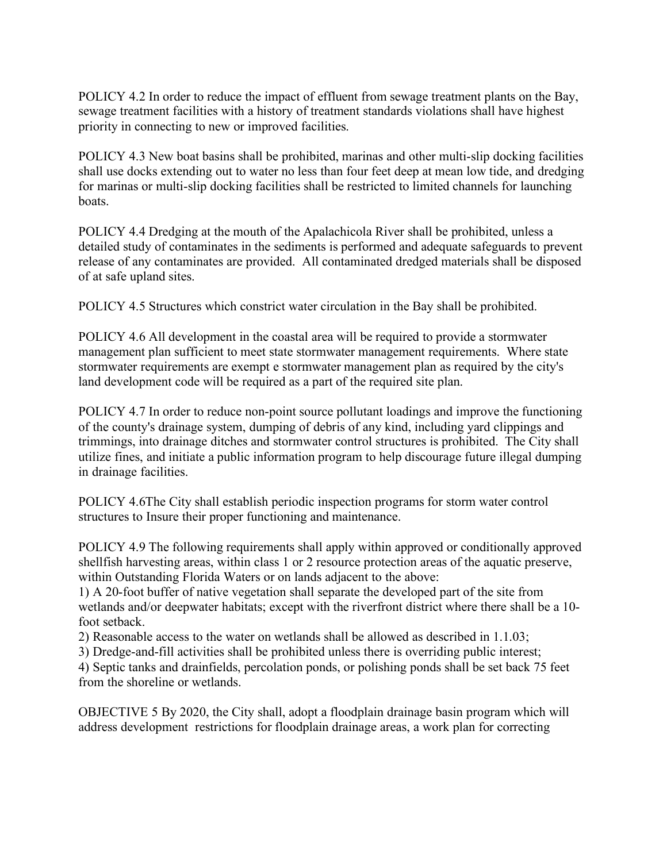POLICY 4.2 In order to reduce the impact of effluent from sewage treatment plants on the Bay, sewage treatment facilities with a history of treatment standards violations shall have highest priority in connecting to new or improved facilities.

POLICY 4.3 New boat basins shall be prohibited, marinas and other multi-slip docking facilities shall use docks extending out to water no less than four feet deep at mean low tide, and dredging for marinas or multi-slip docking facilities shall be restricted to limited channels for launching **boats** 

POLICY 4.4 Dredging at the mouth of the Apalachicola River shall be prohibited, unless a detailed study of contaminates in the sediments is performed and adequate safeguards to prevent release of any contaminates are provided. All contaminated dredged materials shall be disposed of at safe upland sites.

POLICY 4.5 Structures which constrict water circulation in the Bay shall be prohibited.

POLICY 4.6 All development in the coastal area will be required to provide a stormwater management plan sufficient to meet state stormwater management requirements. Where state stormwater requirements are exempt e stormwater management plan as required by the city's land development code will be required as a part of the required site plan.

POLICY 4.7 In order to reduce non-point source pollutant loadings and improve the functioning of the county's drainage system, dumping of debris of any kind, including yard clippings and trimmings, into drainage ditches and stormwater control structures is prohibited. The City shall utilize fines, and initiate a public information program to help discourage future illegal dumping in drainage facilities.

POLICY 4.6The City shall establish periodic inspection programs for storm water control structures to Insure their proper functioning and maintenance.

POLICY 4.9 The following requirements shall apply within approved or conditionally approved shellfish harvesting areas, within class 1 or 2 resource protection areas of the aquatic preserve, within Outstanding Florida Waters or on lands adjacent to the above:

1) A 20-foot buffer of native vegetation shall separate the developed part of the site from wetlands and/or deepwater habitats; except with the riverfront district where there shall be a 10 foot setback.

2) Reasonable access to the water on wetlands shall be allowed as described in 1.1.03;

3) Dredge-and-fill activities shall be prohibited unless there is overriding public interest;

4) Septic tanks and drainfields, percolation ponds, or polishing ponds shall be set back 75 feet from the shoreline or wetlands.

OBJECTIVE 5 By 2020, the City shall, adopt a floodplain drainage basin program which will address development restrictions for floodplain drainage areas, a work plan for correcting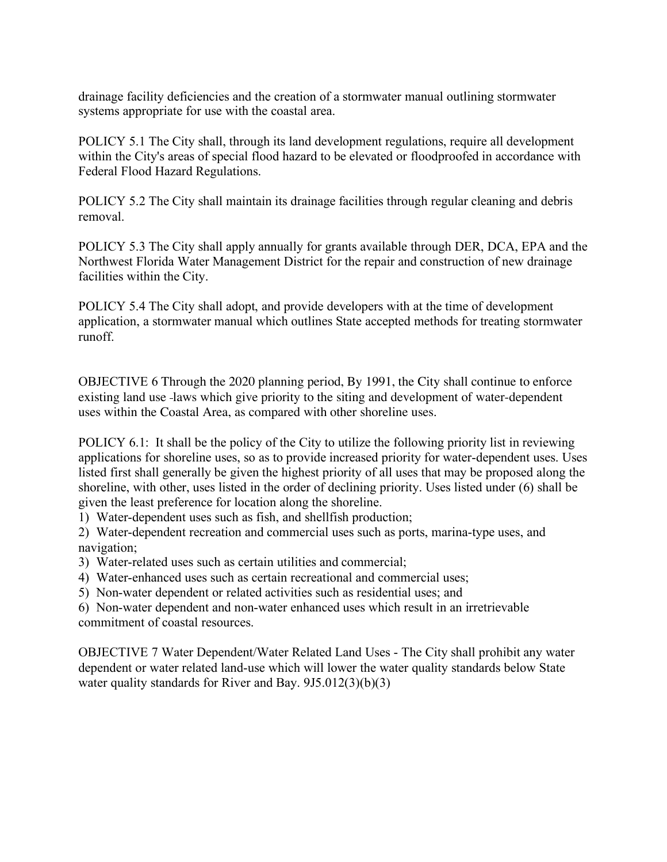drainage facility deficiencies and the creation of a stormwater manual outlining stormwater systems appropriate for use with the coastal area.

POLICY 5.1 The City shall, through its land development regulations, require all development within the City's areas of special flood hazard to be elevated or floodproofed in accordance with Federal Flood Hazard Regulations.

POLICY 5.2 The City shall maintain its drainage facilities through regular cleaning and debris removal.

POLICY 5.3 The City shall apply annually for grants available through DER, DCA, EPA and the Northwest Florida Water Management District for the repair and construction of new drainage facilities within the City.

POLICY 5.4 The City shall adopt, and provide developers with at the time of development application, a stormwater manual which outlines State accepted methods for treating stormwater runoff.

OBJECTIVE 6 Through the 2020 planning period, By 1991, the City shall continue to enforce existing land use laws which give priority to the siting and development of water-dependent uses within the Coastal Area, as compared with other shoreline uses.

POLICY 6.1: It shall be the policy of the City to utilize the following priority list in reviewing applications for shoreline uses, so as to provide increased priority for water-dependent uses. Uses listed first shall generally be given the highest priority of all uses that may be proposed along the shoreline, with other, uses listed in the order of declining priority. Uses listed under (6) shall be given the least preference for location along the shoreline.

1) Water-dependent uses such as fish, and shellfish production;

2) Water-dependent recreation and commercial uses such as ports, marina-type uses, and navigation;

- 3) Water-related uses such as certain utilities and commercial;
- 4) Water-enhanced uses such as certain recreational and commercial uses;
- 5) Non-water dependent or related activities such as residential uses; and

6) Non-water dependent and non-water enhanced uses which result in an irretrievable commitment of coastal resources.

OBJECTIVE 7 Water Dependent/Water Related Land Uses - The City shall prohibit any water dependent or water related land-use which will lower the water quality standards below State water quality standards for River and Bay. 9J5.012(3)(b)(3)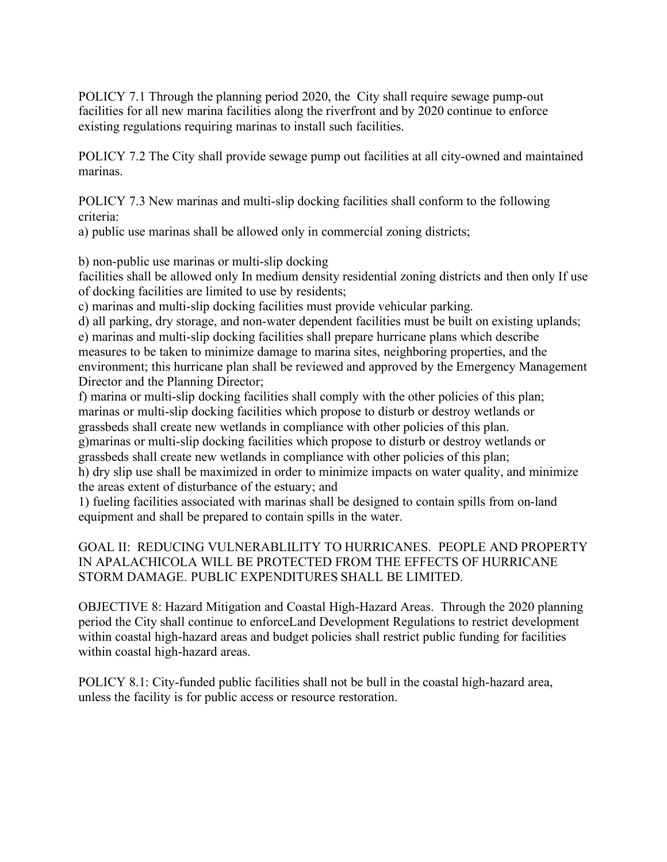POLICY 7.1 Through the planning period 2020, the City shall require sewage pump-out facilities for all new marina facilities along the riverfront and by 2020 continue to enforce existing regulations requiring marinas to install such facilities.

POLICY 7.2 The City shall provide sewage pump out facilities at all city-owned and maintained marinas.

POLICY 7.3 New marinas and multi-slip docking facilities shall conform to the following criteria:

a) public use marinas shall be allowed only in commercial zoning districts;

b) non-public use marinas or multi-slip docking

facilities shall be allowed only In medium density residential zoning districts and then only If use of docking facilities are limited to use by residents;

c) marinas and multi-slip docking facilities must provide vehicular parking.

d) all parking, dry storage, and non-water dependent facilities must be built on existing uplands; e) marinas and multi-slip docking facilities shall prepare hurricane plans which describe measures to be taken to minimize damage to marina sites, neighboring properties, and the environment; this hurricane plan shall be reviewed and approved by the Emergency Management Director and the Planning Director;

f) marina or multi-slip docking facilities shall comply with the other policies of this plan; marinas or multi-slip docking facilities which propose to disturb or destroy wetlands or grassbeds shall create new wetlands in compliance with other policies of this plan.

g)marinas or multi-slip docking facilities which propose to disturb or destroy wetlands or grassbeds shall create new wetlands in compliance with other policies of this plan;

h) dry slip use shall be maximized in order to minimize impacts on water quality, and minimize the areas extent of disturbance of the estuary; and

1) fueling facilities associated with marinas shall be designed to contain spills from on-land equipment and shall be prepared to contain spills in the water.

# GOAL II: REDUCING VULNERABLILITY TO HURRICANES. PEOPLE AND PROPERTY IN APALACHICOLA WILL BE PROTECTED FROM THE EFFECTS OF HURRICANE STORM DAMAGE. PUBLIC EXPENDITURES SHALL BE LIMITED.

OBJECTIVE 8: Hazard Mitigation and Coastal High-Hazard Areas. Through the 2020 planning period the City shall continue to enforceLand Development Regulations to restrict development within coastal high-hazard areas and budget policies shall restrict public funding for facilities within coastal high-hazard areas.

POLICY 8.1: City-funded public facilities shall not be bull in the coastal high-hazard area, unless the facility is for public access or resource restoration.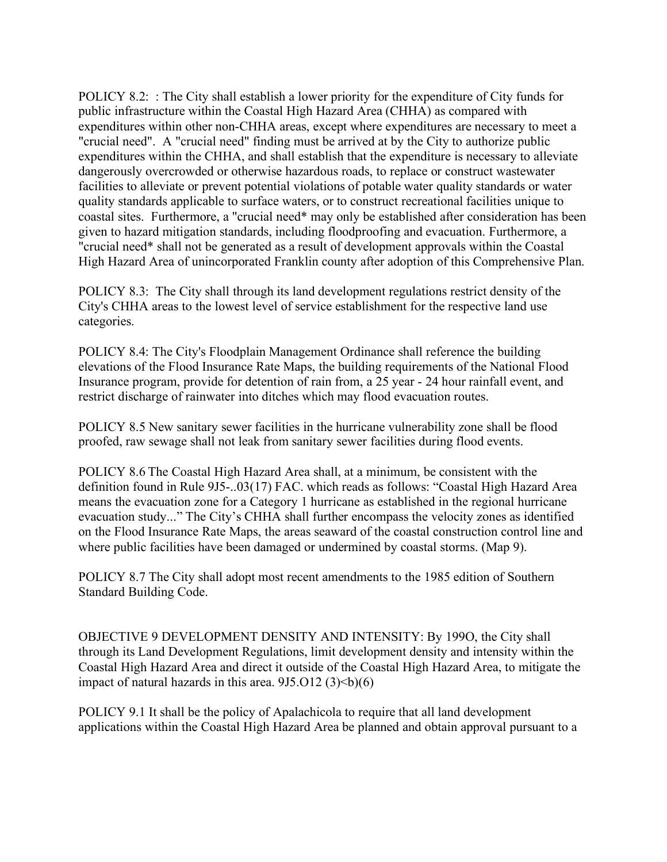POLICY 8.2: : The City shall establish a lower priority for the expenditure of City funds for public infrastructure within the Coastal High Hazard Area (CHHA) as compared with expenditures within other non-CHHA areas, except where expenditures are necessary to meet a "crucial need". A "crucial need" finding must be arrived at by the City to authorize public expenditures within the CHHA, and shall establish that the expenditure is necessary to alleviate dangerously overcrowded or otherwise hazardous roads, to replace or construct wastewater facilities to alleviate or prevent potential violations of potable water quality standards or water quality standards applicable to surface waters, or to construct recreational facilities unique to coastal sites. Furthermore, a "crucial need\* may only be established after consideration has been given to hazard mitigation standards, including floodproofing and evacuation. Furthermore, a "crucial need\* shall not be generated as a result of development approvals within the Coastal High Hazard Area of unincorporated Franklin county after adoption of this Comprehensive Plan.

POLICY 8.3: The City shall through its land development regulations restrict density of the City's CHHA areas to the lowest level of service establishment for the respective land use categories.

POLICY 8.4: The City's Floodplain Management Ordinance shall reference the building elevations of the Flood Insurance Rate Maps, the building requirements of the National Flood Insurance program, provide for detention of rain from, a 25 year - 24 hour rainfall event, and restrict discharge of rainwater into ditches which may flood evacuation routes.

POLICY 8.5 New sanitary sewer facilities in the hurricane vulnerability zone shall be flood proofed, raw sewage shall not leak from sanitary sewer facilities during flood events.

POLICY 8.6 The Coastal High Hazard Area shall, at a minimum, be consistent with the definition found in Rule 9J5-..03(17) FAC. which reads as follows: "Coastal High Hazard Area means the evacuation zone for a Category 1 hurricane as established in the regional hurricane evacuation study..." The City's CHHA shall further encompass the velocity zones as identified on the Flood Insurance Rate Maps, the areas seaward of the coastal construction control line and where public facilities have been damaged or undermined by coastal storms. (Map 9).

POLICY 8.7 The City shall adopt most recent amendments to the 1985 edition of Southern Standard Building Code.

OBJECTIVE 9 DEVELOPMENT DENSITY AND INTENSITY: By 199O, the City shall through its Land Development Regulations, limit development density and intensity within the Coastal High Hazard Area and direct it outside of the Coastal High Hazard Area, to mitigate the impact of natural hazards in this area.  $9J5.012$  (3) $$ 

POLICY 9.1 It shall be the policy of Apalachicola to require that all land development applications within the Coastal High Hazard Area be planned and obtain approval pursuant to a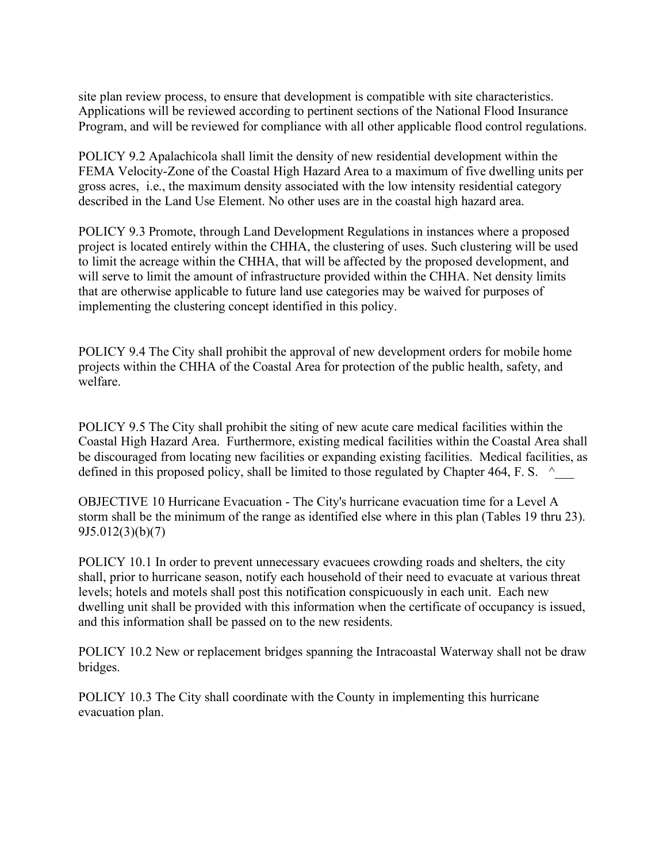site plan review process, to ensure that development is compatible with site characteristics. Applications will be reviewed according to pertinent sections of the National Flood Insurance Program, and will be reviewed for compliance with all other applicable flood control regulations.

POLICY 9.2 Apalachicola shall limit the density of new residential development within the FEMA Velocity-Zone of the Coastal High Hazard Area to a maximum of five dwelling units per gross acres, i.e., the maximum density associated with the low intensity residential category described in the Land Use Element. No other uses are in the coastal high hazard area.

POLICY 9.3 Promote, through Land Development Regulations in instances where a proposed project is located entirely within the CHHA, the clustering of uses. Such clustering will be used to limit the acreage within the CHHA, that will be affected by the proposed development, and will serve to limit the amount of infrastructure provided within the CHHA. Net density limits that are otherwise applicable to future land use categories may be waived for purposes of implementing the clustering concept identified in this policy.

POLICY 9.4 The City shall prohibit the approval of new development orders for mobile home projects within the CHHA of the Coastal Area for protection of the public health, safety, and welfare.

POLICY 9.5 The City shall prohibit the siting of new acute care medical facilities within the Coastal High Hazard Area. Furthermore, existing medical facilities within the Coastal Area shall be discouraged from locating new facilities or expanding existing facilities. Medical facilities, as defined in this proposed policy, shall be limited to those regulated by Chapter 464, F. S.  $\sim$ 

OBJECTIVE 10 Hurricane Evacuation - The City's hurricane evacuation time for a Level A storm shall be the minimum of the range as identified else where in this plan (Tables 19 thru 23). 9J5.012(3)(b)(7)

POLICY 10.1 In order to prevent unnecessary evacuees crowding roads and shelters, the city shall, prior to hurricane season, notify each household of their need to evacuate at various threat levels; hotels and motels shall post this notification conspicuously in each unit. Each new dwelling unit shall be provided with this information when the certificate of occupancy is issued, and this information shall be passed on to the new residents.

POLICY 10.2 New or replacement bridges spanning the Intracoastal Waterway shall not be draw bridges.

POLICY 10.3 The City shall coordinate with the County in implementing this hurricane evacuation plan.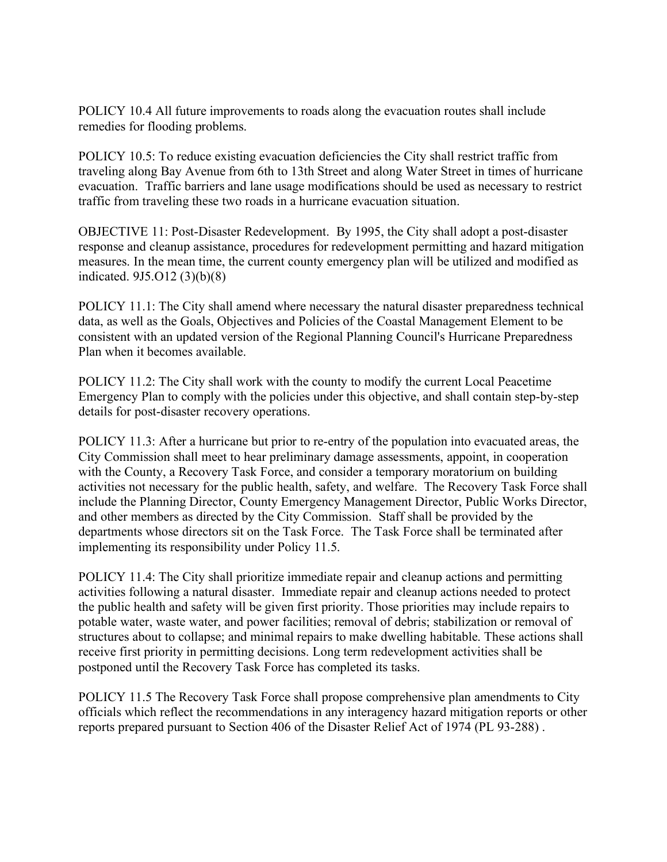POLICY 10.4 All future improvements to roads along the evacuation routes shall include remedies for flooding problems.

POLICY 10.5: To reduce existing evacuation deficiencies the City shall restrict traffic from traveling along Bay Avenue from 6th to 13th Street and along Water Street in times of hurricane evacuation. Traffic barriers and lane usage modifications should be used as necessary to restrict traffic from traveling these two roads in a hurricane evacuation situation.

OBJECTIVE 11: Post-Disaster Redevelopment. By 1995, the City shall adopt a post-disaster response and cleanup assistance, procedures for redevelopment permitting and hazard mitigation measures. In the mean time, the current county emergency plan will be utilized and modified as indicated. 9J5.O12 (3)(b)(8)

POLICY 11.1: The City shall amend where necessary the natural disaster preparedness technical data, as well as the Goals, Objectives and Policies of the Coastal Management Element to be consistent with an updated version of the Regional Planning Council's Hurricane Preparedness Plan when it becomes available.

POLICY 11.2: The City shall work with the county to modify the current Local Peacetime Emergency Plan to comply with the policies under this objective, and shall contain step-by-step details for post-disaster recovery operations.

POLICY 11.3: After a hurricane but prior to re-entry of the population into evacuated areas, the City Commission shall meet to hear preliminary damage assessments, appoint, in cooperation with the County, a Recovery Task Force, and consider a temporary moratorium on building activities not necessary for the public health, safety, and welfare. The Recovery Task Force shall include the Planning Director, County Emergency Management Director, Public Works Director, and other members as directed by the City Commission. Staff shall be provided by the departments whose directors sit on the Task Force. The Task Force shall be terminated after implementing its responsibility under Policy 11.5.

POLICY 11.4: The City shall prioritize immediate repair and cleanup actions and permitting activities following a natural disaster. Immediate repair and cleanup actions needed to protect the public health and safety will be given first priority. Those priorities may include repairs to potable water, waste water, and power facilities; removal of debris; stabilization or removal of structures about to collapse; and minimal repairs to make dwelling habitable. These actions shall receive first priority in permitting decisions. Long term redevelopment activities shall be postponed until the Recovery Task Force has completed its tasks.

POLICY 11.5 The Recovery Task Force shall propose comprehensive plan amendments to City officials which reflect the recommendations in any interagency hazard mitigation reports or other reports prepared pursuant to Section 406 of the Disaster Relief Act of 1974 (PL 93-288) .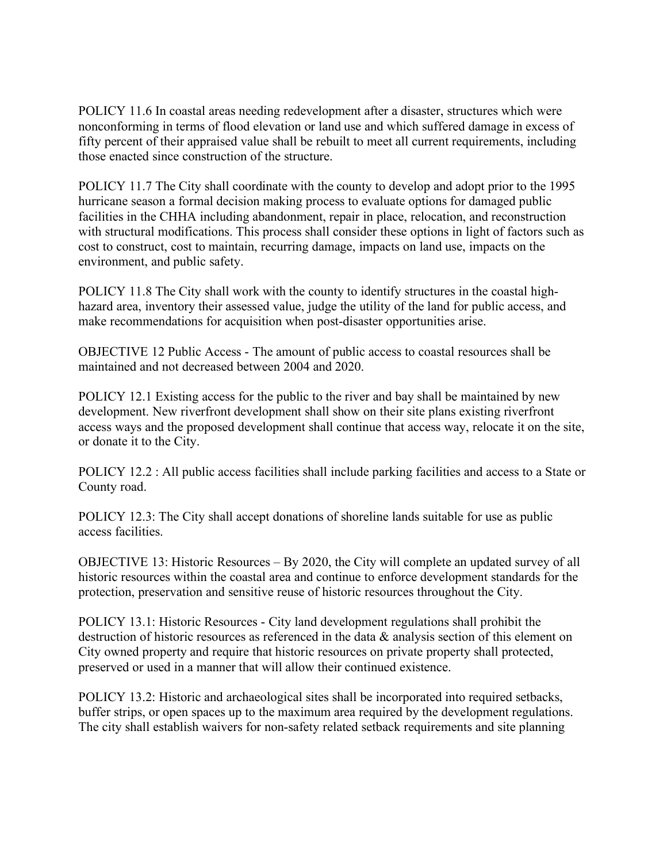POLICY 11.6 In coastal areas needing redevelopment after a disaster, structures which were nonconforming in terms of flood elevation or land use and which suffered damage in excess of fifty percent of their appraised value shall be rebuilt to meet all current requirements, including those enacted since construction of the structure.

POLICY 11.7 The City shall coordinate with the county to develop and adopt prior to the 1995 hurricane season a formal decision making process to evaluate options for damaged public facilities in the CHHA including abandonment, repair in place, relocation, and reconstruction with structural modifications. This process shall consider these options in light of factors such as cost to construct, cost to maintain, recurring damage, impacts on land use, impacts on the environment, and public safety.

POLICY 11.8 The City shall work with the county to identify structures in the coastal highhazard area, inventory their assessed value, judge the utility of the land for public access, and make recommendations for acquisition when post-disaster opportunities arise.

OBJECTIVE 12 Public Access - The amount of public access to coastal resources shall be maintained and not decreased between 2004 and 2020.

POLICY 12.1 Existing access for the public to the river and bay shall be maintained by new development. New riverfront development shall show on their site plans existing riverfront access ways and the proposed development shall continue that access way, relocate it on the site, or donate it to the City.

POLICY 12.2 : All public access facilities shall include parking facilities and access to a State or County road.

POLICY 12.3: The City shall accept donations of shoreline lands suitable for use as public access facilities.

OBJECTIVE 13: Historic Resources – By 2020, the City will complete an updated survey of all historic resources within the coastal area and continue to enforce development standards for the protection, preservation and sensitive reuse of historic resources throughout the City.

POLICY 13.1: Historic Resources - City land development regulations shall prohibit the destruction of historic resources as referenced in the data & analysis section of this element on City owned property and require that historic resources on private property shall protected, preserved or used in a manner that will allow their continued existence.

POLICY 13.2: Historic and archaeological sites shall be incorporated into required setbacks, buffer strips, or open spaces up to the maximum area required by the development regulations. The city shall establish waivers for non-safety related setback requirements and site planning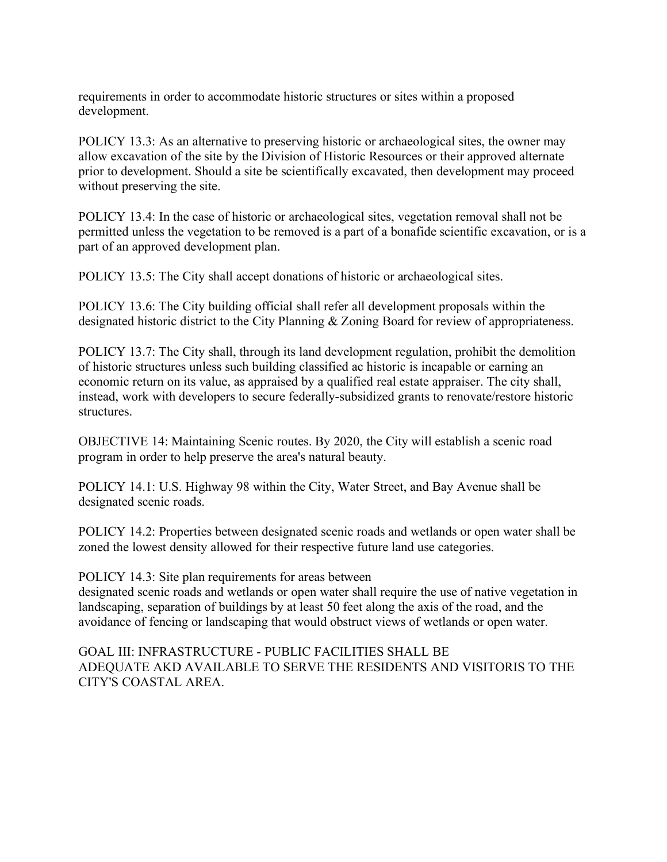requirements in order to accommodate historic structures or sites within a proposed development.

POLICY 13.3: As an alternative to preserving historic or archaeological sites, the owner may allow excavation of the site by the Division of Historic Resources or their approved alternate prior to development. Should a site be scientifically excavated, then development may proceed without preserving the site.

POLICY 13.4: In the case of historic or archaeological sites, vegetation removal shall not be permitted unless the vegetation to be removed is a part of a bonafide scientific excavation, or is a part of an approved development plan.

POLICY 13.5: The City shall accept donations of historic or archaeological sites.

POLICY 13.6: The City building official shall refer all development proposals within the designated historic district to the City Planning & Zoning Board for review of appropriateness.

POLICY 13.7: The City shall, through its land development regulation, prohibit the demolition of historic structures unless such building classified ac historic is incapable or earning an economic return on its value, as appraised by a qualified real estate appraiser. The city shall, instead, work with developers to secure federally-subsidized grants to renovate/restore historic structures.

OBJECTIVE 14: Maintaining Scenic routes. By 2020, the City will establish a scenic road program in order to help preserve the area's natural beauty.

POLICY 14.1: U.S. Highway 98 within the City, Water Street, and Bay Avenue shall be designated scenic roads.

POLICY 14.2: Properties between designated scenic roads and wetlands or open water shall be zoned the lowest density allowed for their respective future land use categories.

POLICY 14.3: Site plan requirements for areas between

designated scenic roads and wetlands or open water shall require the use of native vegetation in landscaping, separation of buildings by at least 50 feet along the axis of the road, and the avoidance of fencing or landscaping that would obstruct views of wetlands or open water.

GOAL III: INFRASTRUCTURE - PUBLIC FACILITIES SHALL BE ADEQUATE AKD AVAILABLE TO SERVE THE RESIDENTS AND VISITORIS TO THE CITY'S COASTAL AREA.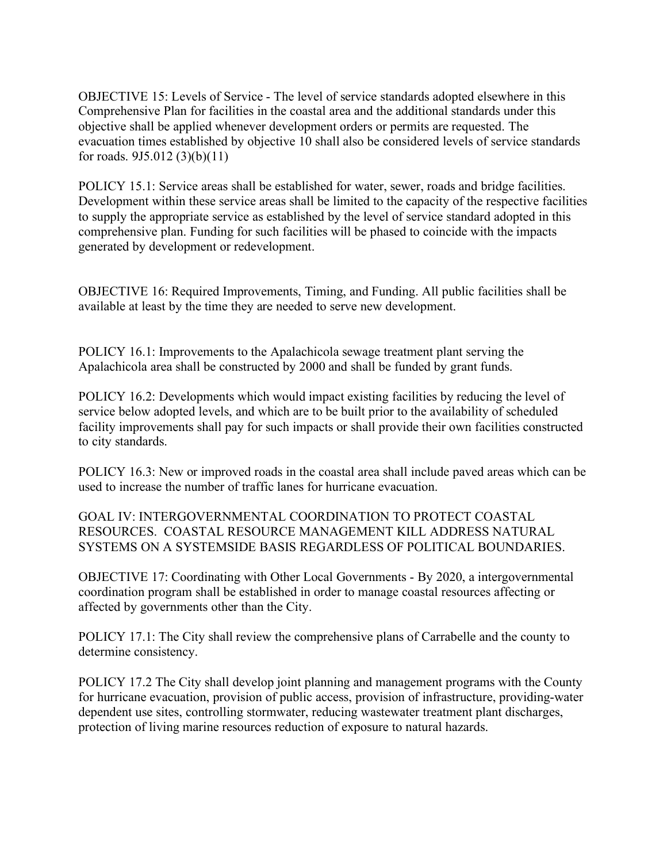OBJECTIVE 15: Levels of Service - The level of service standards adopted elsewhere in this Comprehensive Plan for facilities in the coastal area and the additional standards under this objective shall be applied whenever development orders or permits are requested. The evacuation times established by objective 10 shall also be considered levels of service standards for roads. 9J5.012 (3)(b)(11)

POLICY 15.1: Service areas shall be established for water, sewer, roads and bridge facilities. Development within these service areas shall be limited to the capacity of the respective facilities to supply the appropriate service as established by the level of service standard adopted in this comprehensive plan. Funding for such facilities will be phased to coincide with the impacts generated by development or redevelopment.

OBJECTIVE 16: Required Improvements, Timing, and Funding. All public facilities shall be available at least by the time they are needed to serve new development.

POLICY 16.1: Improvements to the Apalachicola sewage treatment plant serving the Apalachicola area shall be constructed by 2000 and shall be funded by grant funds.

POLICY 16.2: Developments which would impact existing facilities by reducing the level of service below adopted levels, and which are to be built prior to the availability of scheduled facility improvements shall pay for such impacts or shall provide their own facilities constructed to city standards.

POLICY 16.3: New or improved roads in the coastal area shall include paved areas which can be used to increase the number of traffic lanes for hurricane evacuation.

GOAL IV: INTERGOVERNMENTAL COORDINATION TO PROTECT COASTAL RESOURCES. COASTAL RESOURCE MANAGEMENT KILL ADDRESS NATURAL SYSTEMS ON A SYSTEMSIDE BASIS REGARDLESS OF POLITICAL BOUNDARIES.

OBJECTIVE 17: Coordinating with Other Local Governments - By 2020, a intergovernmental coordination program shall be established in order to manage coastal resources affecting or affected by governments other than the City.

POLICY 17.1: The City shall review the comprehensive plans of Carrabelle and the county to determine consistency.

POLICY 17.2 The City shall develop joint planning and management programs with the County for hurricane evacuation, provision of public access, provision of infrastructure, providing-water dependent use sites, controlling stormwater, reducing wastewater treatment plant discharges, protection of living marine resources reduction of exposure to natural hazards.